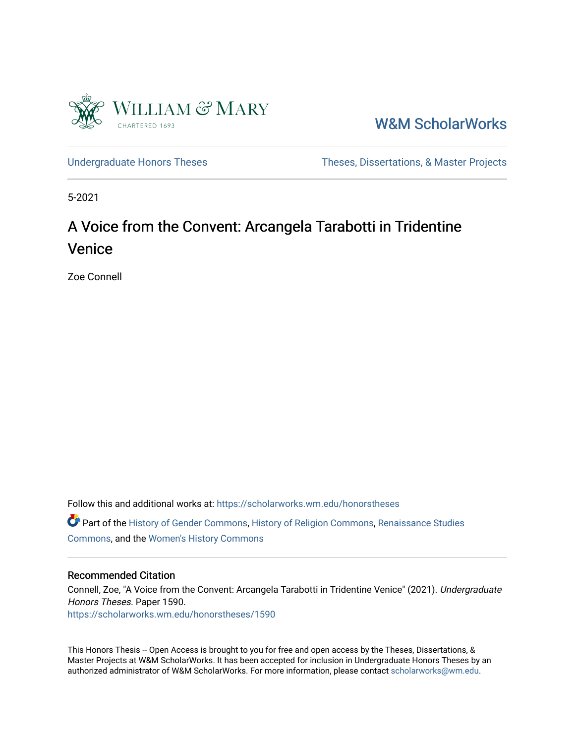

[W&M ScholarWorks](https://scholarworks.wm.edu/) 

[Undergraduate Honors Theses](https://scholarworks.wm.edu/honorstheses) Theses Theses, Dissertations, & Master Projects

5-2021

# A Voice from the Convent: Arcangela Tarabotti in Tridentine Venice

Zoe Connell

Follow this and additional works at: [https://scholarworks.wm.edu/honorstheses](https://scholarworks.wm.edu/honorstheses?utm_source=scholarworks.wm.edu%2Fhonorstheses%2F1590&utm_medium=PDF&utm_campaign=PDFCoverPages)  Part of the [History of Gender Commons,](http://network.bepress.com/hgg/discipline/498?utm_source=scholarworks.wm.edu%2Fhonorstheses%2F1590&utm_medium=PDF&utm_campaign=PDFCoverPages) [History of Religion Commons](http://network.bepress.com/hgg/discipline/499?utm_source=scholarworks.wm.edu%2Fhonorstheses%2F1590&utm_medium=PDF&utm_campaign=PDFCoverPages), [Renaissance Studies](http://network.bepress.com/hgg/discipline/1426?utm_source=scholarworks.wm.edu%2Fhonorstheses%2F1590&utm_medium=PDF&utm_campaign=PDFCoverPages)  [Commons](http://network.bepress.com/hgg/discipline/1426?utm_source=scholarworks.wm.edu%2Fhonorstheses%2F1590&utm_medium=PDF&utm_campaign=PDFCoverPages), and the [Women's History Commons](http://network.bepress.com/hgg/discipline/507?utm_source=scholarworks.wm.edu%2Fhonorstheses%2F1590&utm_medium=PDF&utm_campaign=PDFCoverPages) 

#### Recommended Citation

Connell, Zoe, "A Voice from the Convent: Arcangela Tarabotti in Tridentine Venice" (2021). Undergraduate Honors Theses. Paper 1590. [https://scholarworks.wm.edu/honorstheses/1590](https://scholarworks.wm.edu/honorstheses/1590?utm_source=scholarworks.wm.edu%2Fhonorstheses%2F1590&utm_medium=PDF&utm_campaign=PDFCoverPages)

This Honors Thesis -- Open Access is brought to you for free and open access by the Theses, Dissertations, & Master Projects at W&M ScholarWorks. It has been accepted for inclusion in Undergraduate Honors Theses by an authorized administrator of W&M ScholarWorks. For more information, please contact [scholarworks@wm.edu](mailto:scholarworks@wm.edu).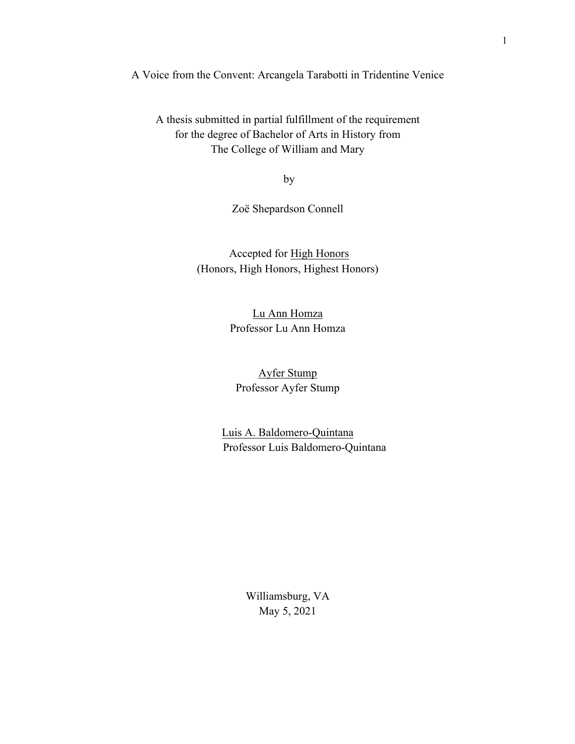A Voice from the Convent: Arcangela Tarabotti in Tridentine Venice

A thesis submitted in partial fulfillment of the requirement for the degree of Bachelor of Arts in History from The College of William and Mary

by

Zoë Shepardson Connell

Accepted for High Honors (Honors, High Honors, Highest Honors)

> Lu Ann Homza Professor Lu Ann Homza

Ayfer Stump Professor Ayfer Stump

Luis A. Baldomero-Quintana Professor Luis Baldomero-Quintana

> Williamsburg, VA May 5, 2021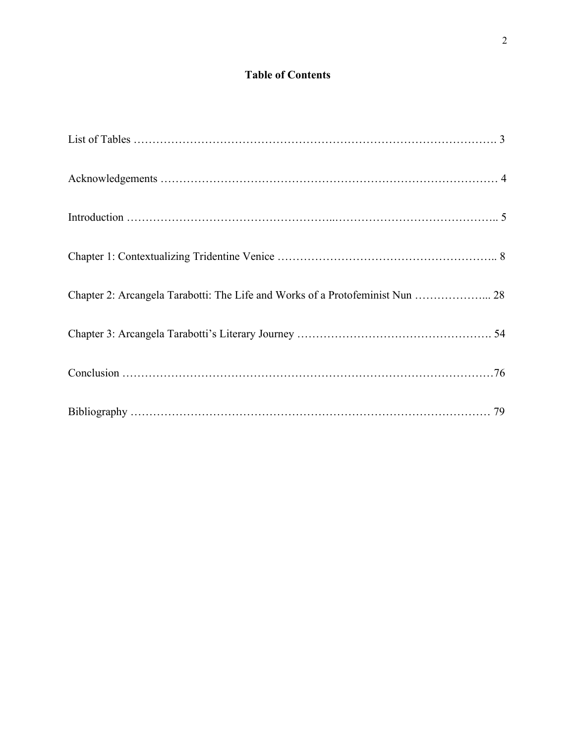## **Table of Contents**

| Chapter 2: Arcangela Tarabotti: The Life and Works of a Protofeminist Nun  28 |  |
|-------------------------------------------------------------------------------|--|
|                                                                               |  |
|                                                                               |  |
|                                                                               |  |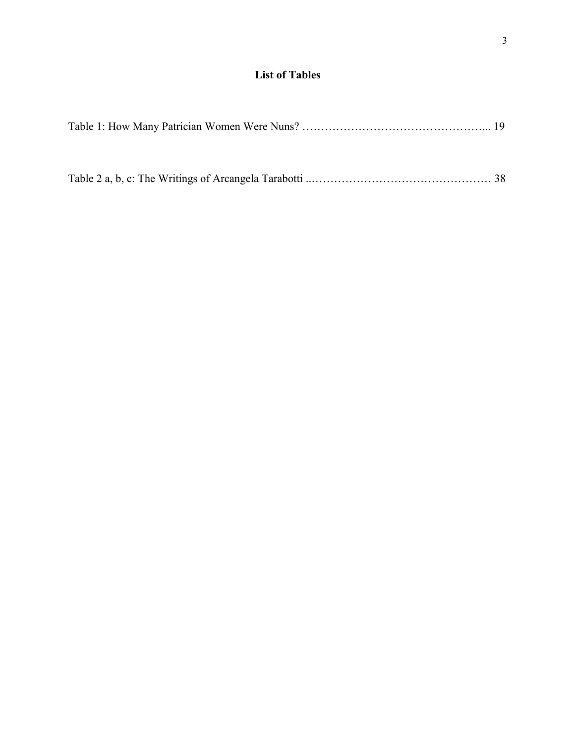# **List of Tables**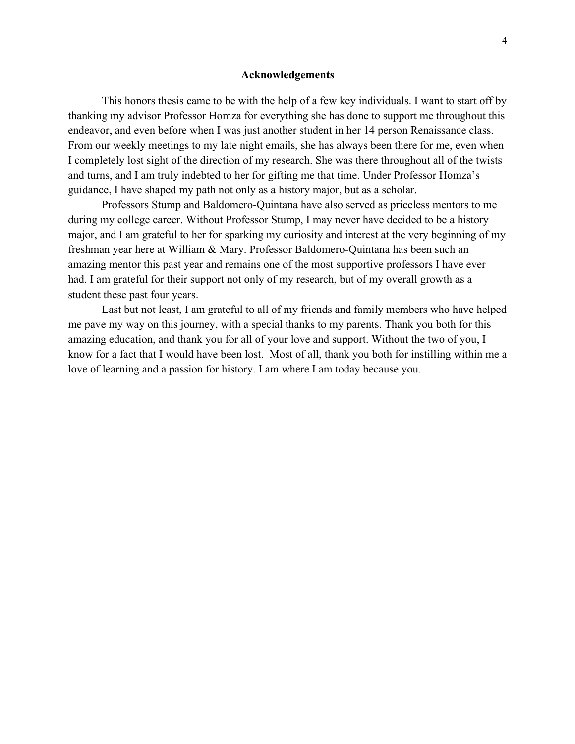#### **Acknowledgements**

This honors thesis came to be with the help of a few key individuals. I want to start off by thanking my advisor Professor Homza for everything she has done to support me throughout this endeavor, and even before when I was just another student in her 14 person Renaissance class. From our weekly meetings to my late night emails, she has always been there for me, even when I completely lost sight of the direction of my research. She was there throughout all of the twists and turns, and I am truly indebted to her for gifting me that time. Under Professor Homza's guidance, I have shaped my path not only as a history major, but as a scholar.

Professors Stump and Baldomero-Quintana have also served as priceless mentors to me during my college career. Without Professor Stump, I may never have decided to be a history major, and I am grateful to her for sparking my curiosity and interest at the very beginning of my freshman year here at William & Mary. Professor Baldomero-Quintana has been such an amazing mentor this past year and remains one of the most supportive professors I have ever had. I am grateful for their support not only of my research, but of my overall growth as a student these past four years.

Last but not least, I am grateful to all of my friends and family members who have helped me pave my way on this journey, with a special thanks to my parents. Thank you both for this amazing education, and thank you for all of your love and support. Without the two of you, I know for a fact that I would have been lost. Most of all, thank you both for instilling within me a love of learning and a passion for history. I am where I am today because you.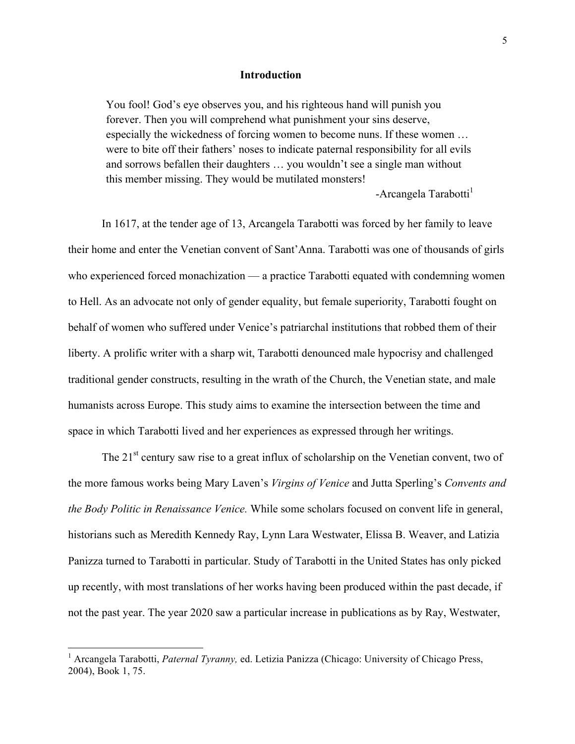#### **Introduction**

You fool! God's eye observes you, and his righteous hand will punish you forever. Then you will comprehend what punishment your sins deserve, especially the wickedness of forcing women to become nuns. If these women … were to bite off their fathers' noses to indicate paternal responsibility for all evils and sorrows befallen their daughters … you wouldn't see a single man without this member missing. They would be mutilated monsters!

-Arcangela Tarabotti<sup>1</sup>

In 1617, at the tender age of 13, Arcangela Tarabotti was forced by her family to leave their home and enter the Venetian convent of Sant'Anna. Tarabotti was one of thousands of girls who experienced forced monachization — a practice Tarabotti equated with condemning women to Hell. As an advocate not only of gender equality, but female superiority, Tarabotti fought on behalf of women who suffered under Venice's patriarchal institutions that robbed them of their liberty. A prolific writer with a sharp wit, Tarabotti denounced male hypocrisy and challenged traditional gender constructs, resulting in the wrath of the Church, the Venetian state, and male humanists across Europe. This study aims to examine the intersection between the time and space in which Tarabotti lived and her experiences as expressed through her writings.

The 21<sup>st</sup> century saw rise to a great influx of scholarship on the Venetian convent, two of the more famous works being Mary Laven's *Virgins of Venice* and Jutta Sperling's *Convents and the Body Politic in Renaissance Venice.* While some scholars focused on convent life in general, historians such as Meredith Kennedy Ray, Lynn Lara Westwater, Elissa B. Weaver, and Latizia Panizza turned to Tarabotti in particular. Study of Tarabotti in the United States has only picked up recently, with most translations of her works having been produced within the past decade, if not the past year. The year 2020 saw a particular increase in publications as by Ray, Westwater,

<sup>&</sup>lt;sup>1</sup> Arcangela Tarabotti, *Paternal Tyranny*, ed. Letizia Panizza (Chicago: University of Chicago Press, 2004), Book 1, 75.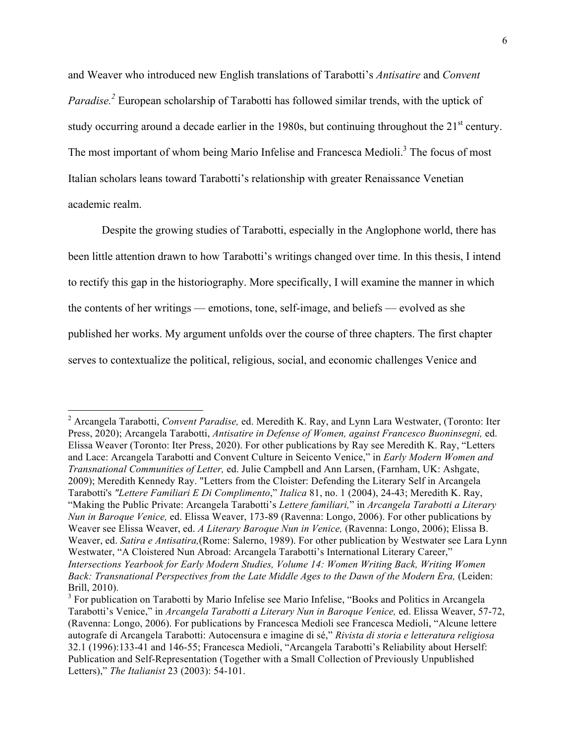and Weaver who introduced new English translations of Tarabotti's *Antisatire* and *Convent Paradise.*<sup>2</sup> European scholarship of Tarabotti has followed similar trends, with the uptick of study occurring around a decade earlier in the 1980s, but continuing throughout the  $21<sup>st</sup>$  century. The most important of whom being Mario Infelise and Francesca Medioli.<sup>3</sup> The focus of most Italian scholars leans toward Tarabotti's relationship with greater Renaissance Venetian academic realm.

Despite the growing studies of Tarabotti, especially in the Anglophone world, there has been little attention drawn to how Tarabotti's writings changed over time. In this thesis, I intend to rectify this gap in the historiography. More specifically, I will examine the manner in which the contents of her writings — emotions, tone, self-image, and beliefs — evolved as she published her works. My argument unfolds over the course of three chapters. The first chapter serves to contextualize the political, religious, social, and economic challenges Venice and

 $\overline{a}$ 

<sup>2</sup> Arcangela Tarabotti, *Convent Paradise,* ed. Meredith K. Ray, and Lynn Lara Westwater, (Toronto: Iter Press, 2020); Arcangela Tarabotti, *Antisatire in Defense of Women, against Francesco Buoninsegni,* ed. Elissa Weaver (Toronto: Iter Press, 2020). For other publications by Ray see Meredith K. Ray, "Letters and Lace: Arcangela Tarabotti and Convent Culture in Seicento Venice," in *Early Modern Women and Transnational Communities of Letter,* ed. Julie Campbell and Ann Larsen, (Farnham, UK: Ashgate, 2009); Meredith Kennedy Ray. "Letters from the Cloister: Defending the Literary Self in Arcangela Tarabotti's *"Lettere Familiari E Di Complimento*," *Italica* 81, no. 1 (2004), 24-43; Meredith K. Ray, "Making the Public Private: Arcangela Tarabotti's *Lettere familiari,*" in *Arcangela Tarabotti a Literary Nun in Baroque Venice,* ed. Elissa Weaver, 173-89 (Ravenna: Longo, 2006). For other publications by Weaver see Elissa Weaver, ed. *A Literary Baroque Nun in Venice,* (Ravenna: Longo, 2006); Elissa B. Weaver, ed. *Satira e Antisatira,*(Rome: Salerno, 1989). For other publication by Westwater see Lara Lynn Westwater, "A Cloistered Nun Abroad: Arcangela Tarabotti's International Literary Career," *Intersections Yearbook for Early Modern Studies, Volume 14: Women Writing Back, Writing Women Back: Transnational Perspectives from the Late Middle Ages to the Dawn of the Modern Era,* (Leiden: Brill, 2010).

<sup>&</sup>lt;sup>3</sup> For publication on Tarabotti by Mario Infelise see Mario Infelise, "Books and Politics in Arcangela Tarabotti's Venice," in *Arcangela Tarabotti a Literary Nun in Baroque Venice,* ed. Elissa Weaver, 57-72, (Ravenna: Longo, 2006). For publications by Francesca Medioli see Francesca Medioli, "Alcune lettere autografe di Arcangela Tarabotti: Autocensura e imagine di sé," *Rivista di storia e letteratura religiosa*  32.1 (1996):133-41 and 146-55; Francesca Medioli, "Arcangela Tarabotti's Reliability about Herself: Publication and Self-Representation (Together with a Small Collection of Previously Unpublished Letters)," *The Italianist* 23 (2003): 54-101.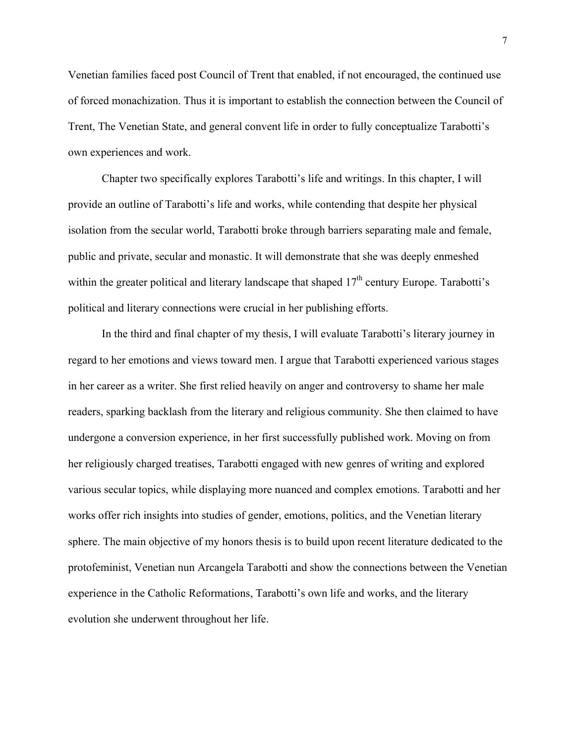Venetian families faced post Council of Trent that enabled, if not encouraged, the continued use of forced monachization. Thus it is important to establish the connection between the Council of Trent, The Venetian State, and general convent life in order to fully conceptualize Tarabotti's own experiences and work.

Chapter two specifically explores Tarabotti's life and writings. In this chapter, I will provide an outline of Tarabotti's life and works, while contending that despite her physical isolation from the secular world, Tarabotti broke through barriers separating male and female, public and private, secular and monastic. It will demonstrate that she was deeply enmeshed within the greater political and literary landscape that shaped 17<sup>th</sup> century Europe. Tarabotti's political and literary connections were crucial in her publishing efforts.

In the third and final chapter of my thesis, I will evaluate Tarabotti's literary journey in regard to her emotions and views toward men. I argue that Tarabotti experienced various stages in her career as a writer. She first relied heavily on anger and controversy to shame her male readers, sparking backlash from the literary and religious community. She then claimed to have undergone a conversion experience, in her first successfully published work. Moving on from her religiously charged treatises, Tarabotti engaged with new genres of writing and explored various secular topics, while displaying more nuanced and complex emotions. Tarabotti and her works offer rich insights into studies of gender, emotions, politics, and the Venetian literary sphere. The main objective of my honors thesis is to build upon recent literature dedicated to the protofeminist, Venetian nun Arcangela Tarabotti and show the connections between the Venetian experience in the Catholic Reformations, Tarabotti's own life and works, and the literary evolution she underwent throughout her life.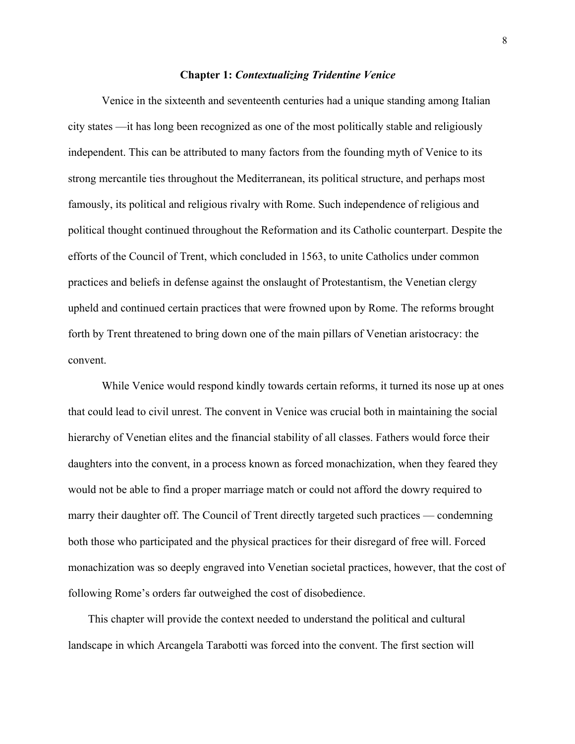#### **Chapter 1:** *Contextualizing Tridentine Venice*

Venice in the sixteenth and seventeenth centuries had a unique standing among Italian city states —it has long been recognized as one of the most politically stable and religiously independent. This can be attributed to many factors from the founding myth of Venice to its strong mercantile ties throughout the Mediterranean, its political structure, and perhaps most famously, its political and religious rivalry with Rome. Such independence of religious and political thought continued throughout the Reformation and its Catholic counterpart. Despite the efforts of the Council of Trent, which concluded in 1563, to unite Catholics under common practices and beliefs in defense against the onslaught of Protestantism, the Venetian clergy upheld and continued certain practices that were frowned upon by Rome. The reforms brought forth by Trent threatened to bring down one of the main pillars of Venetian aristocracy: the convent.

While Venice would respond kindly towards certain reforms, it turned its nose up at ones that could lead to civil unrest. The convent in Venice was crucial both in maintaining the social hierarchy of Venetian elites and the financial stability of all classes. Fathers would force their daughters into the convent, in a process known as forced monachization, when they feared they would not be able to find a proper marriage match or could not afford the dowry required to marry their daughter off. The Council of Trent directly targeted such practices — condemning both those who participated and the physical practices for their disregard of free will. Forced monachization was so deeply engraved into Venetian societal practices, however, that the cost of following Rome's orders far outweighed the cost of disobedience.

This chapter will provide the context needed to understand the political and cultural landscape in which Arcangela Tarabotti was forced into the convent. The first section will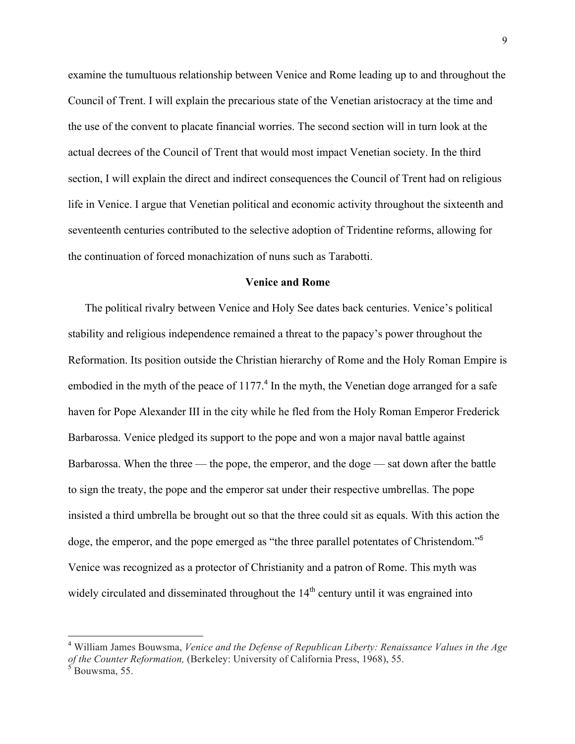examine the tumultuous relationship between Venice and Rome leading up to and throughout the Council of Trent. I will explain the precarious state of the Venetian aristocracy at the time and the use of the convent to placate financial worries. The second section will in turn look at the actual decrees of the Council of Trent that would most impact Venetian society. In the third section, I will explain the direct and indirect consequences the Council of Trent had on religious life in Venice. I argue that Venetian political and economic activity throughout the sixteenth and seventeenth centuries contributed to the selective adoption of Tridentine reforms, allowing for the continuation of forced monachization of nuns such as Tarabotti.

#### **Venice and Rome**

The political rivalry between Venice and Holy See dates back centuries. Venice's political stability and religious independence remained a threat to the papacy's power throughout the Reformation. Its position outside the Christian hierarchy of Rome and the Holy Roman Empire is embodied in the myth of the peace of 1177.<sup>4</sup> In the myth, the Venetian doge arranged for a safe haven for Pope Alexander III in the city while he fled from the Holy Roman Emperor Frederick Barbarossa. Venice pledged its support to the pope and won a major naval battle against Barbarossa. When the three — the pope, the emperor, and the doge — sat down after the battle to sign the treaty, the pope and the emperor sat under their respective umbrellas. The pope insisted a third umbrella be brought out so that the three could sit as equals. With this action the doge, the emperor, and the pope emerged as "the three parallel potentates of Christendom."<sup>5</sup> Venice was recognized as a protector of Christianity and a patron of Rome. This myth was widely circulated and disseminated throughout the  $14<sup>th</sup>$  century until it was engrained into

<sup>4</sup> William James Bouwsma, *Venice and the Defense of Republican Liberty: Renaissance Values in the Age of the Counter Reformation,* (Berkeley: University of California Press, 1968), 55.

 $<sup>5</sup>$  Bouwsma, 55.</sup>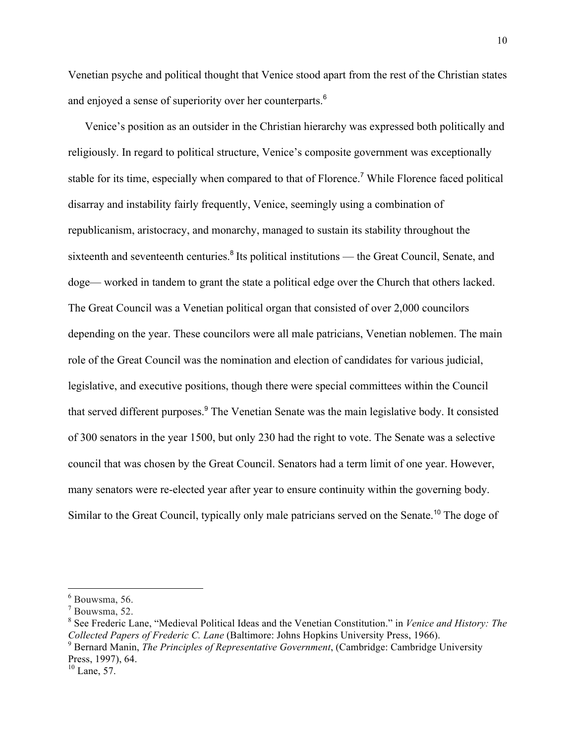Venetian psyche and political thought that Venice stood apart from the rest of the Christian states and enjoyed a sense of superiority over her counterparts.<sup>6</sup>

Venice's position as an outsider in the Christian hierarchy was expressed both politically and religiously. In regard to political structure, Venice's composite government was exceptionally stable for its time, especially when compared to that of Florence.<sup>7</sup> While Florence faced political disarray and instability fairly frequently, Venice, seemingly using a combination of republicanism, aristocracy, and monarchy, managed to sustain its stability throughout the sixteenth and seventeenth centuries.<sup>8</sup> Its political institutions — the Great Council, Senate, and doge— worked in tandem to grant the state a political edge over the Church that others lacked. The Great Council was a Venetian political organ that consisted of over 2,000 councilors depending on the year. These councilors were all male patricians, Venetian noblemen. The main role of the Great Council was the nomination and election of candidates for various judicial, legislative, and executive positions, though there were special committees within the Council that served different purposes.<sup>9</sup> The Venetian Senate was the main legislative body. It consisted of 300 senators in the year 1500, but only 230 had the right to vote. The Senate was a selective council that was chosen by the Great Council. Senators had a term limit of one year. However, many senators were re-elected year after year to ensure continuity within the governing body. Similar to the Great Council, typically only male patricians served on the Senate.<sup>10</sup> The doge of

 $6$  Bouwsma, 56.

 $<sup>7</sup>$  Bouwsma, 52.</sup>

<sup>8</sup> See Frederic Lane, "Medieval Political Ideas and the Venetian Constitution." in *Venice and History: The Collected Papers of Frederic C. Lane* (Baltimore: Johns Hopkins University Press, 1966).

<sup>9</sup> Bernard Manin, *The Principles of Representative Government*, (Cambridge: Cambridge University Press, 1997), 64.

 $10$  Lane, 57.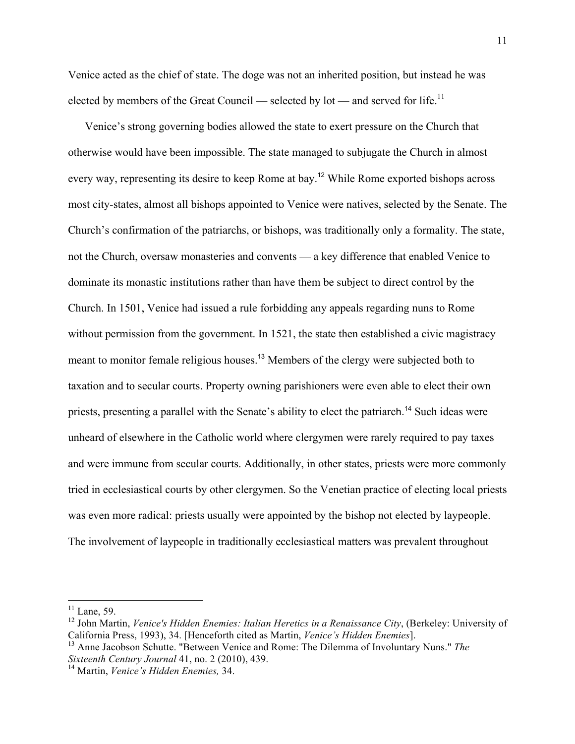Venice acted as the chief of state. The doge was not an inherited position, but instead he was elected by members of the Great Council — selected by lot — and served for life.<sup>11</sup>

Venice's strong governing bodies allowed the state to exert pressure on the Church that otherwise would have been impossible. The state managed to subjugate the Church in almost every way, representing its desire to keep Rome at bay.<sup>12</sup> While Rome exported bishops across most city-states, almost all bishops appointed to Venice were natives, selected by the Senate. The Church's confirmation of the patriarchs, or bishops, was traditionally only a formality. The state, not the Church, oversaw monasteries and convents — a key difference that enabled Venice to dominate its monastic institutions rather than have them be subject to direct control by the Church. In 1501, Venice had issued a rule forbidding any appeals regarding nuns to Rome without permission from the government. In 1521, the state then established a civic magistracy meant to monitor female religious houses.<sup>13</sup> Members of the clergy were subjected both to taxation and to secular courts. Property owning parishioners were even able to elect their own priests, presenting a parallel with the Senate's ability to elect the patriarch.14 Such ideas were unheard of elsewhere in the Catholic world where clergymen were rarely required to pay taxes and were immune from secular courts. Additionally, in other states, priests were more commonly tried in ecclesiastical courts by other clergymen. So the Venetian practice of electing local priests was even more radical: priests usually were appointed by the bishop not elected by laypeople. The involvement of laypeople in traditionally ecclesiastical matters was prevalent throughout

 $11$  Lane, 59.

<sup>&</sup>lt;sup>12</sup> John Martin, *Venice's Hidden Enemies: Italian Heretics in a Renaissance City*, (Berkeley: University of California Press, 1993), 34. [Henceforth cited as Martin, *Venice's Hidden Enemies*].

<sup>&</sup>lt;sup>13</sup> Anne Jacobson Schutte. "Between Venice and Rome: The Dilemma of Involuntary Nuns." *The Sixteenth Century Journal* 41, no. 2 (2010), 439.

<sup>&</sup>lt;sup>14</sup> Martin, *Venice's Hidden Enemies*, 34.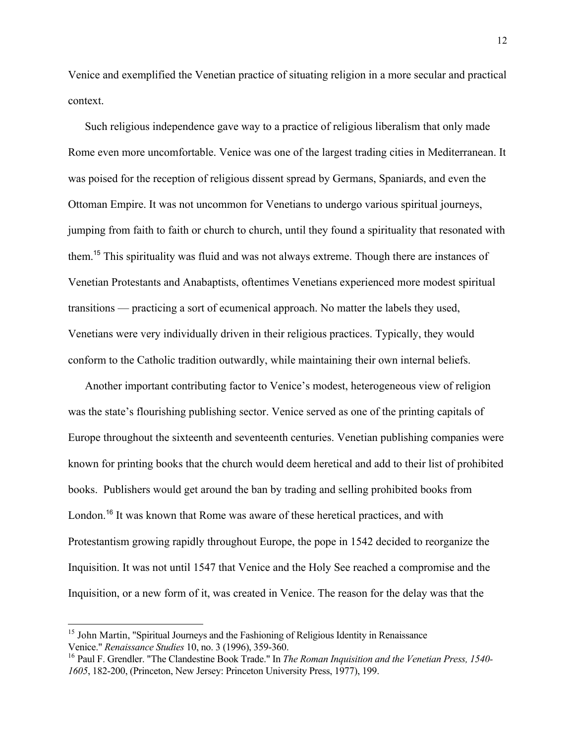Venice and exemplified the Venetian practice of situating religion in a more secular and practical context.

Such religious independence gave way to a practice of religious liberalism that only made Rome even more uncomfortable. Venice was one of the largest trading cities in Mediterranean. It was poised for the reception of religious dissent spread by Germans, Spaniards, and even the Ottoman Empire. It was not uncommon for Venetians to undergo various spiritual journeys, jumping from faith to faith or church to church, until they found a spirituality that resonated with them.<sup>15</sup> This spirituality was fluid and was not always extreme. Though there are instances of Venetian Protestants and Anabaptists, oftentimes Venetians experienced more modest spiritual transitions — practicing a sort of ecumenical approach. No matter the labels they used, Venetians were very individually driven in their religious practices. Typically, they would conform to the Catholic tradition outwardly, while maintaining their own internal beliefs.

Another important contributing factor to Venice's modest, heterogeneous view of religion was the state's flourishing publishing sector. Venice served as one of the printing capitals of Europe throughout the sixteenth and seventeenth centuries. Venetian publishing companies were known for printing books that the church would deem heretical and add to their list of prohibited books. Publishers would get around the ban by trading and selling prohibited books from London.<sup>16</sup> It was known that Rome was aware of these heretical practices, and with Protestantism growing rapidly throughout Europe, the pope in 1542 decided to reorganize the Inquisition. It was not until 1547 that Venice and the Holy See reached a compromise and the Inquisition, or a new form of it, was created in Venice. The reason for the delay was that the

<sup>&</sup>lt;sup>15</sup> John Martin, "Spiritual Journeys and the Fashioning of Religious Identity in Renaissance Venice." *Renaissance Studies* 10, no. 3 (1996), 359-360.

<sup>16</sup> Paul F. Grendler. "The Clandestine Book Trade." In *The Roman Inquisition and the Venetian Press, 1540- 1605*, 182-200, (Princeton, New Jersey: Princeton University Press, 1977), 199.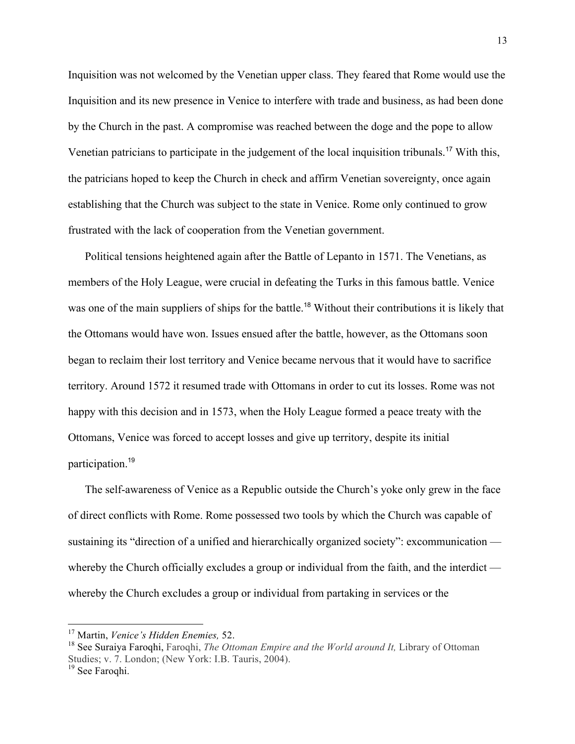Inquisition was not welcomed by the Venetian upper class. They feared that Rome would use the Inquisition and its new presence in Venice to interfere with trade and business, as had been done by the Church in the past. A compromise was reached between the doge and the pope to allow Venetian patricians to participate in the judgement of the local inquisition tribunals.<sup>17</sup> With this, the patricians hoped to keep the Church in check and affirm Venetian sovereignty, once again establishing that the Church was subject to the state in Venice. Rome only continued to grow frustrated with the lack of cooperation from the Venetian government.

Political tensions heightened again after the Battle of Lepanto in 1571. The Venetians, as members of the Holy League, were crucial in defeating the Turks in this famous battle. Venice was one of the main suppliers of ships for the battle.<sup>18</sup> Without their contributions it is likely that the Ottomans would have won. Issues ensued after the battle, however, as the Ottomans soon began to reclaim their lost territory and Venice became nervous that it would have to sacrifice territory. Around 1572 it resumed trade with Ottomans in order to cut its losses. Rome was not happy with this decision and in 1573, when the Holy League formed a peace treaty with the Ottomans, Venice was forced to accept losses and give up territory, despite its initial participation.<sup>19</sup>

The self-awareness of Venice as a Republic outside the Church's yoke only grew in the face of direct conflicts with Rome. Rome possessed two tools by which the Church was capable of sustaining its "direction of a unified and hierarchically organized society": excommunication whereby the Church officially excludes a group or individual from the faith, and the interdict whereby the Church excludes a group or individual from partaking in services or the

<sup>17</sup> Martin, *Venice's Hidden Enemies,* 52.

<sup>18</sup> See Suraiya Faroqhi, Faroqhi, *The Ottoman Empire and the World around It,* Library of Ottoman Studies; v. 7. London; (New York: I.B. Tauris, 2004).

<sup>&</sup>lt;sup>19</sup> See Faroqhi.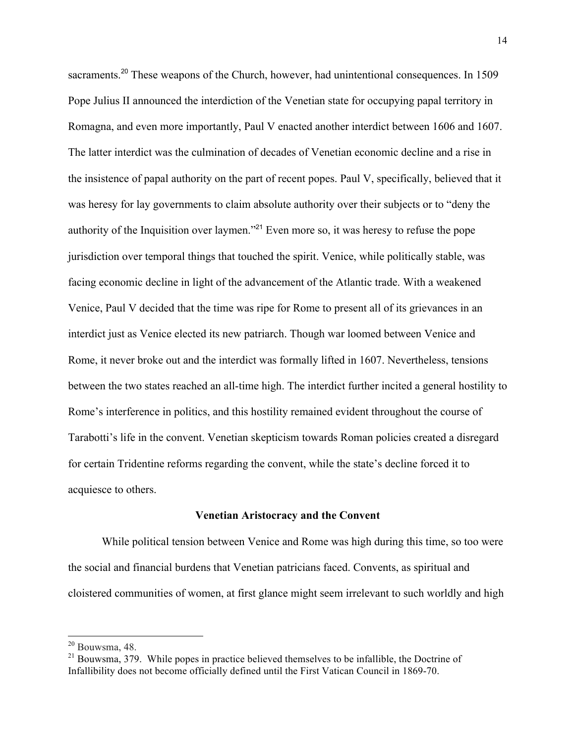sacraments.<sup>20</sup> These weapons of the Church, however, had unintentional consequences. In 1509 Pope Julius II announced the interdiction of the Venetian state for occupying papal territory in Romagna, and even more importantly, Paul V enacted another interdict between 1606 and 1607. The latter interdict was the culmination of decades of Venetian economic decline and a rise in the insistence of papal authority on the part of recent popes. Paul V, specifically, believed that it was heresy for lay governments to claim absolute authority over their subjects or to "deny the authority of the Inquisition over laymen."<sup>21</sup> Even more so, it was heresy to refuse the pope jurisdiction over temporal things that touched the spirit. Venice, while politically stable, was facing economic decline in light of the advancement of the Atlantic trade. With a weakened Venice, Paul V decided that the time was ripe for Rome to present all of its grievances in an interdict just as Venice elected its new patriarch. Though war loomed between Venice and Rome, it never broke out and the interdict was formally lifted in 1607. Nevertheless, tensions between the two states reached an all-time high. The interdict further incited a general hostility to Rome's interference in politics, and this hostility remained evident throughout the course of Tarabotti's life in the convent. Venetian skepticism towards Roman policies created a disregard for certain Tridentine reforms regarding the convent, while the state's decline forced it to acquiesce to others.

#### **Venetian Aristocracy and the Convent**

While political tension between Venice and Rome was high during this time, so too were the social and financial burdens that Venetian patricians faced. Convents, as spiritual and cloistered communities of women, at first glance might seem irrelevant to such worldly and high

 $20$  Bouwsma, 48.

 $21$  Bouwsma, 379. While popes in practice believed themselves to be infallible, the Doctrine of Infallibility does not become officially defined until the First Vatican Council in 1869-70.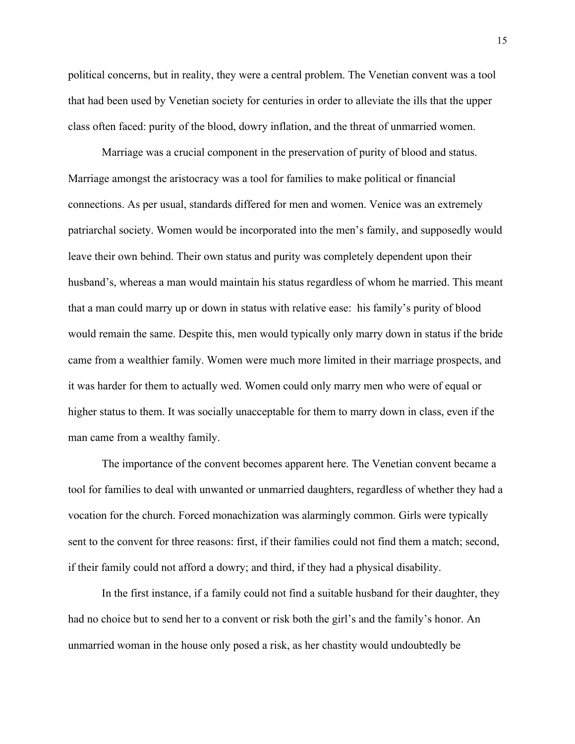political concerns, but in reality, they were a central problem. The Venetian convent was a tool that had been used by Venetian society for centuries in order to alleviate the ills that the upper class often faced: purity of the blood, dowry inflation, and the threat of unmarried women.

Marriage was a crucial component in the preservation of purity of blood and status. Marriage amongst the aristocracy was a tool for families to make political or financial connections. As per usual, standards differed for men and women. Venice was an extremely patriarchal society. Women would be incorporated into the men's family, and supposedly would leave their own behind. Their own status and purity was completely dependent upon their husband's, whereas a man would maintain his status regardless of whom he married. This meant that a man could marry up or down in status with relative ease: his family's purity of blood would remain the same. Despite this, men would typically only marry down in status if the bride came from a wealthier family. Women were much more limited in their marriage prospects, and it was harder for them to actually wed. Women could only marry men who were of equal or higher status to them. It was socially unacceptable for them to marry down in class, even if the man came from a wealthy family.

The importance of the convent becomes apparent here. The Venetian convent became a tool for families to deal with unwanted or unmarried daughters, regardless of whether they had a vocation for the church. Forced monachization was alarmingly common. Girls were typically sent to the convent for three reasons: first, if their families could not find them a match; second, if their family could not afford a dowry; and third, if they had a physical disability.

In the first instance, if a family could not find a suitable husband for their daughter, they had no choice but to send her to a convent or risk both the girl's and the family's honor. An unmarried woman in the house only posed a risk, as her chastity would undoubtedly be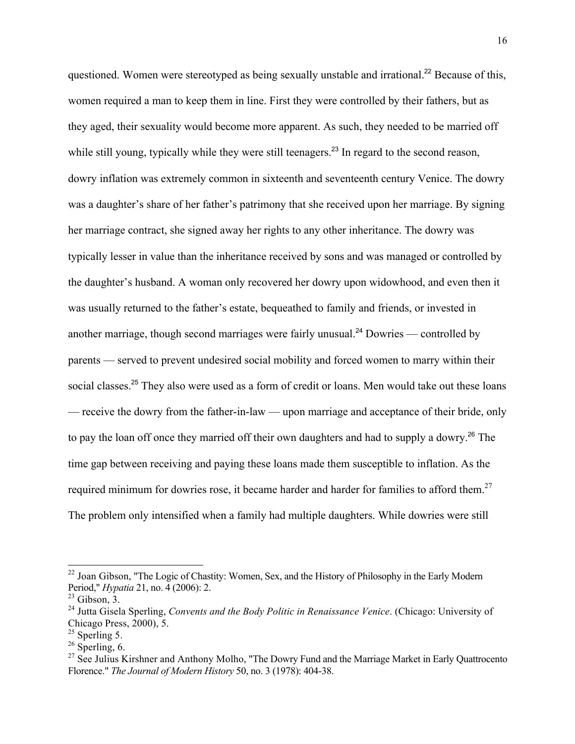questioned. Women were stereotyped as being sexually unstable and irrational.<sup>22</sup> Because of this, women required a man to keep them in line. First they were controlled by their fathers, but as they aged, their sexuality would become more apparent. As such, they needed to be married off while still young, typically while they were still teenagers.<sup>23</sup> In regard to the second reason, dowry inflation was extremely common in sixteenth and seventeenth century Venice. The dowry was a daughter's share of her father's patrimony that she received upon her marriage. By signing her marriage contract, she signed away her rights to any other inheritance. The dowry was typically lesser in value than the inheritance received by sons and was managed or controlled by the daughter's husband. A woman only recovered her dowry upon widowhood, and even then it was usually returned to the father's estate, bequeathed to family and friends, or invested in another marriage, though second marriages were fairly unusual.<sup>24</sup> Dowries — controlled by parents — served to prevent undesired social mobility and forced women to marry within their social classes.<sup>25</sup> They also were used as a form of credit or loans. Men would take out these loans — receive the dowry from the father-in-law — upon marriage and acceptance of their bride, only to pay the loan off once they married off their own daughters and had to supply a dowry. <sup>26</sup> The time gap between receiving and paying these loans made them susceptible to inflation. As the required minimum for dowries rose, it became harder and harder for families to afford them.<sup>27</sup> The problem only intensified when a family had multiple daughters. While dowries were still

<sup>&</sup>lt;sup>22</sup> Joan Gibson, "The Logic of Chastity: Women, Sex, and the History of Philosophy in the Early Modern Period," *Hypatia* 21, no. 4 (2006): 2.

 $23$  Gibson, 3.

<sup>24</sup> Jutta Gisela Sperling, *Convents and the Body Politic in Renaissance Venice*. (Chicago: University of Chicago Press, 2000), 5. <sup>25</sup> Sperling 5.

 $26$  Sperling, 6.

 $^{27}$  See Julius Kirshner and Anthony Molho, "The Dowry Fund and the Marriage Market in Early Quattrocento Florence." *The Journal of Modern History* 50, no. 3 (1978): 404-38.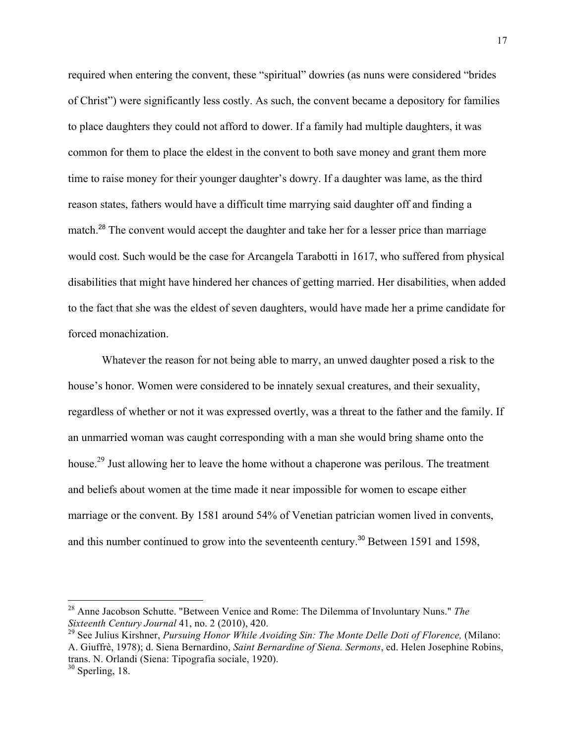required when entering the convent, these "spiritual" dowries (as nuns were considered "brides of Christ") were significantly less costly. As such, the convent became a depository for families to place daughters they could not afford to dower. If a family had multiple daughters, it was common for them to place the eldest in the convent to both save money and grant them more time to raise money for their younger daughter's dowry. If a daughter was lame, as the third reason states, fathers would have a difficult time marrying said daughter off and finding a match.<sup>28</sup> The convent would accept the daughter and take her for a lesser price than marriage would cost. Such would be the case for Arcangela Tarabotti in 1617, who suffered from physical disabilities that might have hindered her chances of getting married. Her disabilities, when added to the fact that she was the eldest of seven daughters, would have made her a prime candidate for forced monachization.

Whatever the reason for not being able to marry, an unwed daughter posed a risk to the house's honor. Women were considered to be innately sexual creatures, and their sexuality, regardless of whether or not it was expressed overtly, was a threat to the father and the family. If an unmarried woman was caught corresponding with a man she would bring shame onto the house.<sup>29</sup> Just allowing her to leave the home without a chaperone was perilous. The treatment and beliefs about women at the time made it near impossible for women to escape either marriage or the convent. By 1581 around 54% of Venetian patrician women lived in convents, and this number continued to grow into the seventeenth century.<sup>30</sup> Between 1591 and 1598,

<sup>28</sup> Anne Jacobson Schutte. "Between Venice and Rome: The Dilemma of Involuntary Nuns." *The Sixteenth Century Journal* 41, no. 2 (2010), 420.

<sup>&</sup>lt;sup>29</sup> See Julius Kirshner, *Pursuing Honor While Avoiding Sin: The Monte Delle Doti of Florence*, (Milano: A. Giuffrè, 1978); d. Siena Bernardino, *Saint Bernardine of Siena. Sermons*, ed. Helen Josephine Robins, trans. N. Orlandi (Siena: Tipografia sociale, 1920).

 $30$  Sperling, 18.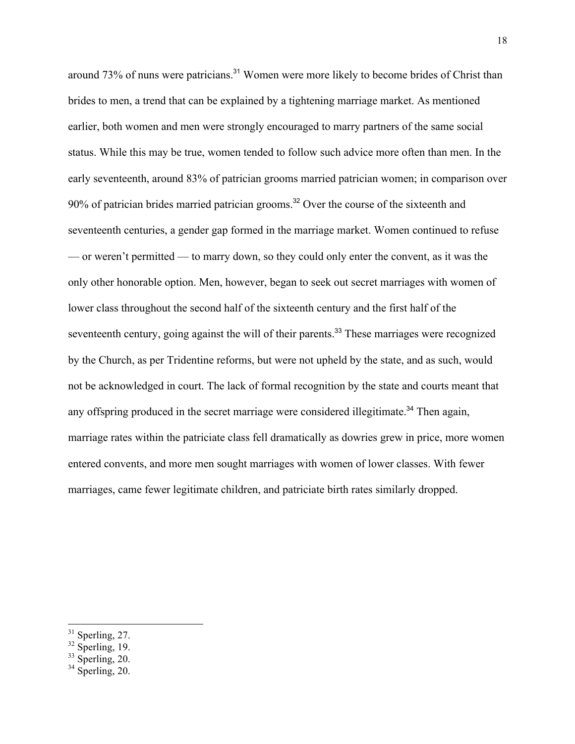around 73% of nuns were patricians.<sup>31</sup> Women were more likely to become brides of Christ than brides to men, a trend that can be explained by a tightening marriage market. As mentioned earlier, both women and men were strongly encouraged to marry partners of the same social status. While this may be true, women tended to follow such advice more often than men. In the early seventeenth, around 83% of patrician grooms married patrician women; in comparison over 90% of patrician brides married patrician grooms.<sup>32</sup> Over the course of the sixteenth and seventeenth centuries, a gender gap formed in the marriage market. Women continued to refuse — or weren't permitted — to marry down, so they could only enter the convent, as it was the only other honorable option. Men, however, began to seek out secret marriages with women of lower class throughout the second half of the sixteenth century and the first half of the seventeenth century, going against the will of their parents.<sup>33</sup> These marriages were recognized by the Church, as per Tridentine reforms, but were not upheld by the state, and as such, would not be acknowledged in court. The lack of formal recognition by the state and courts meant that any offspring produced in the secret marriage were considered illegitimate.<sup>34</sup> Then again, marriage rates within the patriciate class fell dramatically as dowries grew in price, more women entered convents, and more men sought marriages with women of lower classes. With fewer marriages, came fewer legitimate children, and patriciate birth rates similarly dropped.

 $31$  Sperling, 27.

 $32$  Sperling, 19.

 $33$  Sperling, 20.

 $34 \frac{S_1}{Sperling}$ , 20.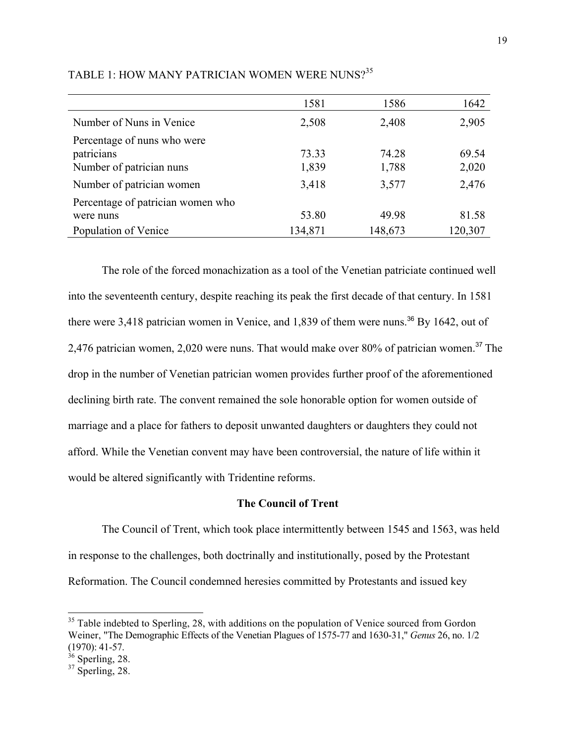|                                                                       | 1581           | 1586           | 1642           |
|-----------------------------------------------------------------------|----------------|----------------|----------------|
| Number of Nuns in Venice                                              | 2,508          | 2,408          | 2,905          |
| Percentage of nuns who were<br>patricians<br>Number of patrician nuns | 73.33<br>1,839 | 74.28<br>1,788 | 69.54<br>2,020 |
| Number of patrician women                                             | 3,418          | 3,577          | 2,476          |
| Percentage of patrician women who<br>were nuns                        | 53.80          | 49.98          | 81.58          |
| Population of Venice                                                  | 134,871        | 148,673        | 120,307        |

### TABLE 1: HOW MANY PATRICIAN WOMEN WERE NUNS?<sup>35</sup>

The role of the forced monachization as a tool of the Venetian patriciate continued well into the seventeenth century, despite reaching its peak the first decade of that century. In 1581 there were 3,418 patrician women in Venice, and 1,839 of them were nuns.<sup>36</sup> By 1642, out of 2,476 patrician women, 2,020 were nuns. That would make over 80% of patrician women.<sup>37</sup> The drop in the number of Venetian patrician women provides further proof of the aforementioned declining birth rate. The convent remained the sole honorable option for women outside of marriage and a place for fathers to deposit unwanted daughters or daughters they could not afford. While the Venetian convent may have been controversial, the nature of life within it would be altered significantly with Tridentine reforms.

### **The Council of Trent**

The Council of Trent, which took place intermittently between 1545 and 1563, was held in response to the challenges, both doctrinally and institutionally, posed by the Protestant Reformation. The Council condemned heresies committed by Protestants and issued key

<sup>&</sup>lt;sup>35</sup> Table indebted to Sperling, 28, with additions on the population of Venice sourced from Gordon Weiner, "The Demographic Effects of the Venetian Plagues of 1575-77 and 1630-31," *Genus* 26, no. 1/2 (1970): 41-57.

 $36$  Sperling, 28.

 $37$  Sperling, 28.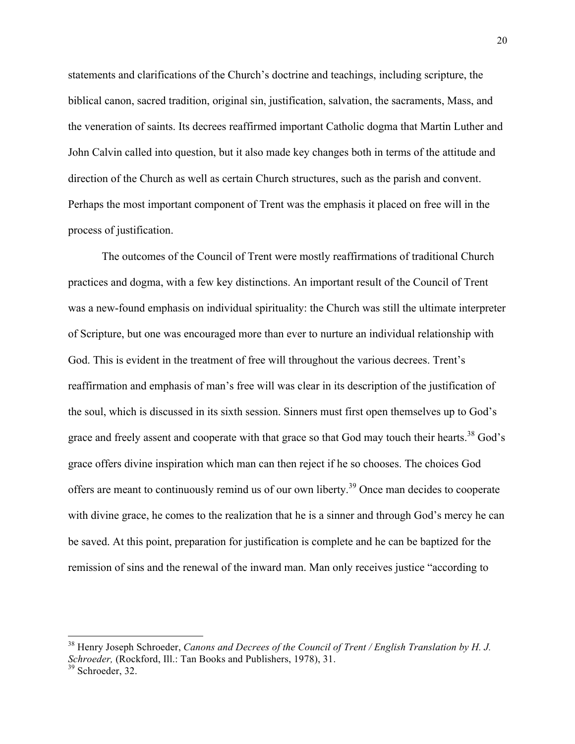statements and clarifications of the Church's doctrine and teachings, including scripture, the biblical canon, sacred tradition, original sin, justification, salvation, the sacraments, Mass, and the veneration of saints. Its decrees reaffirmed important Catholic dogma that Martin Luther and John Calvin called into question, but it also made key changes both in terms of the attitude and direction of the Church as well as certain Church structures, such as the parish and convent. Perhaps the most important component of Trent was the emphasis it placed on free will in the process of justification.

The outcomes of the Council of Trent were mostly reaffirmations of traditional Church practices and dogma, with a few key distinctions. An important result of the Council of Trent was a new-found emphasis on individual spirituality: the Church was still the ultimate interpreter of Scripture, but one was encouraged more than ever to nurture an individual relationship with God. This is evident in the treatment of free will throughout the various decrees. Trent's reaffirmation and emphasis of man's free will was clear in its description of the justification of the soul, which is discussed in its sixth session. Sinners must first open themselves up to God's grace and freely assent and cooperate with that grace so that God may touch their hearts.<sup>38</sup> God's grace offers divine inspiration which man can then reject if he so chooses. The choices God offers are meant to continuously remind us of our own liberty.<sup>39</sup> Once man decides to cooperate with divine grace, he comes to the realization that he is a sinner and through God's mercy he can be saved. At this point, preparation for justification is complete and he can be baptized for the remission of sins and the renewal of the inward man. Man only receives justice "according to

<sup>&</sup>lt;sup>38</sup> Henry Joseph Schroeder, *Canons and Decrees of the Council of Trent / English Translation by H. J. Schroeder,* (Rockford, Ill.: Tan Books and Publishers, 1978), 31.

<sup>&</sup>lt;sup>39</sup> Schroeder, 32.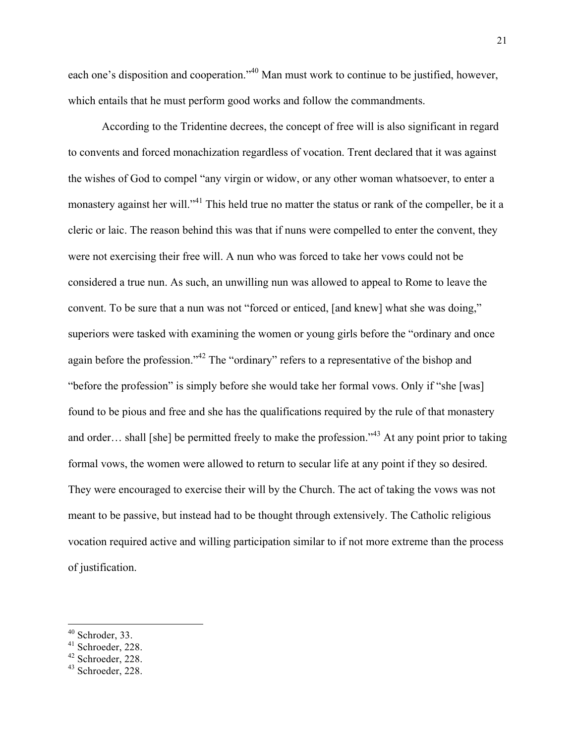each one's disposition and cooperation."<sup>40</sup> Man must work to continue to be justified, however, which entails that he must perform good works and follow the commandments.

According to the Tridentine decrees, the concept of free will is also significant in regard to convents and forced monachization regardless of vocation. Trent declared that it was against the wishes of God to compel "any virgin or widow, or any other woman whatsoever, to enter a monastery against her will."<sup>41</sup> This held true no matter the status or rank of the compeller, be it a cleric or laic. The reason behind this was that if nuns were compelled to enter the convent, they were not exercising their free will. A nun who was forced to take her vows could not be considered a true nun. As such, an unwilling nun was allowed to appeal to Rome to leave the convent. To be sure that a nun was not "forced or enticed, [and knew] what she was doing," superiors were tasked with examining the women or young girls before the "ordinary and once again before the profession."<sup>42</sup> The "ordinary" refers to a representative of the bishop and "before the profession" is simply before she would take her formal vows. Only if "she [was] found to be pious and free and she has the qualifications required by the rule of that monastery and order… shall [she] be permitted freely to make the profession.<sup>343</sup> At any point prior to taking formal vows, the women were allowed to return to secular life at any point if they so desired. They were encouraged to exercise their will by the Church. The act of taking the vows was not meant to be passive, but instead had to be thought through extensively. The Catholic religious vocation required active and willing participation similar to if not more extreme than the process of justification.

<sup>40</sup> Schroder, 33.

 $41$  Schroeder, 228.

 $42$  Schroeder, 228.

<sup>43</sup> Schroeder, 228.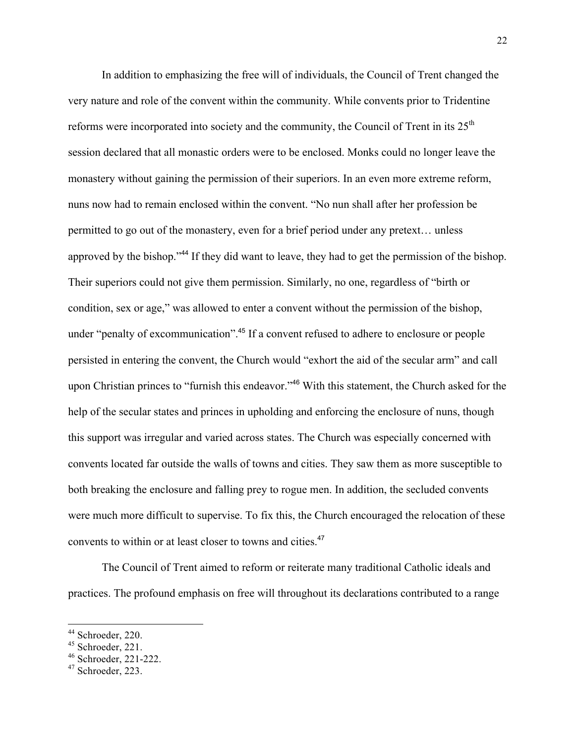In addition to emphasizing the free will of individuals, the Council of Trent changed the very nature and role of the convent within the community. While convents prior to Tridentine reforms were incorporated into society and the community, the Council of Trent in its 25<sup>th</sup> session declared that all monastic orders were to be enclosed. Monks could no longer leave the monastery without gaining the permission of their superiors. In an even more extreme reform, nuns now had to remain enclosed within the convent. "No nun shall after her profession be permitted to go out of the monastery, even for a brief period under any pretext… unless approved by the bishop."<sup>44</sup> If they did want to leave, they had to get the permission of the bishop. Their superiors could not give them permission. Similarly, no one, regardless of "birth or condition, sex or age," was allowed to enter a convent without the permission of the bishop, under "penalty of excommunication". <sup>45</sup> If a convent refused to adhere to enclosure or people persisted in entering the convent, the Church would "exhort the aid of the secular arm" and call upon Christian princes to "furnish this endeavor."<sup>46</sup> With this statement, the Church asked for the help of the secular states and princes in upholding and enforcing the enclosure of nuns, though this support was irregular and varied across states. The Church was especially concerned with convents located far outside the walls of towns and cities. They saw them as more susceptible to both breaking the enclosure and falling prey to rogue men. In addition, the secluded convents were much more difficult to supervise. To fix this, the Church encouraged the relocation of these convents to within or at least closer to towns and cities.<sup>47</sup>

The Council of Trent aimed to reform or reiterate many traditional Catholic ideals and practices. The profound emphasis on free will throughout its declarations contributed to a range

<sup>44</sup> Schroeder, 220.

 $45$  Schroeder, 221.

<sup>46</sup> Schroeder, 221-222.

<sup>47</sup> Schroeder, 223.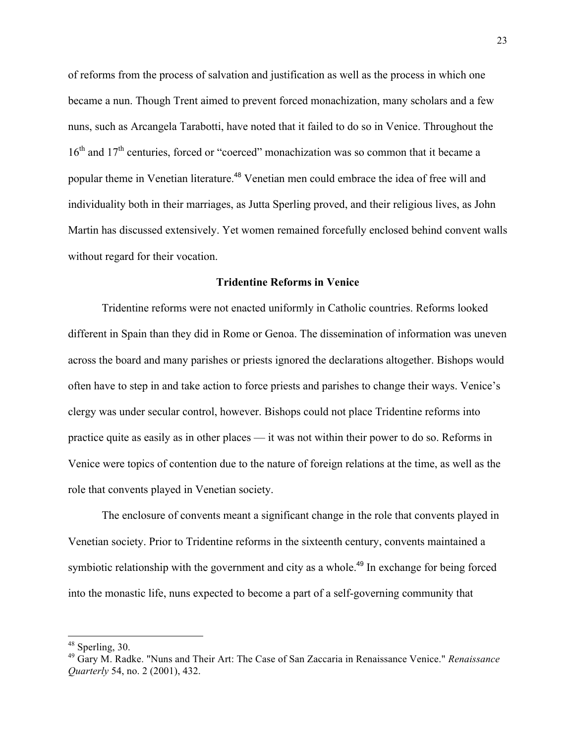of reforms from the process of salvation and justification as well as the process in which one became a nun. Though Trent aimed to prevent forced monachization, many scholars and a few nuns, such as Arcangela Tarabotti, have noted that it failed to do so in Venice. Throughout the  $16<sup>th</sup>$  and  $17<sup>th</sup>$  centuries, forced or "coerced" monachization was so common that it became a popular theme in Venetian literature. <sup>48</sup> Venetian men could embrace the idea of free will and individuality both in their marriages, as Jutta Sperling proved, and their religious lives, as John Martin has discussed extensively. Yet women remained forcefully enclosed behind convent walls without regard for their vocation.

#### **Tridentine Reforms in Venice**

Tridentine reforms were not enacted uniformly in Catholic countries. Reforms looked different in Spain than they did in Rome or Genoa. The dissemination of information was uneven across the board and many parishes or priests ignored the declarations altogether. Bishops would often have to step in and take action to force priests and parishes to change their ways. Venice's clergy was under secular control, however. Bishops could not place Tridentine reforms into practice quite as easily as in other places — it was not within their power to do so. Reforms in Venice were topics of contention due to the nature of foreign relations at the time, as well as the role that convents played in Venetian society.

The enclosure of convents meant a significant change in the role that convents played in Venetian society. Prior to Tridentine reforms in the sixteenth century, convents maintained a symbiotic relationship with the government and city as a whole.<sup>49</sup> In exchange for being forced into the monastic life, nuns expected to become a part of a self-governing community that

<sup>48</sup> Sperling, 30.

<sup>49</sup> Gary M. Radke. "Nuns and Their Art: The Case of San Zaccaria in Renaissance Venice." *Renaissance Quarterly* 54, no. 2 (2001), 432.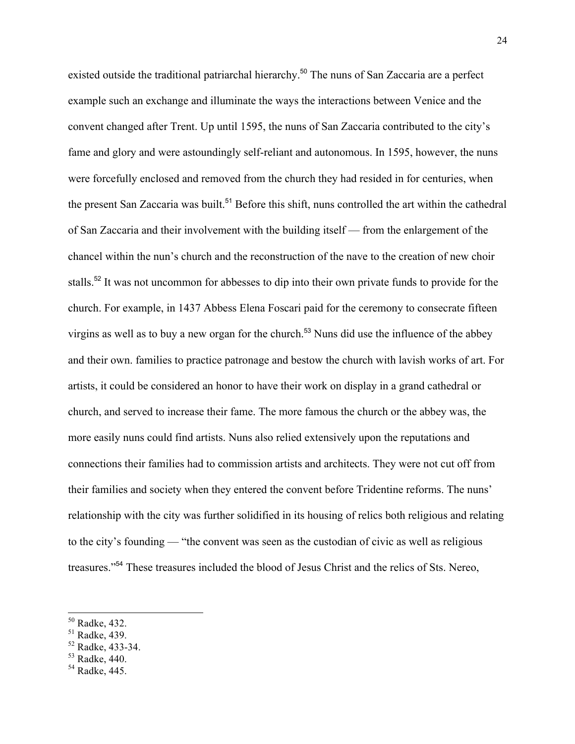existed outside the traditional patriarchal hierarchy.<sup>50</sup> The nuns of San Zaccaria are a perfect example such an exchange and illuminate the ways the interactions between Venice and the convent changed after Trent. Up until 1595, the nuns of San Zaccaria contributed to the city's fame and glory and were astoundingly self-reliant and autonomous. In 1595, however, the nuns were forcefully enclosed and removed from the church they had resided in for centuries, when the present San Zaccaria was built.<sup>51</sup> Before this shift, nuns controlled the art within the cathedral of San Zaccaria and their involvement with the building itself — from the enlargement of the chancel within the nun's church and the reconstruction of the nave to the creation of new choir stalls.<sup>52</sup> It was not uncommon for abbesses to dip into their own private funds to provide for the church. For example, in 1437 Abbess Elena Foscari paid for the ceremony to consecrate fifteen virgins as well as to buy a new organ for the church.<sup>53</sup> Nuns did use the influence of the abbey and their own. families to practice patronage and bestow the church with lavish works of art. For artists, it could be considered an honor to have their work on display in a grand cathedral or church, and served to increase their fame. The more famous the church or the abbey was, the more easily nuns could find artists. Nuns also relied extensively upon the reputations and connections their families had to commission artists and architects. They were not cut off from their families and society when they entered the convent before Tridentine reforms. The nuns' relationship with the city was further solidified in its housing of relics both religious and relating to the city's founding — "the convent was seen as the custodian of civic as well as religious treasures."<sup>54</sup> These treasures included the blood of Jesus Christ and the relics of Sts. Nereo,

<sup>50</sup> Radke, 432.

<sup>51</sup> Radke, 439.

<sup>52</sup> Radke, 433-34.

 $53$  Radke, 440.

<sup>54</sup> Radke, 445.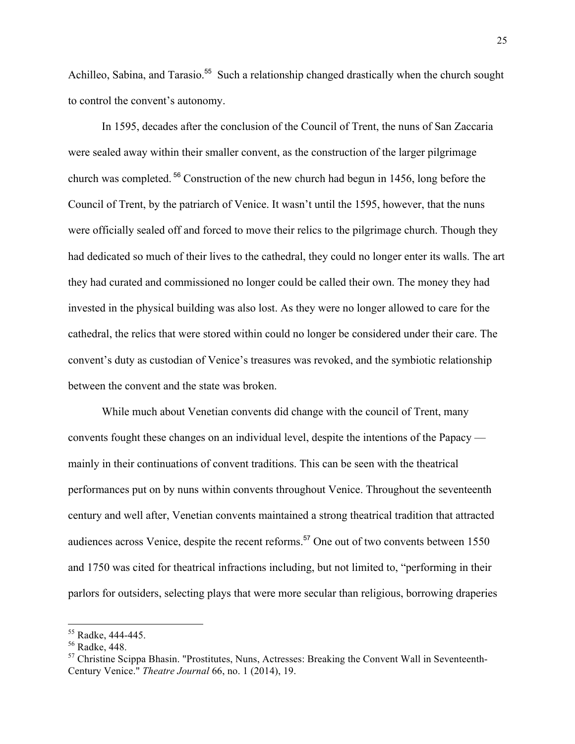Achilleo, Sabina, and Tarasio.<sup>55</sup> Such a relationship changed drastically when the church sought to control the convent's autonomy.

In 1595, decades after the conclusion of the Council of Trent, the nuns of San Zaccaria were sealed away within their smaller convent, as the construction of the larger pilgrimage church was completed. <sup>56</sup> Construction of the new church had begun in 1456, long before the Council of Trent, by the patriarch of Venice. It wasn't until the 1595, however, that the nuns were officially sealed off and forced to move their relics to the pilgrimage church. Though they had dedicated so much of their lives to the cathedral, they could no longer enter its walls. The art they had curated and commissioned no longer could be called their own. The money they had invested in the physical building was also lost. As they were no longer allowed to care for the cathedral, the relics that were stored within could no longer be considered under their care. The convent's duty as custodian of Venice's treasures was revoked, and the symbiotic relationship between the convent and the state was broken.

While much about Venetian convents did change with the council of Trent, many convents fought these changes on an individual level, despite the intentions of the Papacy mainly in their continuations of convent traditions. This can be seen with the theatrical performances put on by nuns within convents throughout Venice. Throughout the seventeenth century and well after, Venetian convents maintained a strong theatrical tradition that attracted audiences across Venice, despite the recent reforms.<sup>57</sup> One out of two convents between 1550 and 1750 was cited for theatrical infractions including, but not limited to, "performing in their parlors for outsiders, selecting plays that were more secular than religious, borrowing draperies

<sup>55</sup> Radke, 444-445.

<sup>56</sup> Radke, 448.

 $57$  Christine Scippa Bhasin. "Prostitutes, Nuns, Actresses: Breaking the Convent Wall in Seventeenth-Century Venice." *Theatre Journal* 66, no. 1 (2014), 19.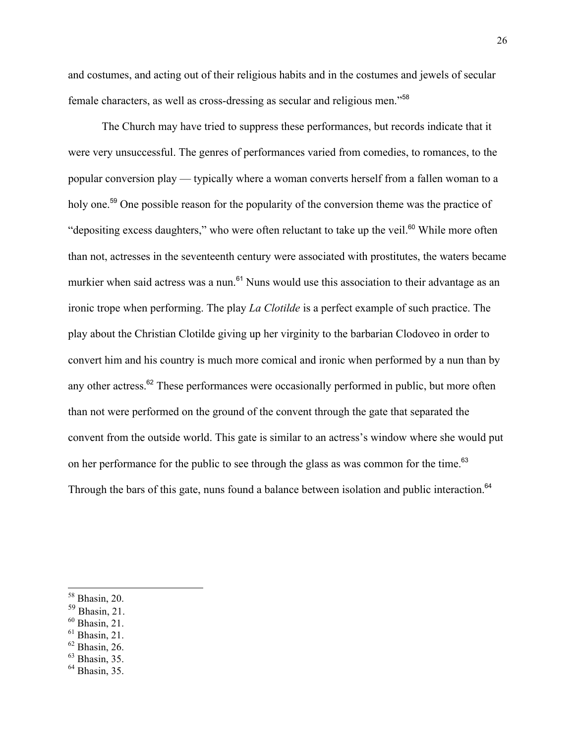and costumes, and acting out of their religious habits and in the costumes and jewels of secular female characters, as well as cross-dressing as secular and religious men."<sup>58</sup>

The Church may have tried to suppress these performances, but records indicate that it were very unsuccessful. The genres of performances varied from comedies, to romances, to the popular conversion play — typically where a woman converts herself from a fallen woman to a holy one.<sup>59</sup> One possible reason for the popularity of the conversion theme was the practice of "depositing excess daughters," who were often reluctant to take up the veil. $60$  While more often than not, actresses in the seventeenth century were associated with prostitutes, the waters became murkier when said actress was a nun.<sup>61</sup> Nuns would use this association to their advantage as an ironic trope when performing. The play *La Clotilde* is a perfect example of such practice. The play about the Christian Clotilde giving up her virginity to the barbarian Clodoveo in order to convert him and his country is much more comical and ironic when performed by a nun than by any other actress.<sup>62</sup> These performances were occasionally performed in public, but more often than not were performed on the ground of the convent through the gate that separated the convent from the outside world. This gate is similar to an actress's window where she would put on her performance for the public to see through the glass as was common for the time.<sup>63</sup> Through the bars of this gate, nuns found a balance between isolation and public interaction.<sup>64</sup>

 $60$  Bhasin, 21.

 $62$  Bhasin, 26.

 $58$  Bhasin, 20.

<sup>59</sup> Bhasin, 21.

 $<sup>61</sup>$  Bhasin, 21.</sup>

 $<sup>63</sup>$  Bhasin, 35.</sup>

<sup>64</sup> Bhasin, 35.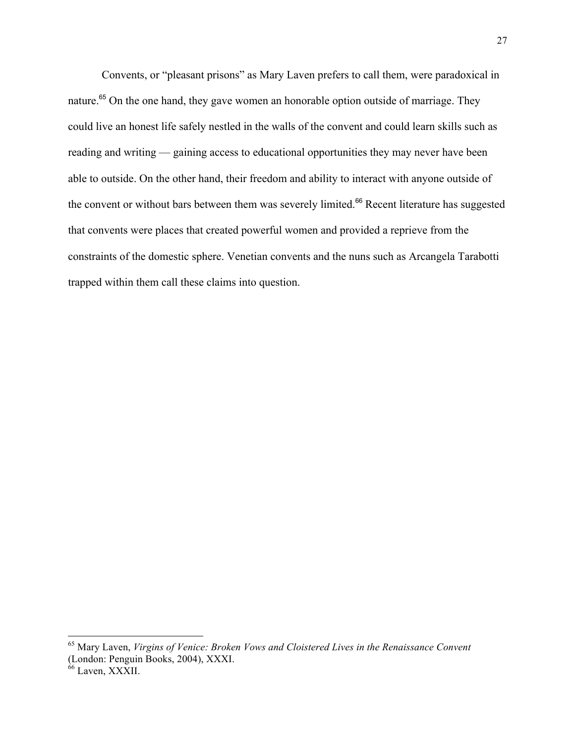Convents, or "pleasant prisons" as Mary Laven prefers to call them, were paradoxical in nature.<sup>65</sup> On the one hand, they gave women an honorable option outside of marriage. They could live an honest life safely nestled in the walls of the convent and could learn skills such as reading and writing — gaining access to educational opportunities they may never have been able to outside. On the other hand, their freedom and ability to interact with anyone outside of the convent or without bars between them was severely limited.<sup>66</sup> Recent literature has suggested that convents were places that created powerful women and provided a reprieve from the constraints of the domestic sphere. Venetian convents and the nuns such as Arcangela Tarabotti trapped within them call these claims into question.

<sup>65</sup> Mary Laven, *Virgins of Venice: Broken Vows and Cloistered Lives in the Renaissance Convent* (London: Penguin Books, 2004), XXXI.

<sup>&</sup>lt;sup>66</sup> Laven, XXXII.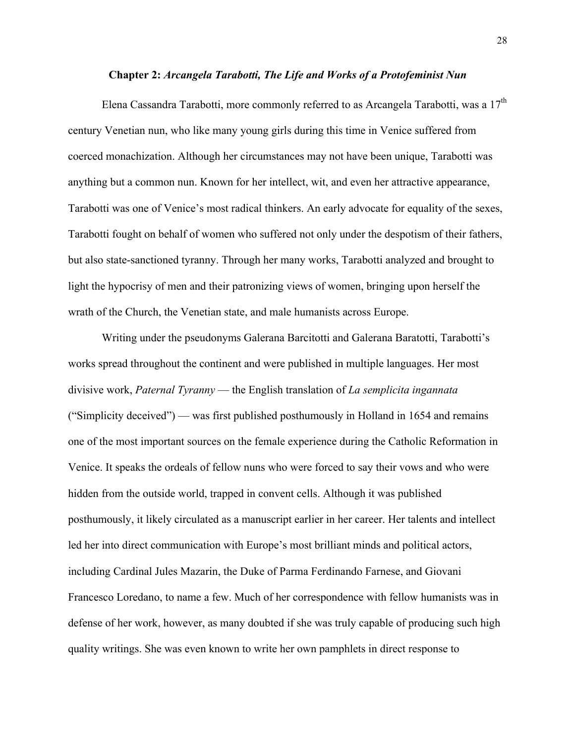#### **Chapter 2:** *Arcangela Tarabotti, The Life and Works of a Protofeminist Nun*

Elena Cassandra Tarabotti, more commonly referred to as Arcangela Tarabotti, was a 17<sup>th</sup> century Venetian nun, who like many young girls during this time in Venice suffered from coerced monachization. Although her circumstances may not have been unique, Tarabotti was anything but a common nun. Known for her intellect, wit, and even her attractive appearance, Tarabotti was one of Venice's most radical thinkers. An early advocate for equality of the sexes, Tarabotti fought on behalf of women who suffered not only under the despotism of their fathers, but also state-sanctioned tyranny. Through her many works, Tarabotti analyzed and brought to light the hypocrisy of men and their patronizing views of women, bringing upon herself the wrath of the Church, the Venetian state, and male humanists across Europe.

Writing under the pseudonyms Galerana Barcitotti and Galerana Baratotti, Tarabotti's works spread throughout the continent and were published in multiple languages. Her most divisive work, *Paternal Tyranny* — the English translation of *La semplicita ingannata* ("Simplicity deceived") — was first published posthumously in Holland in 1654 and remains one of the most important sources on the female experience during the Catholic Reformation in Venice. It speaks the ordeals of fellow nuns who were forced to say their vows and who were hidden from the outside world, trapped in convent cells. Although it was published posthumously, it likely circulated as a manuscript earlier in her career. Her talents and intellect led her into direct communication with Europe's most brilliant minds and political actors, including Cardinal Jules Mazarin, the Duke of Parma Ferdinando Farnese, and Giovani Francesco Loredano, to name a few. Much of her correspondence with fellow humanists was in defense of her work, however, as many doubted if she was truly capable of producing such high quality writings. She was even known to write her own pamphlets in direct response to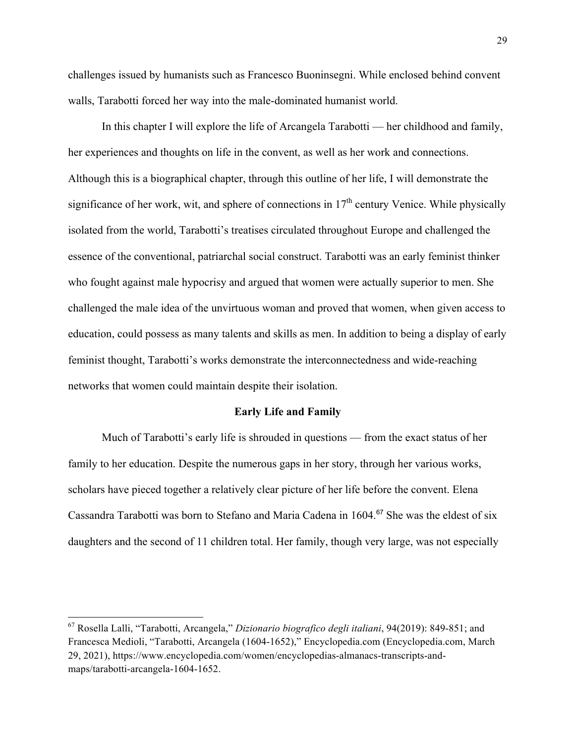challenges issued by humanists such as Francesco Buoninsegni. While enclosed behind convent walls, Tarabotti forced her way into the male-dominated humanist world.

In this chapter I will explore the life of Arcangela Tarabotti — her childhood and family, her experiences and thoughts on life in the convent, as well as her work and connections. Although this is a biographical chapter, through this outline of her life, I will demonstrate the significance of her work, wit, and sphere of connections in  $17<sup>th</sup>$  century Venice. While physically isolated from the world, Tarabotti's treatises circulated throughout Europe and challenged the essence of the conventional, patriarchal social construct. Tarabotti was an early feminist thinker who fought against male hypocrisy and argued that women were actually superior to men. She challenged the male idea of the unvirtuous woman and proved that women, when given access to education, could possess as many talents and skills as men. In addition to being a display of early feminist thought, Tarabotti's works demonstrate the interconnectedness and wide-reaching networks that women could maintain despite their isolation.

#### **Early Life and Family**

Much of Tarabotti's early life is shrouded in questions — from the exact status of her family to her education. Despite the numerous gaps in her story, through her various works, scholars have pieced together a relatively clear picture of her life before the convent. Elena Cassandra Tarabotti was born to Stefano and Maria Cadena in 1604.<sup>67</sup> She was the eldest of six daughters and the second of 11 children total. Her family, though very large, was not especially

 $\overline{a}$ 

<sup>67</sup> Rosella Lalli, "Tarabotti, Arcangela," *Dizionario biografico degli italiani*, 94(2019): 849-851; and Francesca Medioli, "Tarabotti, Arcangela (1604-1652)," Encyclopedia.com (Encyclopedia.com, March 29, 2021), https://www.encyclopedia.com/women/encyclopedias-almanacs-transcripts-andmaps/tarabotti-arcangela-1604-1652.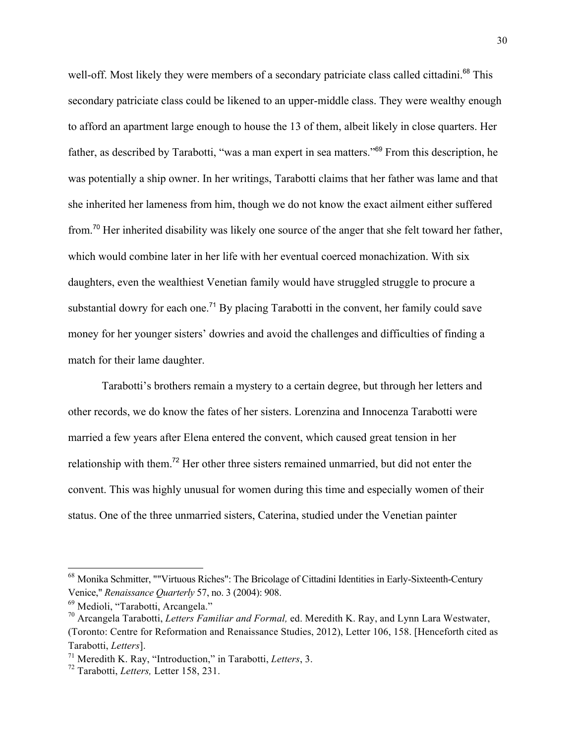well-off. Most likely they were members of a secondary patriciate class called cittadini.<sup>68</sup> This secondary patriciate class could be likened to an upper-middle class. They were wealthy enough to afford an apartment large enough to house the 13 of them, albeit likely in close quarters. Her father, as described by Tarabotti, "was a man expert in sea matters."<sup>69</sup> From this description, he was potentially a ship owner. In her writings, Tarabotti claims that her father was lame and that she inherited her lameness from him, though we do not know the exact ailment either suffered from.<sup>70</sup> Her inherited disability was likely one source of the anger that she felt toward her father, which would combine later in her life with her eventual coerced monachization. With six daughters, even the wealthiest Venetian family would have struggled struggle to procure a substantial dowry for each one.<sup>71</sup> By placing Tarabotti in the convent, her family could save money for her younger sisters' dowries and avoid the challenges and difficulties of finding a match for their lame daughter.

Tarabotti's brothers remain a mystery to a certain degree, but through her letters and other records, we do know the fates of her sisters. Lorenzina and Innocenza Tarabotti were married a few years after Elena entered the convent, which caused great tension in her relationship with them.<sup>72</sup> Her other three sisters remained unmarried, but did not enter the convent. This was highly unusual for women during this time and especially women of their status. One of the three unmarried sisters, Caterina, studied under the Venetian painter

<sup>&</sup>lt;sup>68</sup> Monika Schmitter, ""Virtuous Riches": The Bricolage of Cittadini Identities in Early-Sixteenth-Century Venice," *Renaissance Quarterly* 57, no. 3 (2004): 908.

<sup>69</sup> Medioli, "Tarabotti, Arcangela."

<sup>70</sup> Arcangela Tarabotti, *Letters Familiar and Formal,* ed. Meredith K. Ray, and Lynn Lara Westwater, (Toronto: Centre for Reformation and Renaissance Studies, 2012), Letter 106, 158. [Henceforth cited as Tarabotti, *Letters*].

<sup>71</sup> Meredith K. Ray, "Introduction," in Tarabotti, *Letters*, 3.

<sup>72</sup> Tarabotti, *Letters,* Letter 158, 231.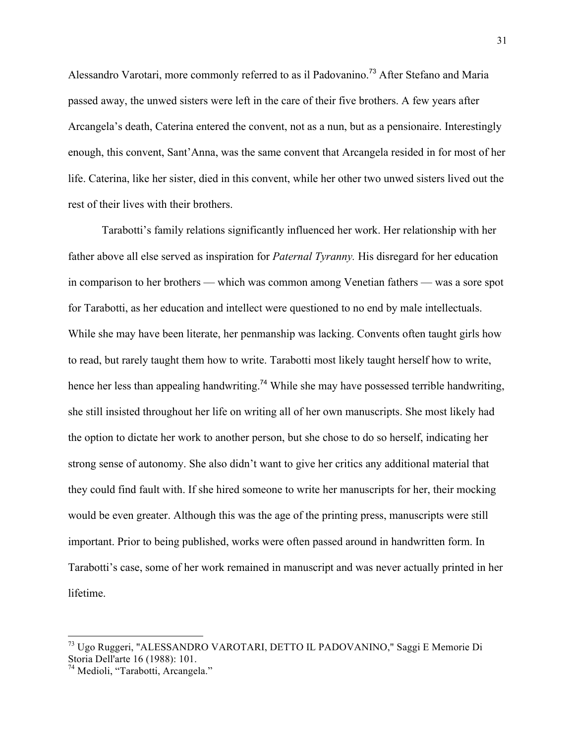Alessandro Varotari, more commonly referred to as il Padovanino.<sup>73</sup> After Stefano and Maria passed away, the unwed sisters were left in the care of their five brothers. A few years after Arcangela's death, Caterina entered the convent, not as a nun, but as a pensionaire. Interestingly enough, this convent, Sant'Anna, was the same convent that Arcangela resided in for most of her life. Caterina, like her sister, died in this convent, while her other two unwed sisters lived out the rest of their lives with their brothers.

Tarabotti's family relations significantly influenced her work. Her relationship with her father above all else served as inspiration for *Paternal Tyranny.* His disregard for her education in comparison to her brothers — which was common among Venetian fathers — was a sore spot for Tarabotti, as her education and intellect were questioned to no end by male intellectuals. While she may have been literate, her penmanship was lacking. Convents often taught girls how to read, but rarely taught them how to write. Tarabotti most likely taught herself how to write, hence her less than appealing handwriting.<sup>74</sup> While she may have possessed terrible handwriting, she still insisted throughout her life on writing all of her own manuscripts. She most likely had the option to dictate her work to another person, but she chose to do so herself, indicating her strong sense of autonomy. She also didn't want to give her critics any additional material that they could find fault with. If she hired someone to write her manuscripts for her, their mocking would be even greater. Although this was the age of the printing press, manuscripts were still important. Prior to being published, works were often passed around in handwritten form. In Tarabotti's case, some of her work remained in manuscript and was never actually printed in her lifetime.

<sup>73</sup> Ugo Ruggeri, "ALESSANDRO VAROTARI, DETTO IL PADOVANINO," Saggi E Memorie Di Storia Dell'arte 16 (1988): 101.

<sup>74</sup> Medioli, "Tarabotti, Arcangela."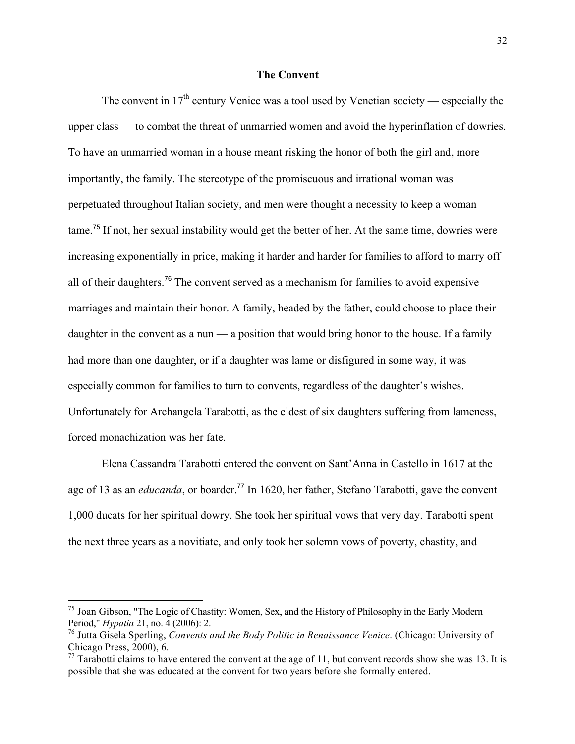#### **The Convent**

The convent in  $17<sup>th</sup>$  century Venice was a tool used by Venetian society — especially the upper class — to combat the threat of unmarried women and avoid the hyperinflation of dowries. To have an unmarried woman in a house meant risking the honor of both the girl and, more importantly, the family. The stereotype of the promiscuous and irrational woman was perpetuated throughout Italian society, and men were thought a necessity to keep a woman tame.<sup>75</sup> If not, her sexual instability would get the better of her. At the same time, dowries were increasing exponentially in price, making it harder and harder for families to afford to marry off all of their daughters.<sup>76</sup> The convent served as a mechanism for families to avoid expensive marriages and maintain their honor. A family, headed by the father, could choose to place their daughter in the convent as a nun  $-$  a position that would bring honor to the house. If a family had more than one daughter, or if a daughter was lame or disfigured in some way, it was especially common for families to turn to convents, regardless of the daughter's wishes. Unfortunately for Archangela Tarabotti, as the eldest of six daughters suffering from lameness, forced monachization was her fate.

Elena Cassandra Tarabotti entered the convent on Sant'Anna in Castello in 1617 at the age of 13 as an *educanda*, or boarder.<sup>77</sup> In 1620, her father, Stefano Tarabotti, gave the convent 1,000 ducats for her spiritual dowry. She took her spiritual vows that very day. Tarabotti spent the next three years as a novitiate, and only took her solemn vows of poverty, chastity, and

<sup>&</sup>lt;sup>75</sup> Joan Gibson, "The Logic of Chastity: Women, Sex, and the History of Philosophy in the Early Modern Period," *Hypatia* 21, no. 4 (2006): 2.

<sup>76</sup> Jutta Gisela Sperling, *Convents and the Body Politic in Renaissance Venice*. (Chicago: University of Chicago Press, 2000), 6.

 $^{77}$  Tarabotti claims to have entered the convent at the age of 11, but convent records show she was 13. It is possible that she was educated at the convent for two years before she formally entered.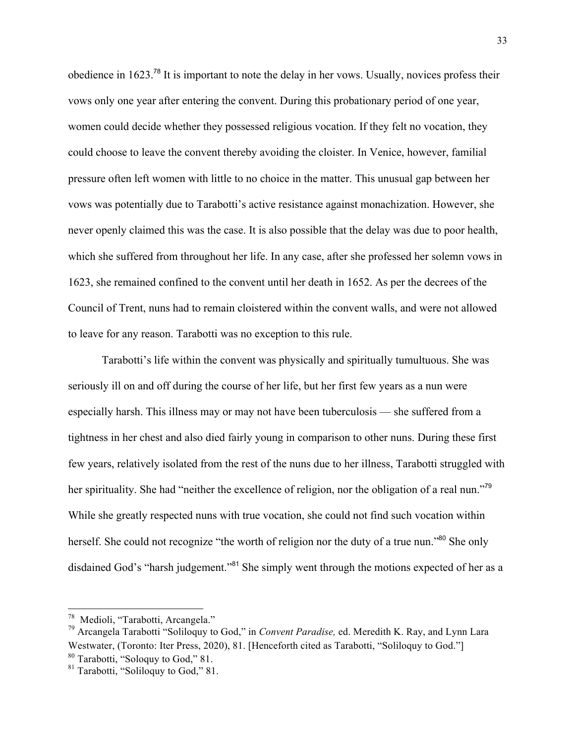obedience in 1623.<sup>78</sup> It is important to note the delay in her vows. Usually, novices profess their vows only one year after entering the convent. During this probationary period of one year, women could decide whether they possessed religious vocation. If they felt no vocation, they could choose to leave the convent thereby avoiding the cloister. In Venice, however, familial pressure often left women with little to no choice in the matter. This unusual gap between her vows was potentially due to Tarabotti's active resistance against monachization. However, she never openly claimed this was the case. It is also possible that the delay was due to poor health, which she suffered from throughout her life. In any case, after she professed her solemn vows in 1623, she remained confined to the convent until her death in 1652. As per the decrees of the Council of Trent, nuns had to remain cloistered within the convent walls, and were not allowed to leave for any reason. Tarabotti was no exception to this rule.

Tarabotti's life within the convent was physically and spiritually tumultuous. She was seriously ill on and off during the course of her life, but her first few years as a nun were especially harsh. This illness may or may not have been tuberculosis — she suffered from a tightness in her chest and also died fairly young in comparison to other nuns. During these first few years, relatively isolated from the rest of the nuns due to her illness, Tarabotti struggled with her spirituality. She had "neither the excellence of religion, nor the obligation of a real nun."<sup>79</sup> While she greatly respected nuns with true vocation, she could not find such vocation within herself. She could not recognize "the worth of religion nor the duty of a true nun."<sup>80</sup> She only disdained God's "harsh judgement."<sup>81</sup> She simply went through the motions expected of her as a

<sup>78</sup> Medioli, "Tarabotti, Arcangela."

<sup>79</sup> Arcangela Tarabotti "Soliloquy to God," in *Convent Paradise,* ed. Meredith K. Ray, and Lynn Lara Westwater, (Toronto: Iter Press, 2020), 81. [Henceforth cited as Tarabotti, "Soliloquy to God."] <sup>80</sup> Tarabotti, "Soloquy to God," 81.

 $81$  Tarabotti, "Soliloquy to God," 81.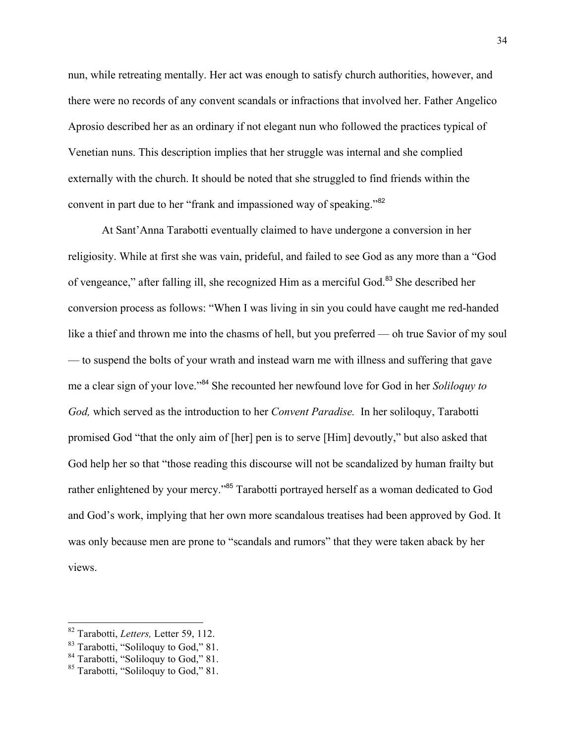nun, while retreating mentally. Her act was enough to satisfy church authorities, however, and there were no records of any convent scandals or infractions that involved her. Father Angelico Aprosio described her as an ordinary if not elegant nun who followed the practices typical of Venetian nuns. This description implies that her struggle was internal and she complied externally with the church. It should be noted that she struggled to find friends within the convent in part due to her "frank and impassioned way of speaking."<sup>82</sup>

At Sant'Anna Tarabotti eventually claimed to have undergone a conversion in her religiosity. While at first she was vain, prideful, and failed to see God as any more than a "God of vengeance," after falling ill, she recognized Him as a merciful God.<sup>83</sup> She described her conversion process as follows: "When I was living in sin you could have caught me red-handed like a thief and thrown me into the chasms of hell, but you preferred — oh true Savior of my soul — to suspend the bolts of your wrath and instead warn me with illness and suffering that gave me a clear sign of your love."<sup>84</sup> She recounted her newfound love for God in her *Soliloquy to God,* which served as the introduction to her *Convent Paradise.* In her soliloquy, Tarabotti promised God "that the only aim of [her] pen is to serve [Him] devoutly," but also asked that God help her so that "those reading this discourse will not be scandalized by human frailty but rather enlightened by your mercy."<sup>85</sup> Tarabotti portrayed herself as a woman dedicated to God and God's work, implying that her own more scandalous treatises had been approved by God. It was only because men are prone to "scandals and rumors" that they were taken aback by her views.

<sup>82</sup> Tarabotti, *Letters,* Letter 59, 112.

<sup>83</sup> Tarabotti, "Soliloquy to God," 81.

 $84$  Tarabotti, "Soliloquy to God," 81.

<sup>&</sup>lt;sup>85</sup> Tarabotti, "Soliloquy to God," 81.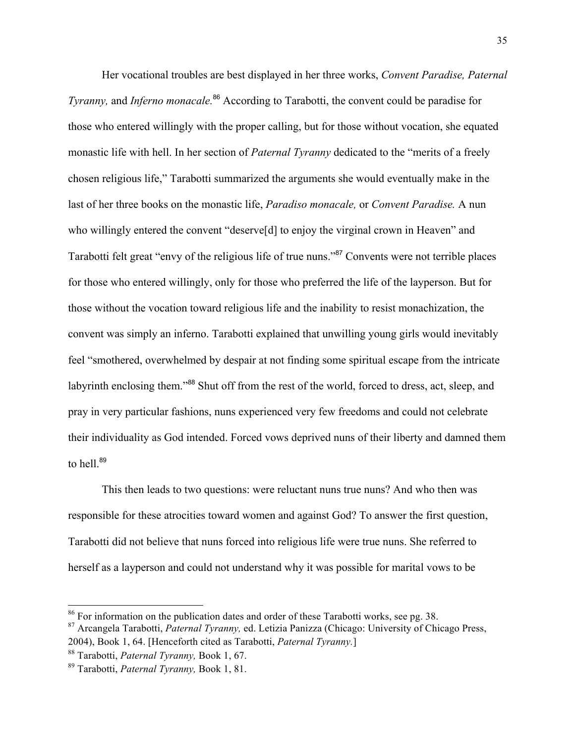Her vocational troubles are best displayed in her three works, *Convent Paradise, Paternal Tyranny,* and *Inferno monacale.* <sup>86</sup> According to Tarabotti, the convent could be paradise for those who entered willingly with the proper calling, but for those without vocation, she equated monastic life with hell. In her section of *Paternal Tyranny* dedicated to the "merits of a freely chosen religious life," Tarabotti summarized the arguments she would eventually make in the last of her three books on the monastic life, *Paradiso monacale,* or *Convent Paradise.* A nun who willingly entered the convent "deserve<sup>[d]</sup> to enjoy the virginal crown in Heaven" and Tarabotti felt great "envy of the religious life of true nuns."<sup>87</sup> Convents were not terrible places for those who entered willingly, only for those who preferred the life of the layperson. But for those without the vocation toward religious life and the inability to resist monachization, the convent was simply an inferno. Tarabotti explained that unwilling young girls would inevitably feel "smothered, overwhelmed by despair at not finding some spiritual escape from the intricate labyrinth enclosing them."<sup>88</sup> Shut off from the rest of the world, forced to dress, act, sleep, and pray in very particular fashions, nuns experienced very few freedoms and could not celebrate their individuality as God intended. Forced vows deprived nuns of their liberty and damned them to hell. $89$ 

This then leads to two questions: were reluctant nuns true nuns? And who then was responsible for these atrocities toward women and against God? To answer the first question, Tarabotti did not believe that nuns forced into religious life were true nuns. She referred to herself as a layperson and could not understand why it was possible for marital vows to be

 $\overline{a}$ 

 $86$  For information on the publication dates and order of these Tarabotti works, see pg. 38.

<sup>87</sup> Arcangela Tarabotti, *Paternal Tyranny,* ed. Letizia Panizza (Chicago: University of Chicago Press, 2004), Book 1, 64. [Henceforth cited as Tarabotti, *Paternal Tyranny.*]

<sup>88</sup> Tarabotti, *Paternal Tyranny,* Book 1, 67.

<sup>89</sup> Tarabotti, *Paternal Tyranny,* Book 1, 81.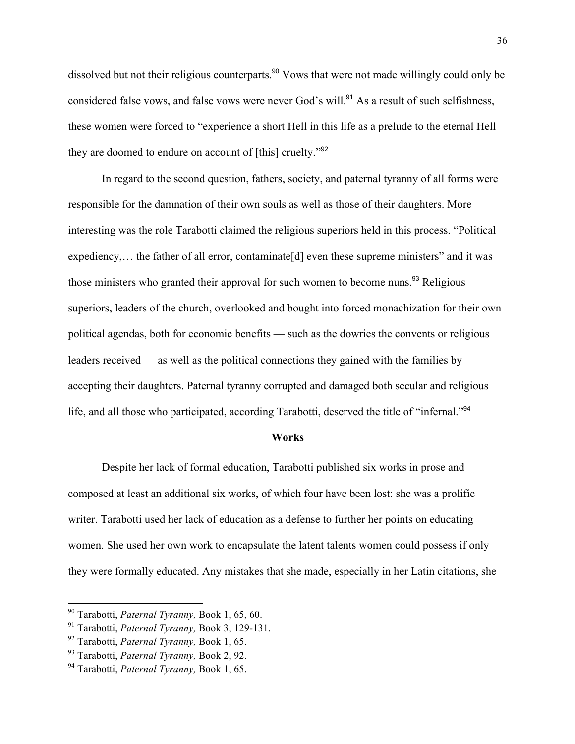dissolved but not their religious counterparts.<sup>90</sup> Vows that were not made willingly could only be considered false vows, and false vows were never God's will.<sup>91</sup> As a result of such selfishness, these women were forced to "experience a short Hell in this life as a prelude to the eternal Hell they are doomed to endure on account of [this] cruelty."<sup>92</sup>

In regard to the second question, fathers, society, and paternal tyranny of all forms were responsible for the damnation of their own souls as well as those of their daughters. More interesting was the role Tarabotti claimed the religious superiors held in this process. "Political expediency,... the father of all error, contaminate [d] even these supreme ministers" and it was those ministers who granted their approval for such women to become nuns.<sup>93</sup> Religious superiors, leaders of the church, overlooked and bought into forced monachization for their own political agendas, both for economic benefits — such as the dowries the convents or religious leaders received — as well as the political connections they gained with the families by accepting their daughters. Paternal tyranny corrupted and damaged both secular and religious life, and all those who participated, according Tarabotti, deserved the title of "infernal."<sup>94</sup>

#### **Works**

Despite her lack of formal education, Tarabotti published six works in prose and composed at least an additional six works, of which four have been lost: she was a prolific writer. Tarabotti used her lack of education as a defense to further her points on educating women. She used her own work to encapsulate the latent talents women could possess if only they were formally educated. Any mistakes that she made, especially in her Latin citations, she

<sup>90</sup> Tarabotti, *Paternal Tyranny,* Book 1, 65, 60.

<sup>91</sup> Tarabotti, *Paternal Tyranny,* Book 3, 129-131.

<sup>92</sup> Tarabotti, *Paternal Tyranny,* Book 1, 65.

<sup>93</sup> Tarabotti, *Paternal Tyranny,* Book 2, 92.

<sup>94</sup> Tarabotti, *Paternal Tyranny,* Book 1, 65.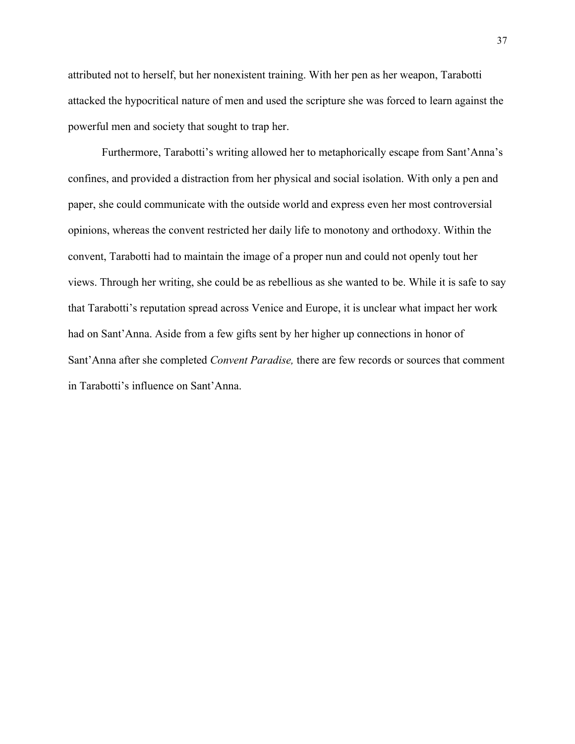attributed not to herself, but her nonexistent training. With her pen as her weapon, Tarabotti attacked the hypocritical nature of men and used the scripture she was forced to learn against the powerful men and society that sought to trap her.

Furthermore, Tarabotti's writing allowed her to metaphorically escape from Sant'Anna's confines, and provided a distraction from her physical and social isolation. With only a pen and paper, she could communicate with the outside world and express even her most controversial opinions, whereas the convent restricted her daily life to monotony and orthodoxy. Within the convent, Tarabotti had to maintain the image of a proper nun and could not openly tout her views. Through her writing, she could be as rebellious as she wanted to be. While it is safe to say that Tarabotti's reputation spread across Venice and Europe, it is unclear what impact her work had on Sant'Anna. Aside from a few gifts sent by her higher up connections in honor of Sant'Anna after she completed *Convent Paradise,* there are few records or sources that comment in Tarabotti's influence on Sant'Anna.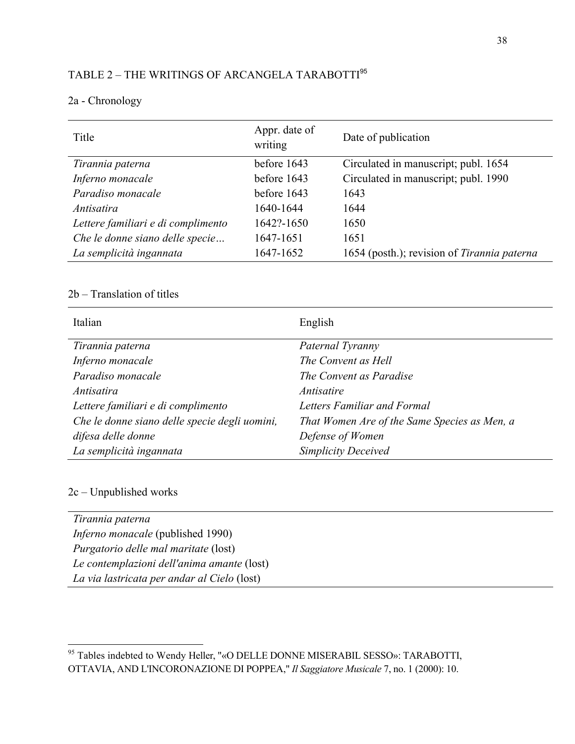# TABLE 2 – THE WRITINGS OF ARCANGELA TARABOTTI<sup>95</sup>

## 2a - Chronology

| Title                              | Appr. date of<br>writing | Date of publication                         |
|------------------------------------|--------------------------|---------------------------------------------|
| Tirannia paterna                   | before 1643              | Circulated in manuscript; publ. 1654        |
| Inferno monacale                   | before 1643              | Circulated in manuscript; publ. 1990        |
| Paradiso monacale                  | before 1643              | 1643                                        |
| Antisatira                         | 1640-1644                | 1644                                        |
| Lettere familiari e di complimento | 1642?-1650               | 1650                                        |
| Che le donne siano delle specie    | 1647-1651                | 1651                                        |
| La semplicità ingannata            | 1647-1652                | 1654 (posth.); revision of Tirannia paterna |

## 2b – Translation of titles

| Italian                                       | English                                      |
|-----------------------------------------------|----------------------------------------------|
| Tirannia paterna                              | Paternal Tyranny                             |
| Inferno monacale                              | The Convent as Hell                          |
| Paradiso monacale                             | The Convent as Paradise                      |
| Antisatira                                    | <i>Antisatire</i>                            |
| Lettere familiari e di complimento            | Letters Familiar and Formal                  |
| Che le donne siano delle specie degli uomini, | That Women Are of the Same Species as Men, a |
| difesa delle donne                            | Defense of Women                             |
| La semplicità ingannata                       | <b>Simplicity Deceived</b>                   |

### 2c – Unpublished works

| Tirannia paterna                            |  |
|---------------------------------------------|--|
| <i>Inferno monacale</i> (published 1990)    |  |
| <i>Purgatorio delle mal maritate</i> (lost) |  |
| Le contemplazioni dell'anima amante (lost)  |  |
| La via lastricata per andar al Cielo (lost) |  |
|                                             |  |

<sup>&</sup>lt;sup>95</sup> Tables indebted to Wendy Heller, "«O DELLE DONNE MISERABIL SESSO»: TARABOTTI, OTTAVIA, AND L'INCORONAZIONE DI POPPEA," *Il Saggiatore Musicale* 7, no. 1 (2000): 10.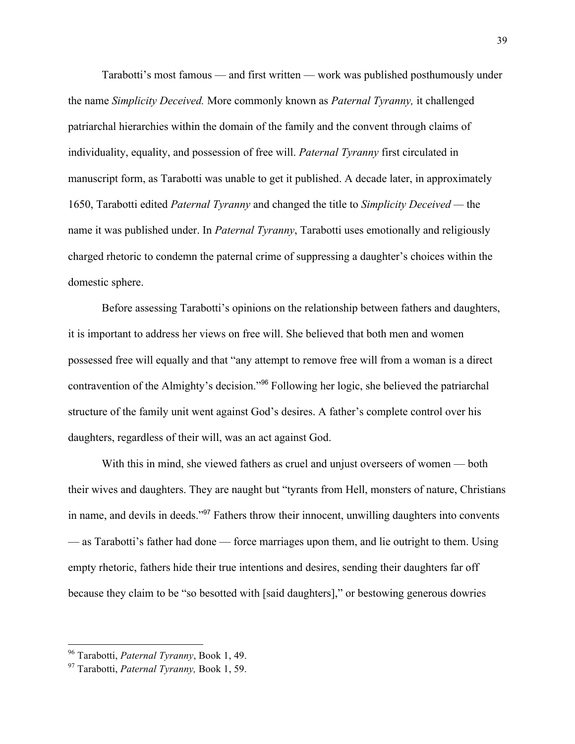Tarabotti's most famous — and first written — work was published posthumously under the name *Simplicity Deceived.* More commonly known as *Paternal Tyranny,* it challenged patriarchal hierarchies within the domain of the family and the convent through claims of individuality, equality, and possession of free will. *Paternal Tyranny* first circulated in manuscript form, as Tarabotti was unable to get it published. A decade later, in approximately 1650, Tarabotti edited *Paternal Tyranny* and changed the title to *Simplicity Deceived —* the name it was published under. In *Paternal Tyranny*, Tarabotti uses emotionally and religiously charged rhetoric to condemn the paternal crime of suppressing a daughter's choices within the domestic sphere.

Before assessing Tarabotti's opinions on the relationship between fathers and daughters, it is important to address her views on free will. She believed that both men and women possessed free will equally and that "any attempt to remove free will from a woman is a direct contravention of the Almighty's decision."<sup>96</sup> Following her logic, she believed the patriarchal structure of the family unit went against God's desires. A father's complete control over his daughters, regardless of their will, was an act against God.

With this in mind, she viewed fathers as cruel and unjust overseers of women — both their wives and daughters. They are naught but "tyrants from Hell, monsters of nature, Christians in name, and devils in deeds."<sup>97</sup> Fathers throw their innocent, unwilling daughters into convents — as Tarabotti's father had done — force marriages upon them, and lie outright to them. Using empty rhetoric, fathers hide their true intentions and desires, sending their daughters far off because they claim to be "so besotted with [said daughters]," or bestowing generous dowries

<sup>96</sup> Tarabotti, *Paternal Tyranny*, Book 1, 49.

<sup>97</sup> Tarabotti, *Paternal Tyranny,* Book 1, 59.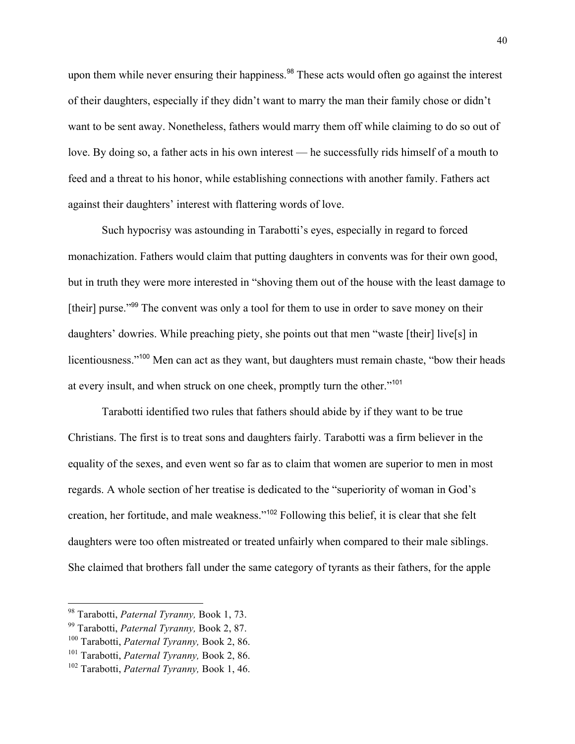upon them while never ensuring their happiness.<sup>98</sup> These acts would often go against the interest of their daughters, especially if they didn't want to marry the man their family chose or didn't want to be sent away. Nonetheless, fathers would marry them off while claiming to do so out of love. By doing so, a father acts in his own interest — he successfully rids himself of a mouth to feed and a threat to his honor, while establishing connections with another family. Fathers act against their daughters' interest with flattering words of love.

Such hypocrisy was astounding in Tarabotti's eyes, especially in regard to forced monachization. Fathers would claim that putting daughters in convents was for their own good, but in truth they were more interested in "shoving them out of the house with the least damage to [their] purse."<sup>99</sup> The convent was only a tool for them to use in order to save money on their daughters' dowries. While preaching piety, she points out that men "waste [their] live[s] in licentiousness."<sup>100</sup> Men can act as they want, but daughters must remain chaste, "bow their heads at every insult, and when struck on one cheek, promptly turn the other."<sup>101</sup>

Tarabotti identified two rules that fathers should abide by if they want to be true Christians. The first is to treat sons and daughters fairly. Tarabotti was a firm believer in the equality of the sexes, and even went so far as to claim that women are superior to men in most regards. A whole section of her treatise is dedicated to the "superiority of woman in God's creation, her fortitude, and male weakness."<sup>102</sup> Following this belief, it is clear that she felt daughters were too often mistreated or treated unfairly when compared to their male siblings. She claimed that brothers fall under the same category of tyrants as their fathers, for the apple

<sup>98</sup> Tarabotti, *Paternal Tyranny,* Book 1, 73.

<sup>99</sup> Tarabotti, *Paternal Tyranny,* Book 2, 87.

<sup>100</sup> Tarabotti, *Paternal Tyranny,* Book 2, 86.

<sup>101</sup> Tarabotti, *Paternal Tyranny,* Book 2, 86.

<sup>102</sup> Tarabotti, *Paternal Tyranny,* Book 1, 46.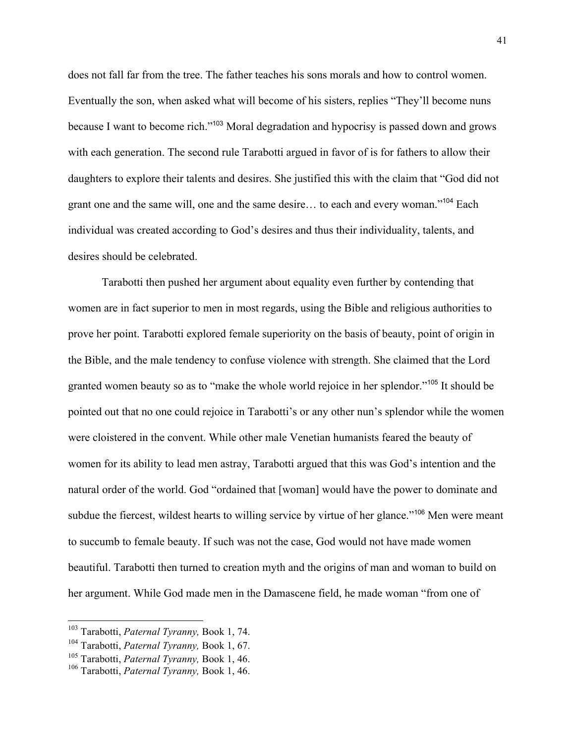does not fall far from the tree. The father teaches his sons morals and how to control women. Eventually the son, when asked what will become of his sisters, replies "They'll become nuns because I want to become rich."<sup>103</sup> Moral degradation and hypocrisy is passed down and grows with each generation. The second rule Tarabotti argued in favor of is for fathers to allow their daughters to explore their talents and desires. She justified this with the claim that "God did not grant one and the same will, one and the same desire... to each and every woman."<sup>104</sup> Each individual was created according to God's desires and thus their individuality, talents, and desires should be celebrated.

Tarabotti then pushed her argument about equality even further by contending that women are in fact superior to men in most regards, using the Bible and religious authorities to prove her point. Tarabotti explored female superiority on the basis of beauty, point of origin in the Bible, and the male tendency to confuse violence with strength. She claimed that the Lord granted women beauty so as to "make the whole world rejoice in her splendor."<sup>105</sup> It should be pointed out that no one could rejoice in Tarabotti's or any other nun's splendor while the women were cloistered in the convent. While other male Venetian humanists feared the beauty of women for its ability to lead men astray, Tarabotti argued that this was God's intention and the natural order of the world. God "ordained that [woman] would have the power to dominate and subdue the fiercest, wildest hearts to willing service by virtue of her glance."<sup>106</sup> Men were meant to succumb to female beauty. If such was not the case, God would not have made women beautiful. Tarabotti then turned to creation myth and the origins of man and woman to build on her argument. While God made men in the Damascene field, he made woman "from one of

<sup>103</sup> Tarabotti, *Paternal Tyranny,* Book 1, 74.

<sup>104</sup> Tarabotti, *Paternal Tyranny,* Book 1, 67.

<sup>105</sup> Tarabotti, *Paternal Tyranny,* Book 1, 46.

<sup>106</sup> Tarabotti, *Paternal Tyranny,* Book 1, 46.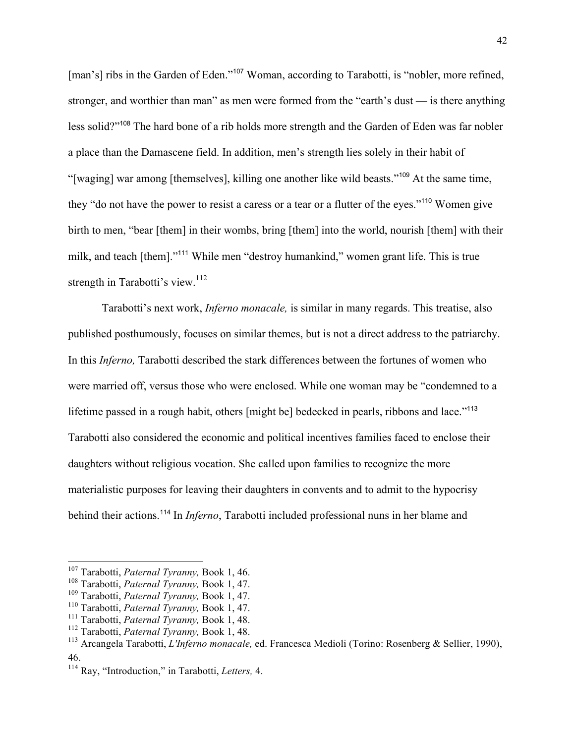[man's] ribs in the Garden of Eden."<sup>107</sup> Woman, according to Tarabotti, is "nobler, more refined, stronger, and worthier than man" as men were formed from the "earth's dust — is there anything less solid?"<sup>108</sup> The hard bone of a rib holds more strength and the Garden of Eden was far nobler a place than the Damascene field. In addition, men's strength lies solely in their habit of "[waging] war among [themselves], killing one another like wild beasts."<sup>109</sup> At the same time, they "do not have the power to resist a caress or a tear or a flutter of the eyes."<sup>110</sup> Women give birth to men, "bear [them] in their wombs, bring [them] into the world, nourish [them] with their milk, and teach [them]."<sup>111</sup> While men "destroy humankind," women grant life. This is true strength in Tarabotti's view.<sup>112</sup>

Tarabotti's next work, *Inferno monacale,* is similar in many regards. This treatise, also published posthumously, focuses on similar themes, but is not a direct address to the patriarchy. In this *Inferno,* Tarabotti described the stark differences between the fortunes of women who were married off, versus those who were enclosed. While one woman may be "condemned to a lifetime passed in a rough habit, others [might be] bedecked in pearls, ribbons and lace."<sup>113</sup> Tarabotti also considered the economic and political incentives families faced to enclose their daughters without religious vocation. She called upon families to recognize the more materialistic purposes for leaving their daughters in convents and to admit to the hypocrisy behind their actions.<sup>114</sup> In *Inferno*, Tarabotti included professional nuns in her blame and

<sup>107</sup> Tarabotti, *Paternal Tyranny,* Book 1, 46.

<sup>108</sup> Tarabotti, *Paternal Tyranny,* Book 1, 47.

<sup>109</sup> Tarabotti, *Paternal Tyranny,* Book 1, 47.

<sup>110</sup> Tarabotti, *Paternal Tyranny,* Book 1, 47.

<sup>&</sup>lt;sup>111</sup> Tarabotti, *Paternal Tyranny*, Book 1, 48.<br><sup>112</sup> Tarabotti, *Paternal Tyranny*, Book 1, 48.

<sup>&</sup>lt;sup>113</sup> Arcangela Tarabotti, *L'Inferno monacale*, ed. Francesca Medioli (Torino: Rosenberg & Sellier, 1990), 46.

<sup>114</sup> Ray, "Introduction," in Tarabotti, *Letters,* 4.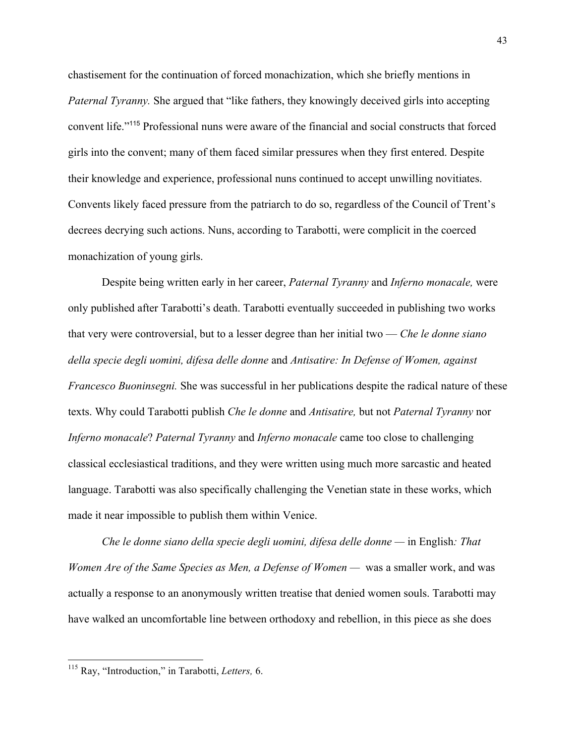chastisement for the continuation of forced monachization, which she briefly mentions in *Paternal Tyranny.* She argued that "like fathers, they knowingly deceived girls into accepting convent life."<sup>115</sup> Professional nuns were aware of the financial and social constructs that forced girls into the convent; many of them faced similar pressures when they first entered. Despite their knowledge and experience, professional nuns continued to accept unwilling novitiates. Convents likely faced pressure from the patriarch to do so, regardless of the Council of Trent's decrees decrying such actions. Nuns, according to Tarabotti, were complicit in the coerced monachization of young girls.

Despite being written early in her career, *Paternal Tyranny* and *Inferno monacale,* were only published after Tarabotti's death. Tarabotti eventually succeeded in publishing two works that very were controversial, but to a lesser degree than her initial two — *Che le donne siano della specie degli uomini, difesa delle donne* and *Antisatire: In Defense of Women, against Francesco Buoninsegni.* She was successful in her publications despite the radical nature of these texts. Why could Tarabotti publish *Che le donne* and *Antisatire,* but not *Paternal Tyranny* nor *Inferno monacale*? *Paternal Tyranny* and *Inferno monacale* came too close to challenging classical ecclesiastical traditions, and they were written using much more sarcastic and heated language. Tarabotti was also specifically challenging the Venetian state in these works, which made it near impossible to publish them within Venice.

*Che le donne siano della specie degli uomini, difesa delle donne —* in English*: That Women Are of the Same Species as Men, a Defense of Women —* was a smaller work, and was actually a response to an anonymously written treatise that denied women souls. Tarabotti may have walked an uncomfortable line between orthodoxy and rebellion, in this piece as she does

<sup>115</sup> Ray, "Introduction," in Tarabotti, *Letters,* 6.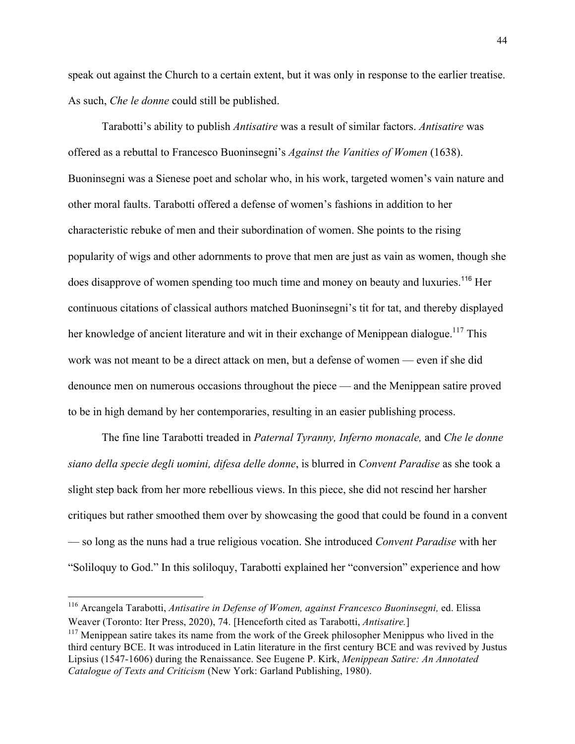speak out against the Church to a certain extent, but it was only in response to the earlier treatise. As such, *Che le donne* could still be published.

Tarabotti's ability to publish *Antisatire* was a result of similar factors. *Antisatire* was offered as a rebuttal to Francesco Buoninsegni's *Against the Vanities of Women* (1638). Buoninsegni was a Sienese poet and scholar who, in his work, targeted women's vain nature and other moral faults. Tarabotti offered a defense of women's fashions in addition to her characteristic rebuke of men and their subordination of women. She points to the rising popularity of wigs and other adornments to prove that men are just as vain as women, though she does disapprove of women spending too much time and money on beauty and luxuries.<sup>116</sup> Her continuous citations of classical authors matched Buoninsegni's tit for tat, and thereby displayed her knowledge of ancient literature and wit in their exchange of Menippean dialogue.<sup>117</sup> This work was not meant to be a direct attack on men, but a defense of women — even if she did denounce men on numerous occasions throughout the piece — and the Menippean satire proved to be in high demand by her contemporaries, resulting in an easier publishing process.

The fine line Tarabotti treaded in *Paternal Tyranny, Inferno monacale,* and *Che le donne siano della specie degli uomini, difesa delle donne*, is blurred in *Convent Paradise* as she took a slight step back from her more rebellious views. In this piece, she did not rescind her harsher critiques but rather smoothed them over by showcasing the good that could be found in a convent — so long as the nuns had a true religious vocation. She introduced *Convent Paradise* with her "Soliloquy to God." In this soliloquy, Tarabotti explained her "conversion" experience and how

<sup>116</sup> Arcangela Tarabotti, *Antisatire in Defense of Women, against Francesco Buoninsegni,* ed. Elissa Weaver (Toronto: Iter Press, 2020), 74. [Henceforth cited as Tarabotti, *Antisatire.*]

<sup>&</sup>lt;sup>117</sup> Menippean satire takes its name from the work of the Greek philosopher Menippus who lived in the third century BCE. It was introduced in Latin literature in the first century BCE and was revived by Justus Lipsius (1547-1606) during the Renaissance. See Eugene P. Kirk, *Menippean Satire: An Annotated Catalogue of Texts and Criticism* (New York: Garland Publishing, 1980).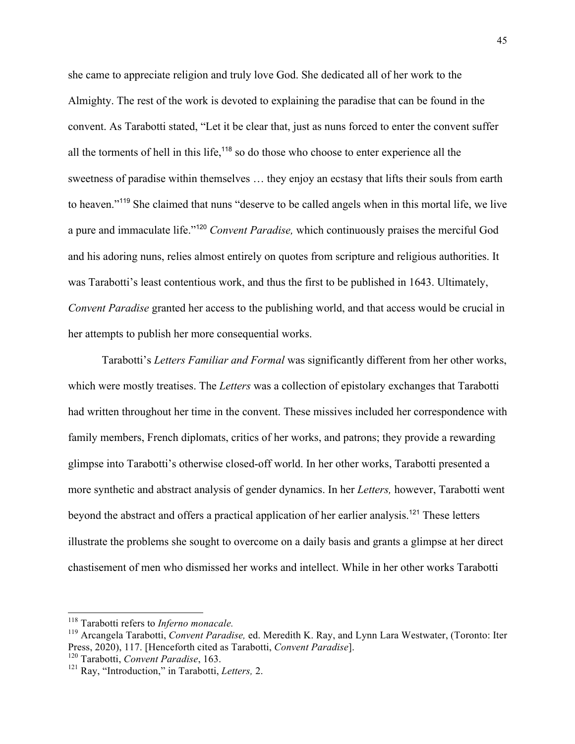she came to appreciate religion and truly love God. She dedicated all of her work to the Almighty. The rest of the work is devoted to explaining the paradise that can be found in the convent. As Tarabotti stated, "Let it be clear that, just as nuns forced to enter the convent suffer all the torments of hell in this life,<sup>118</sup> so do those who choose to enter experience all the sweetness of paradise within themselves … they enjoy an ecstasy that lifts their souls from earth to heaven."<sup>119</sup> She claimed that nuns "deserve to be called angels when in this mortal life, we live a pure and immaculate life."<sup>120</sup> *Convent Paradise,* which continuously praises the merciful God and his adoring nuns, relies almost entirely on quotes from scripture and religious authorities. It was Tarabotti's least contentious work, and thus the first to be published in 1643. Ultimately, *Convent Paradise* granted her access to the publishing world, and that access would be crucial in her attempts to publish her more consequential works.

Tarabotti's *Letters Familiar and Formal* was significantly different from her other works, which were mostly treatises. The *Letters* was a collection of epistolary exchanges that Tarabotti had written throughout her time in the convent. These missives included her correspondence with family members, French diplomats, critics of her works, and patrons; they provide a rewarding glimpse into Tarabotti's otherwise closed-off world. In her other works, Tarabotti presented a more synthetic and abstract analysis of gender dynamics. In her *Letters,* however, Tarabotti went beyond the abstract and offers a practical application of her earlier analysis.<sup>121</sup> These letters illustrate the problems she sought to overcome on a daily basis and grants a glimpse at her direct chastisement of men who dismissed her works and intellect. While in her other works Tarabotti

<sup>&</sup>lt;sup>118</sup> Tarabotti refers to *Inferno monacale*.<br><sup>119</sup> Arcangela Tarabotti, *Convent Paradise*, ed. Meredith K. Ray, and Lynn Lara Westwater, (Toronto: Iter Press, 2020), 117. [Henceforth cited as Tarabotti, *Convent Paradise*]. <sup>120</sup> Tarabotti, *Convent Paradise*, 163.

<sup>121</sup> Ray, "Introduction," in Tarabotti, *Letters,* 2.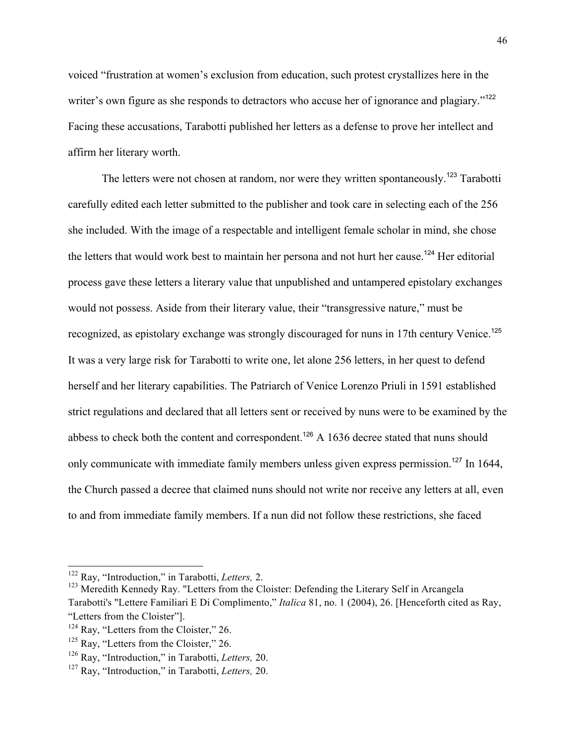voiced "frustration at women's exclusion from education, such protest crystallizes here in the writer's own figure as she responds to detractors who accuse her of ignorance and plagiary."<sup>122</sup> Facing these accusations, Tarabotti published her letters as a defense to prove her intellect and affirm her literary worth.

The letters were not chosen at random, nor were they written spontaneously.<sup>123</sup> Tarabotti carefully edited each letter submitted to the publisher and took care in selecting each of the 256 she included. With the image of a respectable and intelligent female scholar in mind, she chose the letters that would work best to maintain her persona and not hurt her cause.<sup>124</sup> Her editorial process gave these letters a literary value that unpublished and untampered epistolary exchanges would not possess. Aside from their literary value, their "transgressive nature," must be recognized, as epistolary exchange was strongly discouraged for nuns in 17th century Venice.<sup>125</sup> It was a very large risk for Tarabotti to write one, let alone 256 letters, in her quest to defend herself and her literary capabilities. The Patriarch of Venice Lorenzo Priuli in 1591 established strict regulations and declared that all letters sent or received by nuns were to be examined by the abbess to check both the content and correspondent.<sup>126</sup> A 1636 decree stated that nuns should only communicate with immediate family members unless given express permission.<sup>127</sup> In 1644, the Church passed a decree that claimed nuns should not write nor receive any letters at all, even to and from immediate family members. If a nun did not follow these restrictions, she faced

<sup>122</sup> Ray, "Introduction," in Tarabotti, *Letters,* 2.

<sup>&</sup>lt;sup>123</sup> Meredith Kennedy Ray. "Letters from the Cloister: Defending the Literary Self in Arcangela Tarabotti's "Lettere Familiari E Di Complimento," *Italica* 81, no. 1 (2004), 26. [Henceforth cited as Ray, "Letters from the Cloister"].

 $124$  Ray, "Letters from the Cloister," 26.

 $125$  Ray, "Letters from the Cloister," 26.

<sup>126</sup> Ray, "Introduction," in Tarabotti, *Letters,* 20.

<sup>127</sup> Ray, "Introduction," in Tarabotti, *Letters,* 20.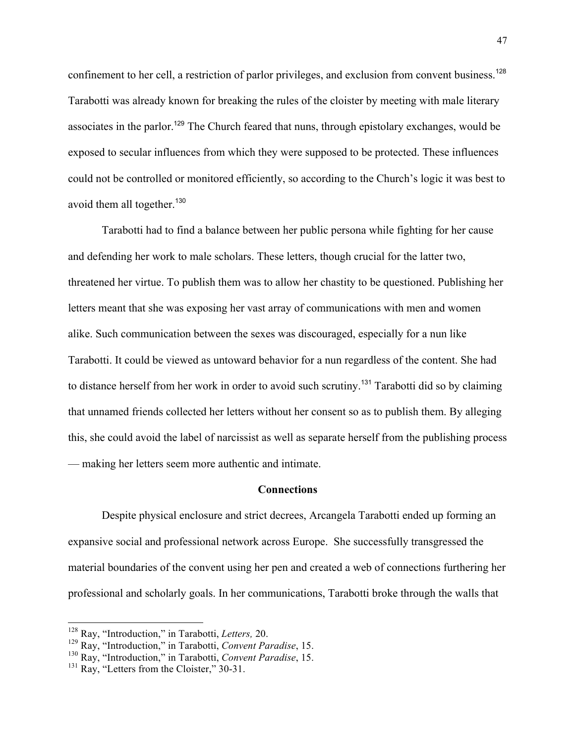confinement to her cell, a restriction of parlor privileges, and exclusion from convent business.<sup>128</sup> Tarabotti was already known for breaking the rules of the cloister by meeting with male literary associates in the parlor.<sup>129</sup> The Church feared that nuns, through epistolary exchanges, would be exposed to secular influences from which they were supposed to be protected. These influences could not be controlled or monitored efficiently, so according to the Church's logic it was best to avoid them all together.<sup>130</sup>

Tarabotti had to find a balance between her public persona while fighting for her cause and defending her work to male scholars. These letters, though crucial for the latter two, threatened her virtue. To publish them was to allow her chastity to be questioned. Publishing her letters meant that she was exposing her vast array of communications with men and women alike. Such communication between the sexes was discouraged, especially for a nun like Tarabotti. It could be viewed as untoward behavior for a nun regardless of the content. She had to distance herself from her work in order to avoid such scrutiny.<sup>131</sup> Tarabotti did so by claiming that unnamed friends collected her letters without her consent so as to publish them. By alleging this, she could avoid the label of narcissist as well as separate herself from the publishing process — making her letters seem more authentic and intimate.

#### **Connections**

Despite physical enclosure and strict decrees, Arcangela Tarabotti ended up forming an expansive social and professional network across Europe. She successfully transgressed the material boundaries of the convent using her pen and created a web of connections furthering her professional and scholarly goals. In her communications, Tarabotti broke through the walls that

<sup>128</sup> Ray, "Introduction," in Tarabotti, *Letters,* 20.

<sup>129</sup> Ray, "Introduction," in Tarabotti, *Convent Paradise*, 15.

<sup>130</sup> Ray, "Introduction," in Tarabotti, *Convent Paradise*, 15.

<sup>&</sup>lt;sup>131</sup> Ray, "Letters from the Cloister," 30-31.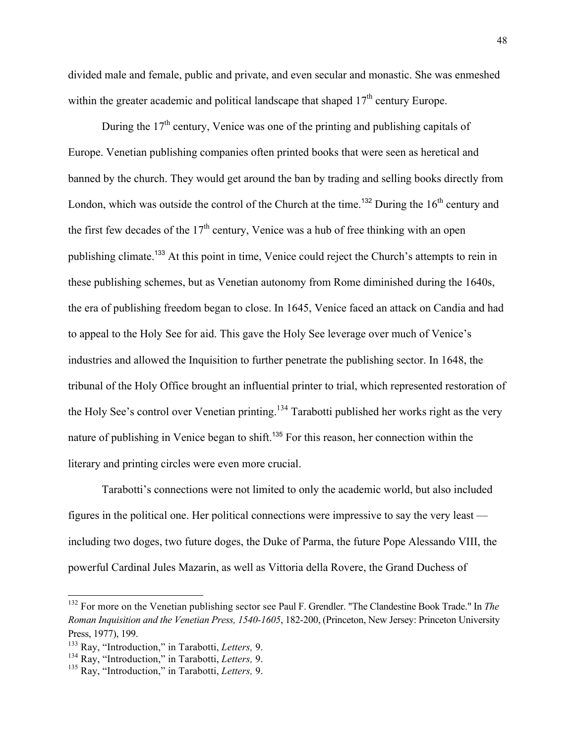divided male and female, public and private, and even secular and monastic. She was enmeshed within the greater academic and political landscape that shaped  $17<sup>th</sup>$  century Europe.

During the  $17<sup>th</sup>$  century, Venice was one of the printing and publishing capitals of Europe. Venetian publishing companies often printed books that were seen as heretical and banned by the church. They would get around the ban by trading and selling books directly from London, which was outside the control of the Church at the time.<sup>132</sup> During the  $16<sup>th</sup>$  century and the first few decades of the  $17<sup>th</sup>$  century, Venice was a hub of free thinking with an open publishing climate.<sup>133</sup> At this point in time, Venice could reject the Church's attempts to rein in these publishing schemes, but as Venetian autonomy from Rome diminished during the 1640s, the era of publishing freedom began to close. In 1645, Venice faced an attack on Candia and had to appeal to the Holy See for aid. This gave the Holy See leverage over much of Venice's industries and allowed the Inquisition to further penetrate the publishing sector. In 1648, the tribunal of the Holy Office brought an influential printer to trial, which represented restoration of the Holy See's control over Venetian printing.<sup>134</sup> Tarabotti published her works right as the very nature of publishing in Venice began to shift.<sup>135</sup> For this reason, her connection within the literary and printing circles were even more crucial.

Tarabotti's connections were not limited to only the academic world, but also included figures in the political one. Her political connections were impressive to say the very least including two doges, two future doges, the Duke of Parma, the future Pope Alessando VIII, the powerful Cardinal Jules Mazarin, as well as Vittoria della Rovere, the Grand Duchess of

<sup>132</sup> For more on the Venetian publishing sector see Paul F. Grendler. "The Clandestine Book Trade." In *The Roman Inquisition and the Venetian Press, 1540-1605*, 182-200, (Princeton, New Jersey: Princeton University Press, 1977), 199.

<sup>133</sup> Ray, "Introduction," in Tarabotti, *Letters,* 9.

<sup>134</sup> Ray, "Introduction," in Tarabotti, *Letters,* 9.

<sup>135</sup> Ray, "Introduction," in Tarabotti, *Letters,* 9.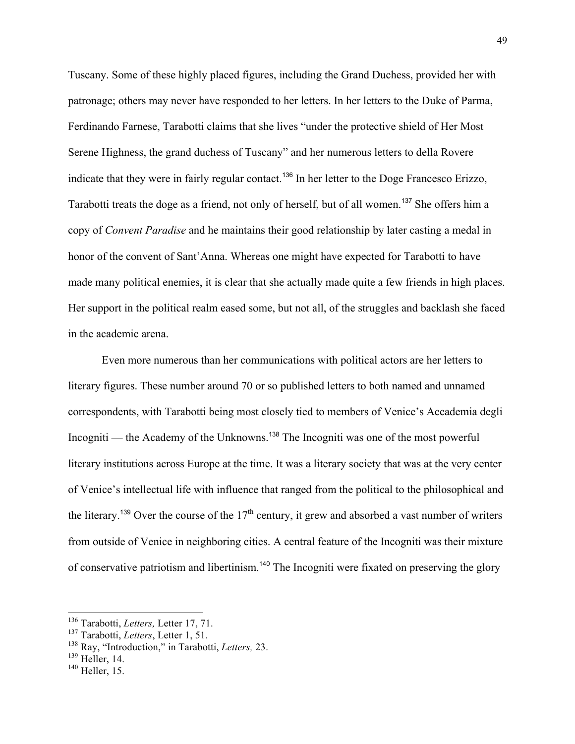Tuscany. Some of these highly placed figures, including the Grand Duchess, provided her with patronage; others may never have responded to her letters. In her letters to the Duke of Parma, Ferdinando Farnese, Tarabotti claims that she lives "under the protective shield of Her Most Serene Highness, the grand duchess of Tuscany" and her numerous letters to della Rovere indicate that they were in fairly regular contact.<sup>136</sup> In her letter to the Doge Francesco Erizzo, Tarabotti treats the doge as a friend, not only of herself, but of all women.<sup>137</sup> She offers him a copy of *Convent Paradise* and he maintains their good relationship by later casting a medal in honor of the convent of Sant'Anna. Whereas one might have expected for Tarabotti to have made many political enemies, it is clear that she actually made quite a few friends in high places. Her support in the political realm eased some, but not all, of the struggles and backlash she faced in the academic arena.

Even more numerous than her communications with political actors are her letters to literary figures. These number around 70 or so published letters to both named and unnamed correspondents, with Tarabotti being most closely tied to members of Venice's Accademia degli Incogniti — the Academy of the Unknowns.<sup>138</sup> The Incogniti was one of the most powerful literary institutions across Europe at the time. It was a literary society that was at the very center of Venice's intellectual life with influence that ranged from the political to the philosophical and the literary.<sup>139</sup> Over the course of the  $17<sup>th</sup>$  century, it grew and absorbed a vast number of writers from outside of Venice in neighboring cities. A central feature of the Incogniti was their mixture of conservative patriotism and libertinism.<sup>140</sup> The Incogniti were fixated on preserving the glory

 $139$  Heller, 14.

<sup>136</sup> Tarabotti, *Letters,* Letter 17, 71.

<sup>137</sup> Tarabotti, *Letters*, Letter 1, 51.

<sup>138</sup> Ray, "Introduction," in Tarabotti, *Letters,* 23.

<sup>&</sup>lt;sup>140</sup> Heller, 15.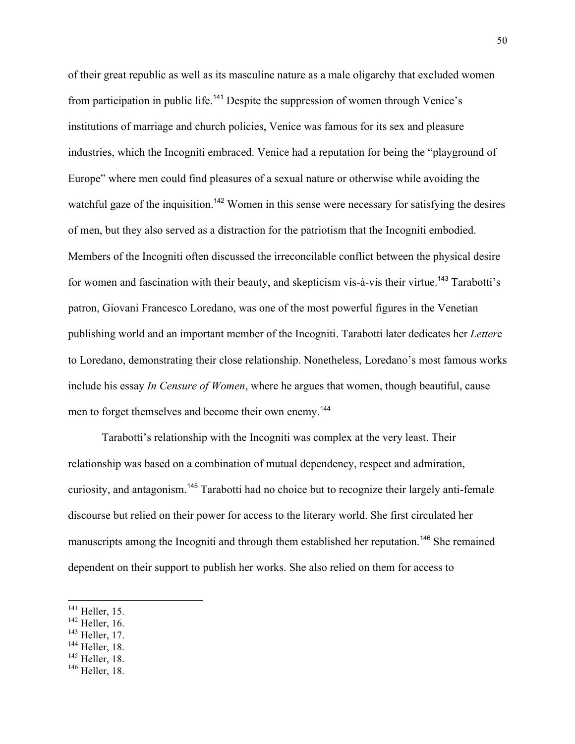of their great republic as well as its masculine nature as a male oligarchy that excluded women from participation in public life.<sup>141</sup> Despite the suppression of women through Venice's institutions of marriage and church policies, Venice was famous for its sex and pleasure industries, which the Incogniti embraced. Venice had a reputation for being the "playground of Europe" where men could find pleasures of a sexual nature or otherwise while avoiding the watchful gaze of the inquisition.<sup>142</sup> Women in this sense were necessary for satisfying the desires of men, but they also served as a distraction for the patriotism that the Incogniti embodied. Members of the Incogniti often discussed the irreconcilable conflict between the physical desire for women and fascination with their beauty, and skepticism vis-à-vis their virtue.<sup>143</sup> Tarabotti's patron, Giovani Francesco Loredano, was one of the most powerful figures in the Venetian publishing world and an important member of the Incogniti. Tarabotti later dedicates her *Letter*e to Loredano, demonstrating their close relationship. Nonetheless, Loredano's most famous works include his essay *In Censure of Women*, where he argues that women, though beautiful, cause men to forget themselves and become their own enemy.<sup>144</sup>

Tarabotti's relationship with the Incogniti was complex at the very least. Their relationship was based on a combination of mutual dependency, respect and admiration, curiosity, and antagonism.<sup>145</sup> Tarabotti had no choice but to recognize their largely anti-female discourse but relied on their power for access to the literary world. She first circulated her manuscripts among the Incogniti and through them established her reputation.<sup>146</sup> She remained dependent on their support to publish her works. She also relied on them for access to

- <sup>143</sup> Heller, 17.
- <sup>144</sup> Heller, 18.

 $141$  Heller, 15.

<sup>&</sup>lt;sup>142</sup> Heller, 16.

 $145$  Heller, 18.

<sup>146</sup> Heller, 18.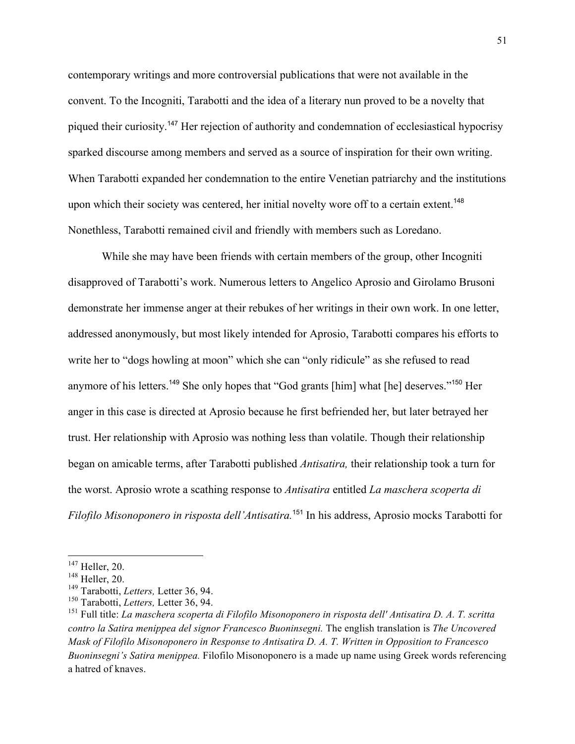contemporary writings and more controversial publications that were not available in the convent. To the Incogniti, Tarabotti and the idea of a literary nun proved to be a novelty that piqued their curiosity.<sup>147</sup> Her rejection of authority and condemnation of ecclesiastical hypocrisy sparked discourse among members and served as a source of inspiration for their own writing. When Tarabotti expanded her condemnation to the entire Venetian patriarchy and the institutions upon which their society was centered, her initial novelty wore off to a certain extent.<sup>148</sup> Nonethless, Tarabotti remained civil and friendly with members such as Loredano.

While she may have been friends with certain members of the group, other Incogniti disapproved of Tarabotti's work. Numerous letters to Angelico Aprosio and Girolamo Brusoni demonstrate her immense anger at their rebukes of her writings in their own work. In one letter, addressed anonymously, but most likely intended for Aprosio, Tarabotti compares his efforts to write her to "dogs howling at moon" which she can "only ridicule" as she refused to read anymore of his letters.<sup>149</sup> She only hopes that "God grants [him] what [he] deserves."<sup>150</sup> Her anger in this case is directed at Aprosio because he first befriended her, but later betrayed her trust. Her relationship with Aprosio was nothing less than volatile. Though their relationship began on amicable terms, after Tarabotti published *Antisatira,* their relationship took a turn for the worst. Aprosio wrote a scathing response to *Antisatira* entitled *La maschera scoperta di Filofilo Misonoponero in risposta dell'Antisatira.*<sup>151</sup> In his address, Aprosio mocks Tarabotti for

 $147$  Heller, 20.

<sup>148</sup> Heller, 20.

<sup>149</sup> Tarabotti, *Letters,* Letter 36, 94.

<sup>150</sup> Tarabotti, *Letters,* Letter 36, 94.

<sup>151</sup> Full title: *La maschera scoperta di Filofìlo Misonoponero in risposta dell' Antisatira D. A. T. scritta contro la Satira menippea del signor Francesco Buoninsegni.* The english translation is *The Uncovered Mask of Filofilo Misonoponero in Response to Antisatira D. A. T. Written in Opposition to Francesco Buoninsegni's Satira menippea.* Filofilo Misonoponero is a made up name using Greek words referencing a hatred of knaves.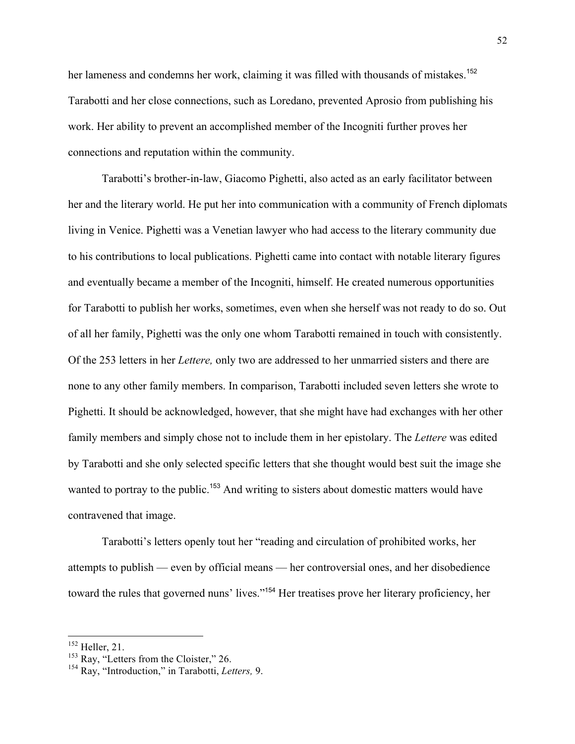her lameness and condemns her work, claiming it was filled with thousands of mistakes.<sup>152</sup> Tarabotti and her close connections, such as Loredano, prevented Aprosio from publishing his work. Her ability to prevent an accomplished member of the Incogniti further proves her connections and reputation within the community.

Tarabotti's brother-in-law, Giacomo Pighetti, also acted as an early facilitator between her and the literary world. He put her into communication with a community of French diplomats living in Venice. Pighetti was a Venetian lawyer who had access to the literary community due to his contributions to local publications. Pighetti came into contact with notable literary figures and eventually became a member of the Incogniti, himself. He created numerous opportunities for Tarabotti to publish her works, sometimes, even when she herself was not ready to do so. Out of all her family, Pighetti was the only one whom Tarabotti remained in touch with consistently. Of the 253 letters in her *Lettere,* only two are addressed to her unmarried sisters and there are none to any other family members. In comparison, Tarabotti included seven letters she wrote to Pighetti. It should be acknowledged, however, that she might have had exchanges with her other family members and simply chose not to include them in her epistolary. The *Lettere* was edited by Tarabotti and she only selected specific letters that she thought would best suit the image she wanted to portray to the public.<sup>153</sup> And writing to sisters about domestic matters would have contravened that image.

Tarabotti's letters openly tout her "reading and circulation of prohibited works, her attempts to publish — even by official means — her controversial ones, and her disobedience toward the rules that governed nuns' lives."<sup>154</sup> Her treatises prove her literary proficiency, her

 $152$  Heller, 21.

 $153$  Ray, "Letters from the Cloister," 26.

<sup>154</sup> Ray, "Introduction," in Tarabotti, *Letters,* 9.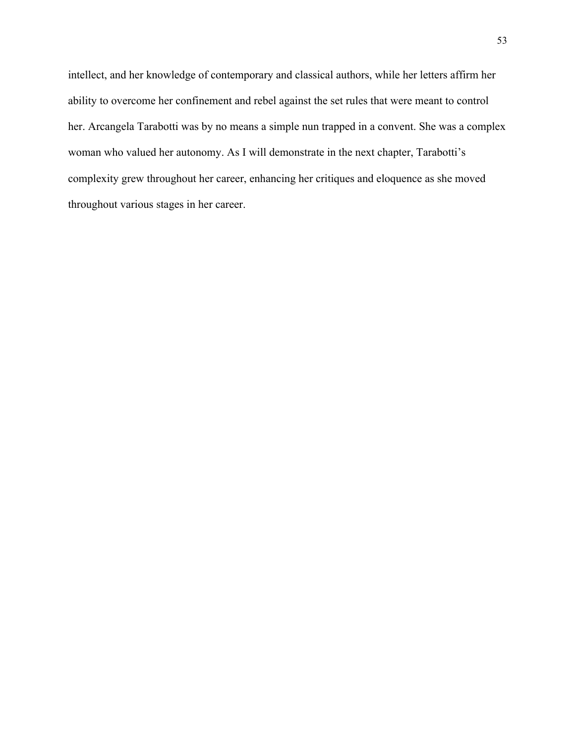intellect, and her knowledge of contemporary and classical authors, while her letters affirm her ability to overcome her confinement and rebel against the set rules that were meant to control her. Arcangela Tarabotti was by no means a simple nun trapped in a convent. She was a complex woman who valued her autonomy. As I will demonstrate in the next chapter, Tarabotti's complexity grew throughout her career, enhancing her critiques and eloquence as she moved throughout various stages in her career.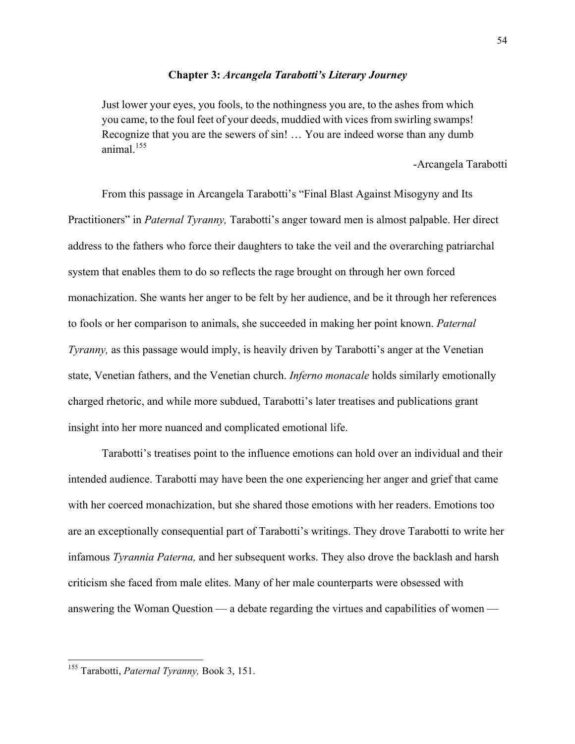#### **Chapter 3:** *Arcangela Tarabotti's Literary Journey*

Just lower your eyes, you fools, to the nothingness you are, to the ashes from which you came, to the foul feet of your deeds, muddied with vices from swirling swamps! Recognize that you are the sewers of sin! … You are indeed worse than any dumb animal $155$ 

-Arcangela Tarabotti

From this passage in Arcangela Tarabotti's "Final Blast Against Misogyny and Its Practitioners" in *Paternal Tyranny,* Tarabotti's anger toward men is almost palpable. Her direct address to the fathers who force their daughters to take the veil and the overarching patriarchal system that enables them to do so reflects the rage brought on through her own forced monachization. She wants her anger to be felt by her audience, and be it through her references to fools or her comparison to animals, she succeeded in making her point known. *Paternal Tyranny*, as this passage would imply, is heavily driven by Tarabotti's anger at the Venetian state, Venetian fathers, and the Venetian church. *Inferno monacale* holds similarly emotionally charged rhetoric, and while more subdued, Tarabotti's later treatises and publications grant insight into her more nuanced and complicated emotional life.

Tarabotti's treatises point to the influence emotions can hold over an individual and their intended audience. Tarabotti may have been the one experiencing her anger and grief that came with her coerced monachization, but she shared those emotions with her readers. Emotions too are an exceptionally consequential part of Tarabotti's writings. They drove Tarabotti to write her infamous *Tyrannia Paterna,* and her subsequent works. They also drove the backlash and harsh criticism she faced from male elites. Many of her male counterparts were obsessed with answering the Woman Question — a debate regarding the virtues and capabilities of women —

<sup>155</sup> Tarabotti, *Paternal Tyranny,* Book 3, 151.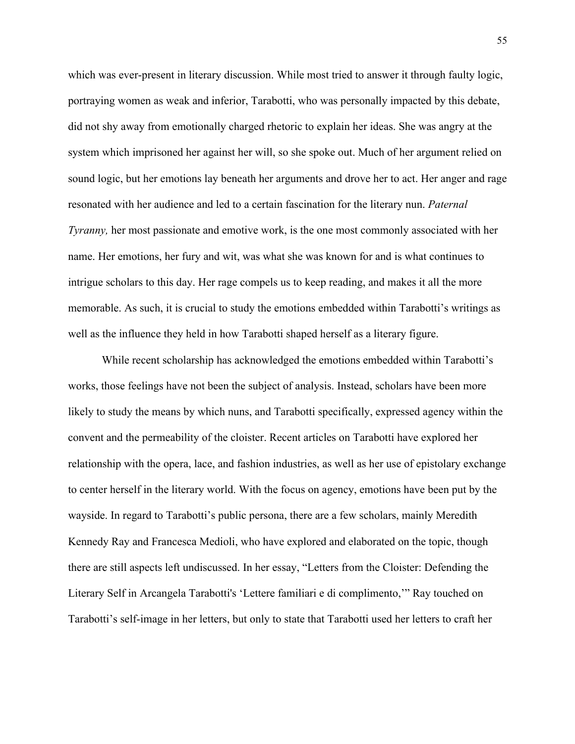which was ever-present in literary discussion. While most tried to answer it through faulty logic, portraying women as weak and inferior, Tarabotti, who was personally impacted by this debate, did not shy away from emotionally charged rhetoric to explain her ideas. She was angry at the system which imprisoned her against her will, so she spoke out. Much of her argument relied on sound logic, but her emotions lay beneath her arguments and drove her to act. Her anger and rage resonated with her audience and led to a certain fascination for the literary nun. *Paternal Tyranny*, her most passionate and emotive work, is the one most commonly associated with her name. Her emotions, her fury and wit, was what she was known for and is what continues to intrigue scholars to this day. Her rage compels us to keep reading, and makes it all the more memorable. As such, it is crucial to study the emotions embedded within Tarabotti's writings as well as the influence they held in how Tarabotti shaped herself as a literary figure.

While recent scholarship has acknowledged the emotions embedded within Tarabotti's works, those feelings have not been the subject of analysis. Instead, scholars have been more likely to study the means by which nuns, and Tarabotti specifically, expressed agency within the convent and the permeability of the cloister. Recent articles on Tarabotti have explored her relationship with the opera, lace, and fashion industries, as well as her use of epistolary exchange to center herself in the literary world. With the focus on agency, emotions have been put by the wayside. In regard to Tarabotti's public persona, there are a few scholars, mainly Meredith Kennedy Ray and Francesca Medioli, who have explored and elaborated on the topic, though there are still aspects left undiscussed. In her essay, "Letters from the Cloister: Defending the Literary Self in Arcangela Tarabotti's 'Lettere familiari e di complimento,'" Ray touched on Tarabotti's self-image in her letters, but only to state that Tarabotti used her letters to craft her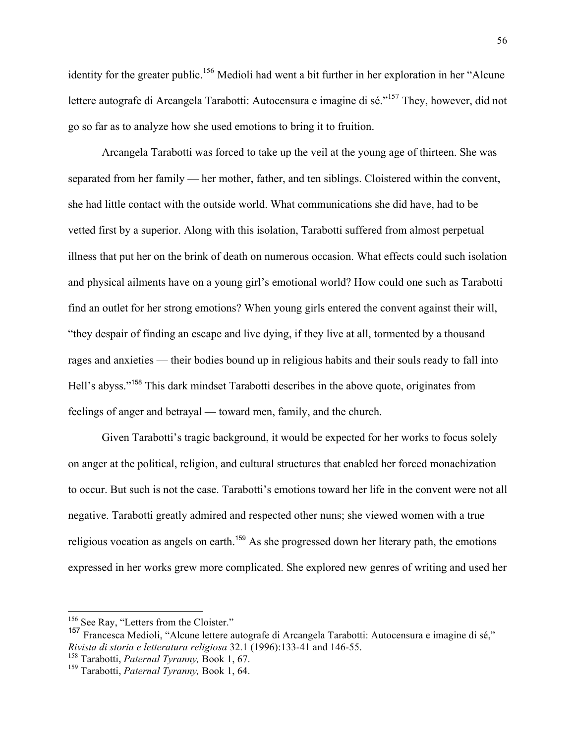identity for the greater public.<sup>156</sup> Medioli had went a bit further in her exploration in her "Alcune" lettere autografe di Arcangela Tarabotti: Autocensura e imagine di sé."<sup>157</sup> They, however, did not go so far as to analyze how she used emotions to bring it to fruition.

Arcangela Tarabotti was forced to take up the veil at the young age of thirteen. She was separated from her family — her mother, father, and ten siblings. Cloistered within the convent, she had little contact with the outside world. What communications she did have, had to be vetted first by a superior. Along with this isolation, Tarabotti suffered from almost perpetual illness that put her on the brink of death on numerous occasion. What effects could such isolation and physical ailments have on a young girl's emotional world? How could one such as Tarabotti find an outlet for her strong emotions? When young girls entered the convent against their will, "they despair of finding an escape and live dying, if they live at all, tormented by a thousand rages and anxieties — their bodies bound up in religious habits and their souls ready to fall into Hell's abyss."<sup>158</sup> This dark mindset Tarabotti describes in the above quote, originates from feelings of anger and betrayal — toward men, family, and the church.

Given Tarabotti's tragic background, it would be expected for her works to focus solely on anger at the political, religion, and cultural structures that enabled her forced monachization to occur. But such is not the case. Tarabotti's emotions toward her life in the convent were not all negative. Tarabotti greatly admired and respected other nuns; she viewed women with a true religious vocation as angels on earth.<sup>159</sup> As she progressed down her literary path, the emotions expressed in her works grew more complicated. She explored new genres of writing and used her

<sup>&</sup>lt;sup>156</sup> See Ray, "Letters from the Cloister."<br><sup>157</sup> Francesca Medioli, "Alcune lettere autografe di Arcangela Tarabotti: Autocensura e imagine di sé," *Rivista di storia e letteratura religiosa* 32.1 (1996):133-41 and 146-55. <sup>158</sup> Tarabotti, *Paternal Tyranny,* Book 1, 67. <sup>159</sup> Tarabotti, *Paternal Tyranny,* Book 1, 64.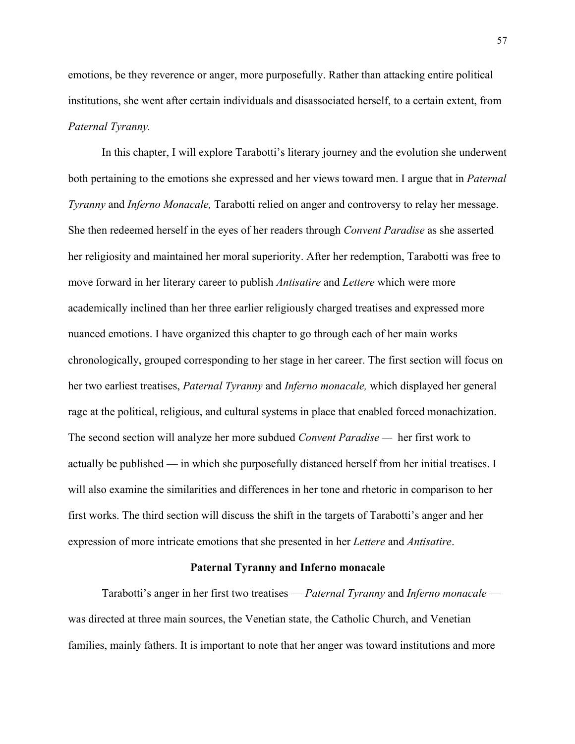emotions, be they reverence or anger, more purposefully. Rather than attacking entire political institutions, she went after certain individuals and disassociated herself, to a certain extent, from *Paternal Tyranny.* 

In this chapter, I will explore Tarabotti's literary journey and the evolution she underwent both pertaining to the emotions she expressed and her views toward men. I argue that in *Paternal Tyranny* and *Inferno Monacale,* Tarabotti relied on anger and controversy to relay her message. She then redeemed herself in the eyes of her readers through *Convent Paradise* as she asserted her religiosity and maintained her moral superiority. After her redemption, Tarabotti was free to move forward in her literary career to publish *Antisatire* and *Lettere* which were more academically inclined than her three earlier religiously charged treatises and expressed more nuanced emotions. I have organized this chapter to go through each of her main works chronologically, grouped corresponding to her stage in her career. The first section will focus on her two earliest treatises, *Paternal Tyranny* and *Inferno monacale,* which displayed her general rage at the political, religious, and cultural systems in place that enabled forced monachization. The second section will analyze her more subdued *Convent Paradise —* her first work to actually be published — in which she purposefully distanced herself from her initial treatises. I will also examine the similarities and differences in her tone and rhetoric in comparison to her first works. The third section will discuss the shift in the targets of Tarabotti's anger and her expression of more intricate emotions that she presented in her *Lettere* and *Antisatire*.

#### **Paternal Tyranny and Inferno monacale**

Tarabotti's anger in her first two treatises — *Paternal Tyranny* and *Inferno monacale*  was directed at three main sources, the Venetian state, the Catholic Church, and Venetian families, mainly fathers. It is important to note that her anger was toward institutions and more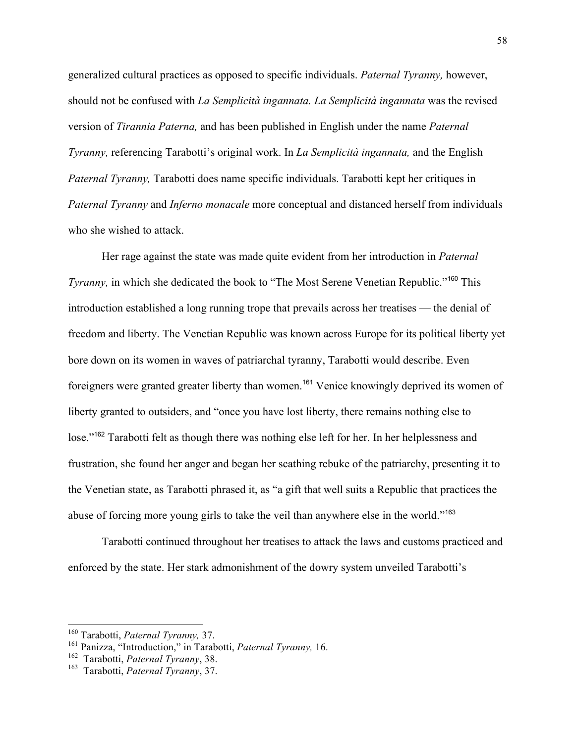generalized cultural practices as opposed to specific individuals. *Paternal Tyranny,* however, should not be confused with *La Semplicità ingannata. La Semplicità ingannata* was the revised version of *Tirannia Paterna,* and has been published in English under the name *Paternal Tyranny,* referencing Tarabotti's original work. In *La Semplicità ingannata,* and the English *Paternal Tyranny,* Tarabotti does name specific individuals. Tarabotti kept her critiques in *Paternal Tyranny* and *Inferno monacale* more conceptual and distanced herself from individuals who she wished to attack.

Her rage against the state was made quite evident from her introduction in *Paternal Tyranny*, in which she dedicated the book to "The Most Serene Venetian Republic."<sup>160</sup> This introduction established a long running trope that prevails across her treatises — the denial of freedom and liberty. The Venetian Republic was known across Europe for its political liberty yet bore down on its women in waves of patriarchal tyranny, Tarabotti would describe. Even foreigners were granted greater liberty than women.<sup>161</sup> Venice knowingly deprived its women of liberty granted to outsiders, and "once you have lost liberty, there remains nothing else to lose."<sup>162</sup> Tarabotti felt as though there was nothing else left for her. In her helplessness and frustration, she found her anger and began her scathing rebuke of the patriarchy, presenting it to the Venetian state, as Tarabotti phrased it, as "a gift that well suits a Republic that practices the abuse of forcing more young girls to take the veil than anywhere else in the world."<sup>163</sup>

Tarabotti continued throughout her treatises to attack the laws and customs practiced and enforced by the state. Her stark admonishment of the dowry system unveiled Tarabotti's

<sup>160</sup> Tarabotti, *Paternal Tyranny,* 37.

<sup>161</sup> Panizza, "Introduction," in Tarabotti, *Paternal Tyranny,* 16.

<sup>162</sup> Tarabotti, *Paternal Tyranny*, 38.

<sup>163</sup> Tarabotti, *Paternal Tyranny*, 37.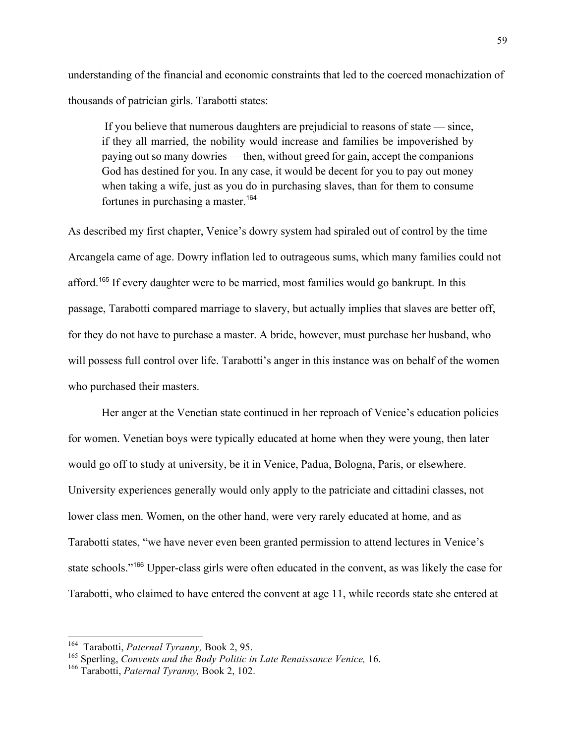understanding of the financial and economic constraints that led to the coerced monachization of thousands of patrician girls. Tarabotti states:

If you believe that numerous daughters are prejudicial to reasons of state — since, if they all married, the nobility would increase and families be impoverished by paying out so many dowries — then, without greed for gain, accept the companions God has destined for you. In any case, it would be decent for you to pay out money when taking a wife, just as you do in purchasing slaves, than for them to consume fortunes in purchasing a master.<sup>164</sup>

As described my first chapter, Venice's dowry system had spiraled out of control by the time Arcangela came of age. Dowry inflation led to outrageous sums, which many families could not afford.<sup>165</sup> If every daughter were to be married, most families would go bankrupt. In this passage, Tarabotti compared marriage to slavery, but actually implies that slaves are better off, for they do not have to purchase a master. A bride, however, must purchase her husband, who will possess full control over life. Tarabotti's anger in this instance was on behalf of the women who purchased their masters.

Her anger at the Venetian state continued in her reproach of Venice's education policies for women. Venetian boys were typically educated at home when they were young, then later would go off to study at university, be it in Venice, Padua, Bologna, Paris, or elsewhere. University experiences generally would only apply to the patriciate and cittadini classes, not lower class men. Women, on the other hand, were very rarely educated at home, and as Tarabotti states, "we have never even been granted permission to attend lectures in Venice's state schools."<sup>166</sup> Upper-class girls were often educated in the convent, as was likely the case for Tarabotti, who claimed to have entered the convent at age 11, while records state she entered at

<sup>164</sup> Tarabotti, *Paternal Tyranny,* Book 2, 95.

<sup>165</sup> Sperling, *Convents and the Body Politic in Late Renaissance Venice,* 16.

<sup>166</sup> Tarabotti, *Paternal Tyranny,* Book 2, 102.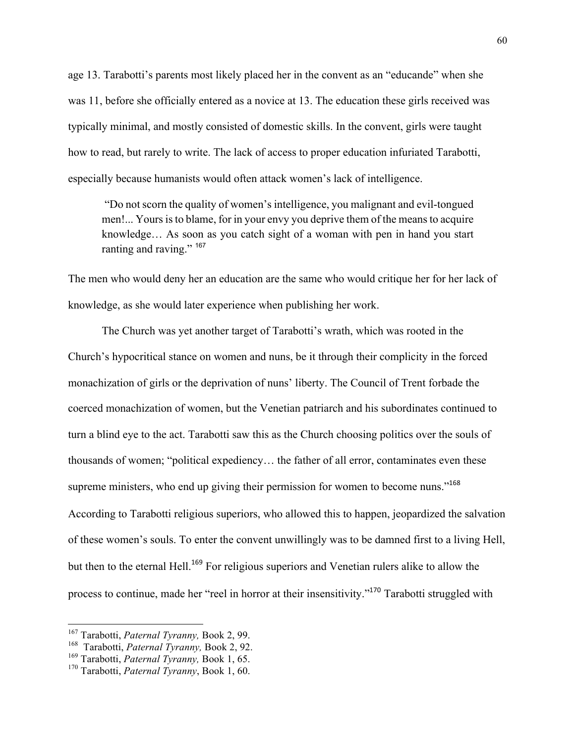age 13. Tarabotti's parents most likely placed her in the convent as an "educande" when she was 11, before she officially entered as a novice at 13. The education these girls received was typically minimal, and mostly consisted of domestic skills. In the convent, girls were taught how to read, but rarely to write. The lack of access to proper education infuriated Tarabotti, especially because humanists would often attack women's lack of intelligence.

"Do not scorn the quality of women's intelligence, you malignant and evil-tongued men!... Yours is to blame, for in your envy you deprive them of the means to acquire knowledge… As soon as you catch sight of a woman with pen in hand you start ranting and raving." 167

The men who would deny her an education are the same who would critique her for her lack of knowledge, as she would later experience when publishing her work.

The Church was yet another target of Tarabotti's wrath, which was rooted in the Church's hypocritical stance on women and nuns, be it through their complicity in the forced monachization of girls or the deprivation of nuns' liberty. The Council of Trent forbade the coerced monachization of women, but the Venetian patriarch and his subordinates continued to turn a blind eye to the act. Tarabotti saw this as the Church choosing politics over the souls of thousands of women; "political expediency… the father of all error, contaminates even these supreme ministers, who end up giving their permission for women to become nuns."<sup>168</sup> According to Tarabotti religious superiors, who allowed this to happen, jeopardized the salvation of these women's souls. To enter the convent unwillingly was to be damned first to a living Hell, but then to the eternal Hell.<sup>169</sup> For religious superiors and Venetian rulers alike to allow the process to continue, made her "reel in horror at their insensitivity."<sup>170</sup> Tarabotti struggled with

<sup>167</sup> Tarabotti, *Paternal Tyranny,* Book 2, 99.

<sup>168</sup> Tarabotti, *Paternal Tyranny,* Book 2, 92.

<sup>169</sup> Tarabotti, *Paternal Tyranny,* Book 1, 65.

<sup>170</sup> Tarabotti, *Paternal Tyranny*, Book 1, 60.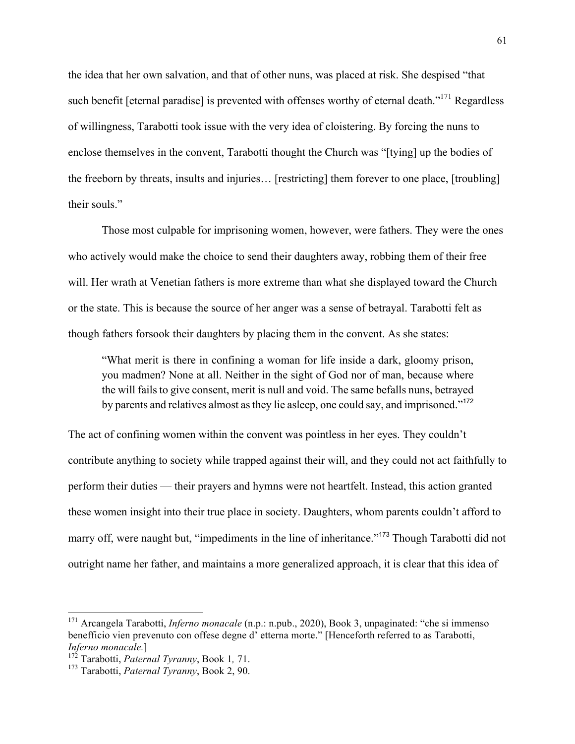the idea that her own salvation, and that of other nuns, was placed at risk. She despised "that such benefit [eternal paradise] is prevented with offenses worthy of eternal death."<sup>171</sup> Regardless of willingness, Tarabotti took issue with the very idea of cloistering. By forcing the nuns to enclose themselves in the convent, Tarabotti thought the Church was "[tying] up the bodies of the freeborn by threats, insults and injuries… [restricting] them forever to one place, [troubling] their souls."

Those most culpable for imprisoning women, however, were fathers. They were the ones who actively would make the choice to send their daughters away, robbing them of their free will. Her wrath at Venetian fathers is more extreme than what she displayed toward the Church or the state. This is because the source of her anger was a sense of betrayal. Tarabotti felt as though fathers forsook their daughters by placing them in the convent. As she states:

"What merit is there in confining a woman for life inside a dark, gloomy prison, you madmen? None at all. Neither in the sight of God nor of man, because where the will fails to give consent, merit is null and void. The same befalls nuns, betrayed by parents and relatives almost as they lie asleep, one could say, and imprisoned."<sup>172</sup>

The act of confining women within the convent was pointless in her eyes. They couldn't contribute anything to society while trapped against their will, and they could not act faithfully to perform their duties — their prayers and hymns were not heartfelt. Instead, this action granted these women insight into their true place in society. Daughters, whom parents couldn't afford to marry off, were naught but, "impediments in the line of inheritance."<sup>173</sup> Though Tarabotti did not outright name her father, and maintains a more generalized approach, it is clear that this idea of

<sup>171</sup> Arcangela Tarabotti, *Inferno monacale* (n.p.: n.pub., 2020), Book 3, unpaginated: "che si immenso benefficio vien prevenuto con offese degne d' etterna morte." [Henceforth referred to as Tarabotti, *Inferno monacale.*]

<sup>172</sup> Tarabotti, *Paternal Tyranny*, Book 1*,* 71.

<sup>173</sup> Tarabotti, *Paternal Tyranny*, Book 2, 90.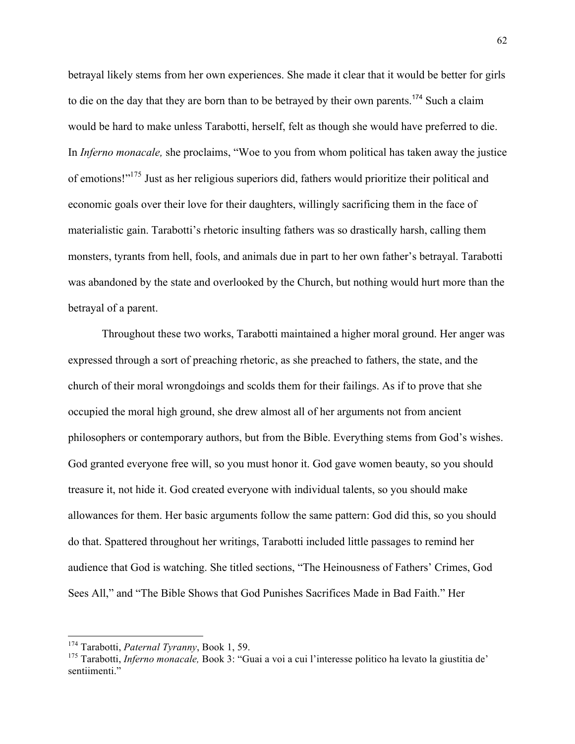betrayal likely stems from her own experiences. She made it clear that it would be better for girls to die on the day that they are born than to be betrayed by their own parents.<sup>174</sup> Such a claim would be hard to make unless Tarabotti, herself, felt as though she would have preferred to die. In *Inferno monacale,* she proclaims, "Woe to you from whom political has taken away the justice of emotions!"<sup>175</sup> Just as her religious superiors did, fathers would prioritize their political and economic goals over their love for their daughters, willingly sacrificing them in the face of materialistic gain. Tarabotti's rhetoric insulting fathers was so drastically harsh, calling them monsters, tyrants from hell, fools, and animals due in part to her own father's betrayal. Tarabotti was abandoned by the state and overlooked by the Church, but nothing would hurt more than the betrayal of a parent.

Throughout these two works, Tarabotti maintained a higher moral ground. Her anger was expressed through a sort of preaching rhetoric, as she preached to fathers, the state, and the church of their moral wrongdoings and scolds them for their failings. As if to prove that she occupied the moral high ground, she drew almost all of her arguments not from ancient philosophers or contemporary authors, but from the Bible. Everything stems from God's wishes. God granted everyone free will, so you must honor it. God gave women beauty, so you should treasure it, not hide it. God created everyone with individual talents, so you should make allowances for them. Her basic arguments follow the same pattern: God did this, so you should do that. Spattered throughout her writings, Tarabotti included little passages to remind her audience that God is watching. She titled sections, "The Heinousness of Fathers' Crimes, God Sees All," and "The Bible Shows that God Punishes Sacrifices Made in Bad Faith." Her

<sup>174</sup> Tarabotti, *Paternal Tyranny*, Book 1, 59.

<sup>175</sup> Tarabotti, *Inferno monacale,* Book 3: "Guai a voi a cui l'interesse politico ha levato la giustitia de' sentiimenti."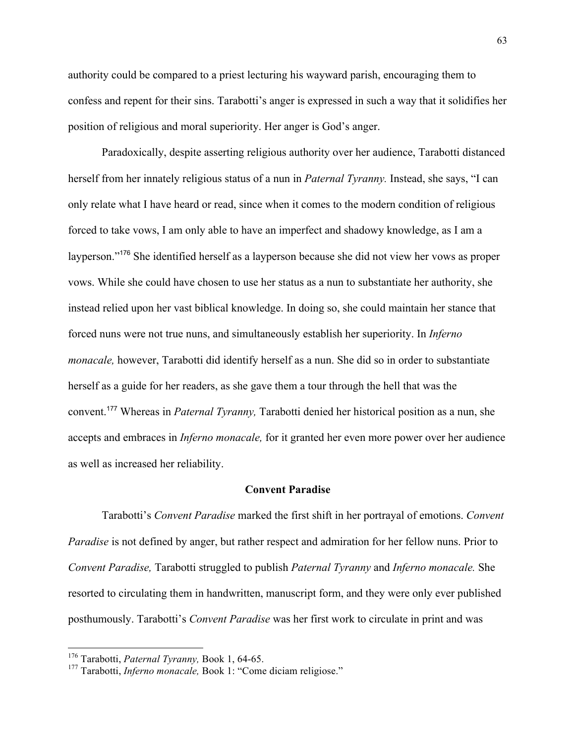authority could be compared to a priest lecturing his wayward parish, encouraging them to confess and repent for their sins. Tarabotti's anger is expressed in such a way that it solidifies her position of religious and moral superiority. Her anger is God's anger.

Paradoxically, despite asserting religious authority over her audience, Tarabotti distanced herself from her innately religious status of a nun in *Paternal Tyranny.* Instead, she says, "I can only relate what I have heard or read, since when it comes to the modern condition of religious forced to take vows, I am only able to have an imperfect and shadowy knowledge, as I am a layperson."<sup>176</sup> She identified herself as a layperson because she did not view her vows as proper vows. While she could have chosen to use her status as a nun to substantiate her authority, she instead relied upon her vast biblical knowledge. In doing so, she could maintain her stance that forced nuns were not true nuns, and simultaneously establish her superiority. In *Inferno monacale,* however, Tarabotti did identify herself as a nun. She did so in order to substantiate herself as a guide for her readers, as she gave them a tour through the hell that was the convent.<sup>177</sup> Whereas in *Paternal Tyranny,* Tarabotti denied her historical position as a nun, she accepts and embraces in *Inferno monacale,* for it granted her even more power over her audience as well as increased her reliability.

#### **Convent Paradise**

Tarabotti's *Convent Paradise* marked the first shift in her portrayal of emotions. *Convent Paradise* is not defined by anger, but rather respect and admiration for her fellow nuns. Prior to *Convent Paradise,* Tarabotti struggled to publish *Paternal Tyranny* and *Inferno monacale.* She resorted to circulating them in handwritten, manuscript form, and they were only ever published posthumously. Tarabotti's *Convent Paradise* was her first work to circulate in print and was

<sup>176</sup> Tarabotti, *Paternal Tyranny,* Book 1, 64-65.

<sup>&</sup>lt;sup>177</sup> Tarabotti, *Inferno monacale*, Book 1: "Come diciam religiose."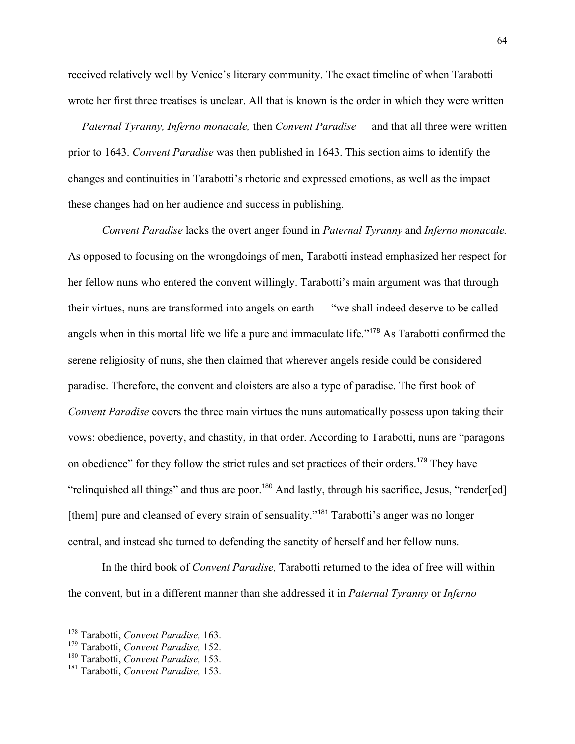received relatively well by Venice's literary community. The exact timeline of when Tarabotti wrote her first three treatises is unclear. All that is known is the order in which they were written — *Paternal Tyranny, Inferno monacale,* then *Convent Paradise —* and that all three were written prior to 1643. *Convent Paradise* was then published in 1643. This section aims to identify the changes and continuities in Tarabotti's rhetoric and expressed emotions, as well as the impact these changes had on her audience and success in publishing.

*Convent Paradise* lacks the overt anger found in *Paternal Tyranny* and *Inferno monacale.*  As opposed to focusing on the wrongdoings of men, Tarabotti instead emphasized her respect for her fellow nuns who entered the convent willingly. Tarabotti's main argument was that through their virtues, nuns are transformed into angels on earth — "we shall indeed deserve to be called angels when in this mortal life we life a pure and immaculate life."<sup>178</sup> As Tarabotti confirmed the serene religiosity of nuns, she then claimed that wherever angels reside could be considered paradise. Therefore, the convent and cloisters are also a type of paradise. The first book of *Convent Paradise* covers the three main virtues the nuns automatically possess upon taking their vows: obedience, poverty, and chastity, in that order. According to Tarabotti, nuns are "paragons on obedience" for they follow the strict rules and set practices of their orders.<sup>179</sup> They have "relinquished all things" and thus are poor.<sup>180</sup> And lastly, through his sacrifice, Jesus, "render[ed] [them] pure and cleansed of every strain of sensuality."<sup>181</sup> Tarabotti's anger was no longer central, and instead she turned to defending the sanctity of herself and her fellow nuns.

In the third book of *Convent Paradise,* Tarabotti returned to the idea of free will within the convent, but in a different manner than she addressed it in *Paternal Tyranny* or *Inferno* 

<sup>178</sup> Tarabotti, *Convent Paradise,* 163. <sup>179</sup> Tarabotti, *Convent Paradise,* 152.

<sup>180</sup> Tarabotti, *Convent Paradise,* 153.

<sup>181</sup> Tarabotti, *Convent Paradise,* 153.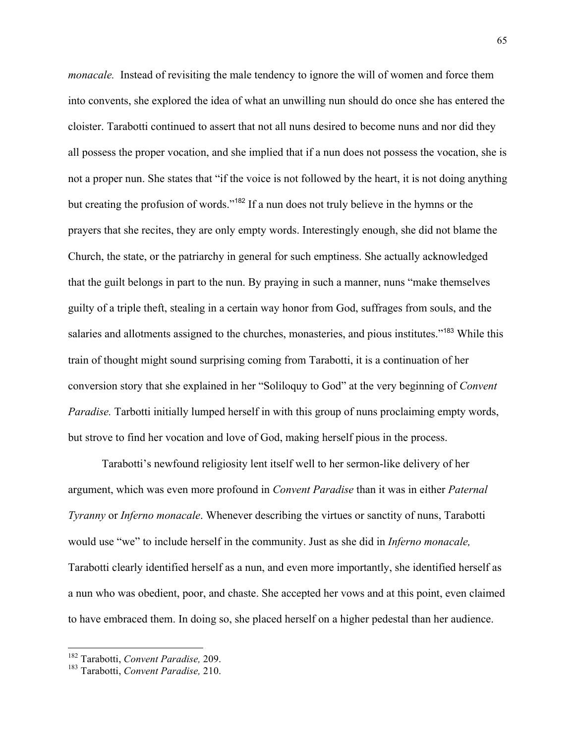*monacale.* Instead of revisiting the male tendency to ignore the will of women and force them into convents, she explored the idea of what an unwilling nun should do once she has entered the cloister. Tarabotti continued to assert that not all nuns desired to become nuns and nor did they all possess the proper vocation, and she implied that if a nun does not possess the vocation, she is not a proper nun. She states that "if the voice is not followed by the heart, it is not doing anything but creating the profusion of words."<sup>182</sup> If a nun does not truly believe in the hymns or the prayers that she recites, they are only empty words. Interestingly enough, she did not blame the Church, the state, or the patriarchy in general for such emptiness. She actually acknowledged that the guilt belongs in part to the nun. By praying in such a manner, nuns "make themselves guilty of a triple theft, stealing in a certain way honor from God, suffrages from souls, and the salaries and allotments assigned to the churches, monasteries, and pious institutes."<sup>183</sup> While this train of thought might sound surprising coming from Tarabotti, it is a continuation of her conversion story that she explained in her "Soliloquy to God" at the very beginning of *Convent Paradise.* Tarbotti initially lumped herself in with this group of nuns proclaiming empty words, but strove to find her vocation and love of God, making herself pious in the process.

Tarabotti's newfound religiosity lent itself well to her sermon-like delivery of her argument, which was even more profound in *Convent Paradise* than it was in either *Paternal Tyranny* or *Inferno monacale*. Whenever describing the virtues or sanctity of nuns, Tarabotti would use "we" to include herself in the community. Just as she did in *Inferno monacale,*  Tarabotti clearly identified herself as a nun, and even more importantly, she identified herself as a nun who was obedient, poor, and chaste. She accepted her vows and at this point, even claimed to have embraced them. In doing so, she placed herself on a higher pedestal than her audience.

<sup>182</sup> Tarabotti, *Convent Paradise,* 209.

<sup>183</sup> Tarabotti, *Convent Paradise,* 210.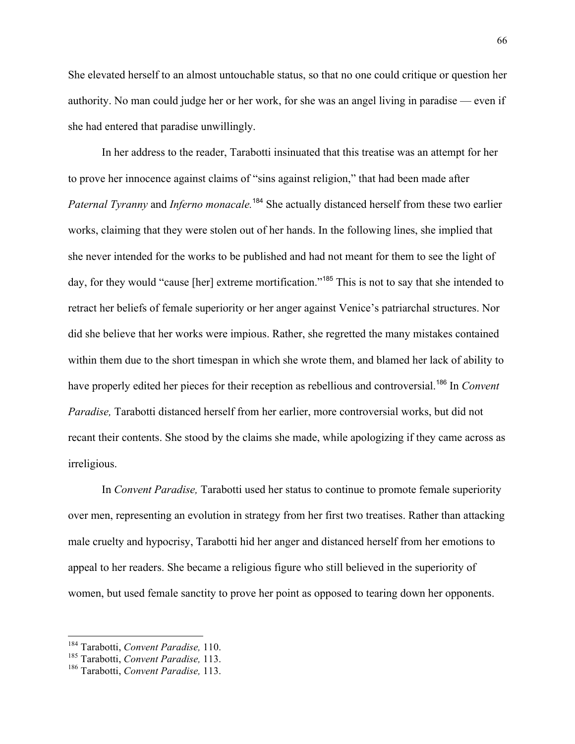She elevated herself to an almost untouchable status, so that no one could critique or question her authority. No man could judge her or her work, for she was an angel living in paradise — even if she had entered that paradise unwillingly.

In her address to the reader, Tarabotti insinuated that this treatise was an attempt for her to prove her innocence against claims of "sins against religion," that had been made after *Paternal Tyranny* and *Inferno monacale.* <sup>184</sup> She actually distanced herself from these two earlier works, claiming that they were stolen out of her hands. In the following lines, she implied that she never intended for the works to be published and had not meant for them to see the light of day, for they would "cause [her] extreme mortification."<sup>185</sup> This is not to say that she intended to retract her beliefs of female superiority or her anger against Venice's patriarchal structures. Nor did she believe that her works were impious. Rather, she regretted the many mistakes contained within them due to the short timespan in which she wrote them, and blamed her lack of ability to have properly edited her pieces for their reception as rebellious and controversial.<sup>186</sup> In *Convent Paradise,* Tarabotti distanced herself from her earlier, more controversial works, but did not recant their contents. She stood by the claims she made, while apologizing if they came across as irreligious.

In *Convent Paradise,* Tarabotti used her status to continue to promote female superiority over men, representing an evolution in strategy from her first two treatises. Rather than attacking male cruelty and hypocrisy, Tarabotti hid her anger and distanced herself from her emotions to appeal to her readers. She became a religious figure who still believed in the superiority of women, but used female sanctity to prove her point as opposed to tearing down her opponents.

<sup>184</sup> Tarabotti, *Convent Paradise,* 110.

<sup>185</sup> Tarabotti, *Convent Paradise,* 113.

<sup>186</sup> Tarabotti, *Convent Paradise,* 113.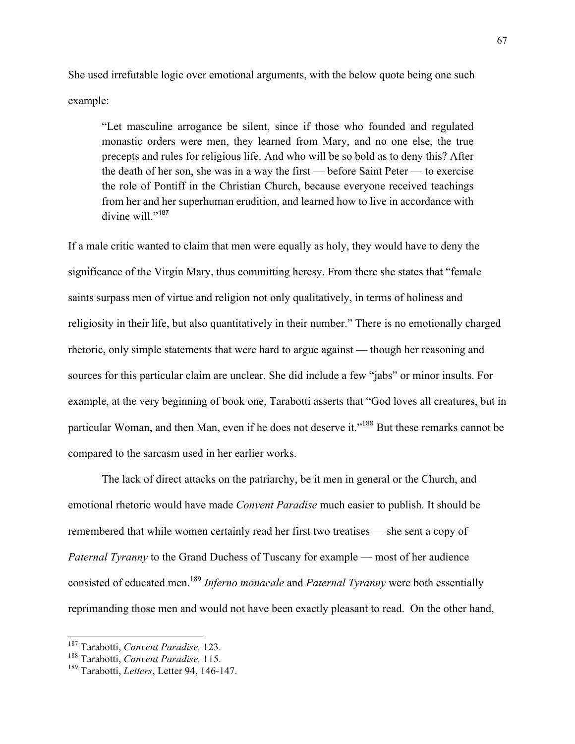She used irrefutable logic over emotional arguments, with the below quote being one such example:

"Let masculine arrogance be silent, since if those who founded and regulated monastic orders were men, they learned from Mary, and no one else, the true precepts and rules for religious life. And who will be so bold as to deny this? After the death of her son, she was in a way the first — before Saint Peter — to exercise the role of Pontiff in the Christian Church, because everyone received teachings from her and her superhuman erudition, and learned how to live in accordance with divine will."<sup>187</sup>

If a male critic wanted to claim that men were equally as holy, they would have to deny the significance of the Virgin Mary, thus committing heresy. From there she states that "female saints surpass men of virtue and religion not only qualitatively, in terms of holiness and religiosity in their life, but also quantitatively in their number." There is no emotionally charged rhetoric, only simple statements that were hard to argue against — though her reasoning and sources for this particular claim are unclear. She did include a few "jabs" or minor insults. For example, at the very beginning of book one, Tarabotti asserts that "God loves all creatures, but in particular Woman, and then Man, even if he does not deserve it."<sup>188</sup> But these remarks cannot be compared to the sarcasm used in her earlier works.

The lack of direct attacks on the patriarchy, be it men in general or the Church, and emotional rhetoric would have made *Convent Paradise* much easier to publish. It should be remembered that while women certainly read her first two treatises — she sent a copy of *Paternal Tyranny* to the Grand Duchess of Tuscany for example — most of her audience consisted of educated men.189 *Inferno monacale* and *Paternal Tyranny* were both essentially reprimanding those men and would not have been exactly pleasant to read. On the other hand,

<sup>187</sup> Tarabotti, *Convent Paradise,* 123.

<sup>188</sup> Tarabotti, *Convent Paradise,* 115.

<sup>189</sup> Tarabotti, *Letters*, Letter 94, 146-147.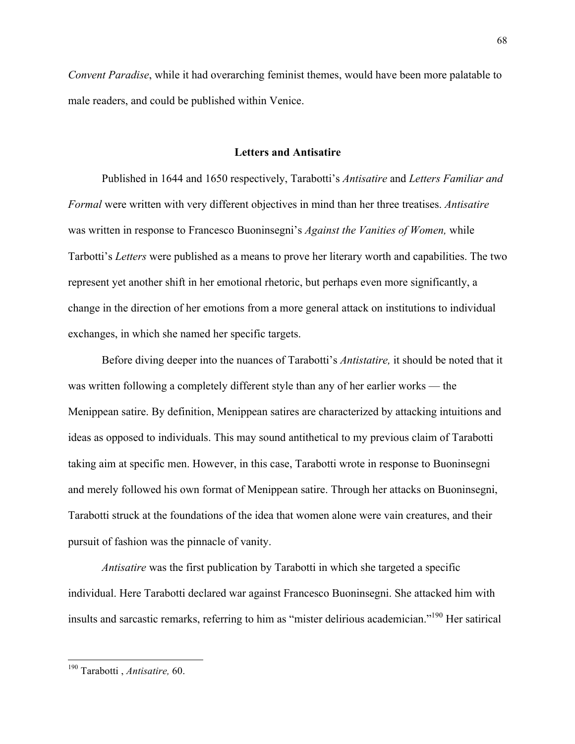*Convent Paradise*, while it had overarching feminist themes, would have been more palatable to male readers, and could be published within Venice.

#### **Letters and Antisatire**

Published in 1644 and 1650 respectively, Tarabotti's *Antisatire* and *Letters Familiar and Formal* were written with very different objectives in mind than her three treatises. *Antisatire*  was written in response to Francesco Buoninsegni's *Against the Vanities of Women,* while Tarbotti's *Letters* were published as a means to prove her literary worth and capabilities. The two represent yet another shift in her emotional rhetoric, but perhaps even more significantly, a change in the direction of her emotions from a more general attack on institutions to individual exchanges, in which she named her specific targets.

Before diving deeper into the nuances of Tarabotti's *Antistatire,* it should be noted that it was written following a completely different style than any of her earlier works — the Menippean satire. By definition, Menippean satires are characterized by attacking intuitions and ideas as opposed to individuals. This may sound antithetical to my previous claim of Tarabotti taking aim at specific men. However, in this case, Tarabotti wrote in response to Buoninsegni and merely followed his own format of Menippean satire. Through her attacks on Buoninsegni, Tarabotti struck at the foundations of the idea that women alone were vain creatures, and their pursuit of fashion was the pinnacle of vanity.

*Antisatire* was the first publication by Tarabotti in which she targeted a specific individual. Here Tarabotti declared war against Francesco Buoninsegni. She attacked him with insults and sarcastic remarks, referring to him as "mister delirious academician."190 Her satirical

<sup>190</sup> Tarabotti , *Antisatire,* 60.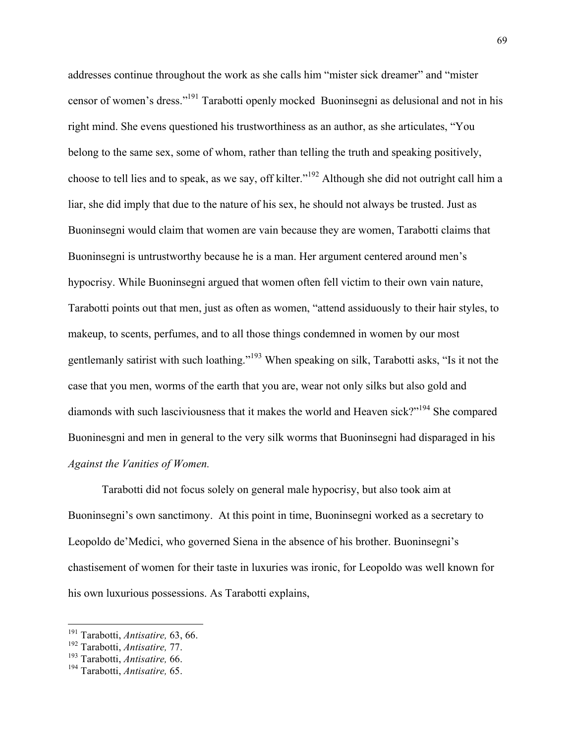addresses continue throughout the work as she calls him "mister sick dreamer" and "mister censor of women's dress."191 Tarabotti openly mocked Buoninsegni as delusional and not in his right mind. She evens questioned his trustworthiness as an author, as she articulates, "You belong to the same sex, some of whom, rather than telling the truth and speaking positively, choose to tell lies and to speak, as we say, off kilter."<sup>192</sup> Although she did not outright call him a liar, she did imply that due to the nature of his sex, he should not always be trusted. Just as Buoninsegni would claim that women are vain because they are women, Tarabotti claims that Buoninsegni is untrustworthy because he is a man. Her argument centered around men's hypocrisy. While Buoninsegni argued that women often fell victim to their own vain nature, Tarabotti points out that men, just as often as women, "attend assiduously to their hair styles, to makeup, to scents, perfumes, and to all those things condemned in women by our most gentlemanly satirist with such loathing."<sup>193</sup> When speaking on silk, Tarabotti asks, "Is it not the case that you men, worms of the earth that you are, wear not only silks but also gold and diamonds with such lasciviousness that it makes the world and Heaven sick?"<sup>194</sup> She compared Buoninesgni and men in general to the very silk worms that Buoninsegni had disparaged in his *Against the Vanities of Women.*

Tarabotti did not focus solely on general male hypocrisy, but also took aim at Buoninsegni's own sanctimony. At this point in time, Buoninsegni worked as a secretary to Leopoldo de'Medici, who governed Siena in the absence of his brother. Buoninsegni's chastisement of women for their taste in luxuries was ironic, for Leopoldo was well known for his own luxurious possessions. As Tarabotti explains,

<sup>191</sup> Tarabotti, *Antisatire,* 63, 66.

<sup>&</sup>lt;sup>192</sup> Tarabotti, *Antisatire*, 77.<br><sup>193</sup> Tarabotti, *Antisatire*, 66.

<sup>193</sup> Tarabotti, *Antisatire,* 66. <sup>194</sup> Tarabotti, *Antisatire,* 65.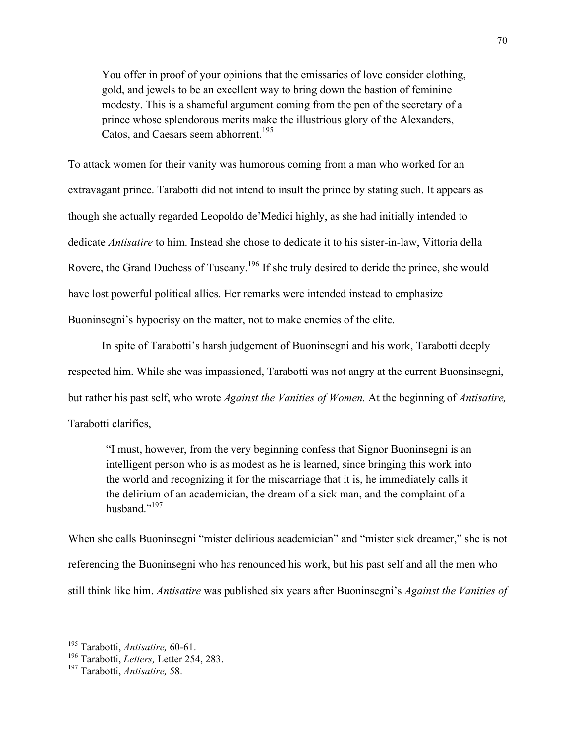You offer in proof of your opinions that the emissaries of love consider clothing, gold, and jewels to be an excellent way to bring down the bastion of feminine modesty. This is a shameful argument coming from the pen of the secretary of a prince whose splendorous merits make the illustrious glory of the Alexanders, Catos, and Caesars seem abhorrent.<sup>195</sup>

To attack women for their vanity was humorous coming from a man who worked for an extravagant prince. Tarabotti did not intend to insult the prince by stating such. It appears as though she actually regarded Leopoldo de'Medici highly, as she had initially intended to dedicate *Antisatire* to him. Instead she chose to dedicate it to his sister-in-law, Vittoria della Rovere, the Grand Duchess of Tuscany.<sup>196</sup> If she truly desired to deride the prince, she would have lost powerful political allies. Her remarks were intended instead to emphasize Buoninsegni's hypocrisy on the matter, not to make enemies of the elite.

In spite of Tarabotti's harsh judgement of Buoninsegni and his work, Tarabotti deeply respected him. While she was impassioned, Tarabotti was not angry at the current Buonsinsegni, but rather his past self, who wrote *Against the Vanities of Women.* At the beginning of *Antisatire,*  Tarabotti clarifies,

"I must, however, from the very beginning confess that Signor Buoninsegni is an intelligent person who is as modest as he is learned, since bringing this work into the world and recognizing it for the miscarriage that it is, he immediately calls it the delirium of an academician, the dream of a sick man, and the complaint of a husband."<sup>197</sup>

When she calls Buoninsegni "mister delirious academician" and "mister sick dreamer," she is not referencing the Buoninsegni who has renounced his work, but his past self and all the men who still think like him. *Antisatire* was published six years after Buoninsegni's *Against the Vanities of* 

<sup>195</sup> Tarabotti, *Antisatire,* 60-61.

<sup>196</sup> Tarabotti, *Letters,* Letter 254, 283.

<sup>197</sup> Tarabotti, *Antisatire,* 58.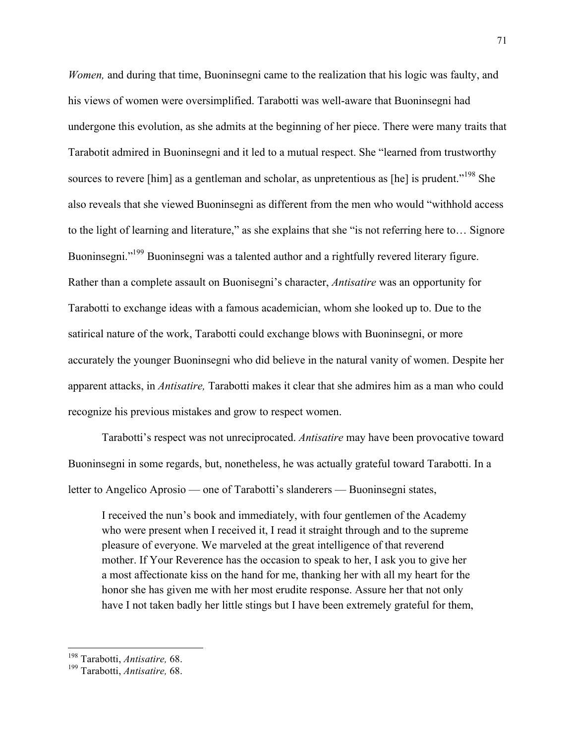*Women,* and during that time, Buoninsegni came to the realization that his logic was faulty, and his views of women were oversimplified. Tarabotti was well-aware that Buoninsegni had undergone this evolution, as she admits at the beginning of her piece. There were many traits that Tarabotit admired in Buoninsegni and it led to a mutual respect. She "learned from trustworthy sources to revere [him] as a gentleman and scholar, as unpretentious as [he] is prudent."<sup>198</sup> She also reveals that she viewed Buoninsegni as different from the men who would "withhold access to the light of learning and literature," as she explains that she "is not referring here to… Signore Buoninsegni."<sup>199</sup> Buoninsegni was a talented author and a rightfully revered literary figure. Rather than a complete assault on Buonisegni's character, *Antisatire* was an opportunity for Tarabotti to exchange ideas with a famous academician, whom she looked up to. Due to the satirical nature of the work, Tarabotti could exchange blows with Buoninsegni, or more accurately the younger Buoninsegni who did believe in the natural vanity of women. Despite her apparent attacks, in *Antisatire,* Tarabotti makes it clear that she admires him as a man who could recognize his previous mistakes and grow to respect women.

Tarabotti's respect was not unreciprocated. *Antisatire* may have been provocative toward Buoninsegni in some regards, but, nonetheless, he was actually grateful toward Tarabotti. In a letter to Angelico Aprosio — one of Tarabotti's slanderers — Buoninsegni states,

I received the nun's book and immediately, with four gentlemen of the Academy who were present when I received it, I read it straight through and to the supreme pleasure of everyone. We marveled at the great intelligence of that reverend mother. If Your Reverence has the occasion to speak to her, I ask you to give her a most affectionate kiss on the hand for me, thanking her with all my heart for the honor she has given me with her most erudite response. Assure her that not only have I not taken badly her little stings but I have been extremely grateful for them,

<sup>198</sup> Tarabotti, *Antisatire,* 68.

<sup>199</sup> Tarabotti, *Antisatire,* 68.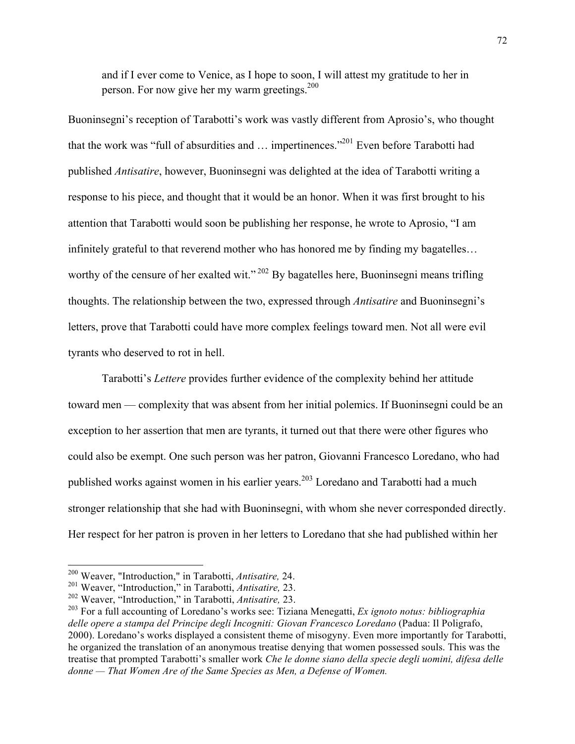and if I ever come to Venice, as I hope to soon, I will attest my gratitude to her in person. For now give her my warm greetings.<sup>200</sup>

Buoninsegni's reception of Tarabotti's work was vastly different from Aprosio's, who thought that the work was "full of absurdities and  $\ldots$  impertinences."<sup>201</sup> Even before Tarabotti had published *Antisatire*, however, Buoninsegni was delighted at the idea of Tarabotti writing a response to his piece, and thought that it would be an honor. When it was first brought to his attention that Tarabotti would soon be publishing her response, he wrote to Aprosio, "I am infinitely grateful to that reverend mother who has honored me by finding my bagatelles… worthy of the censure of her exalted wit."<sup>202</sup> By bagatelles here, Buoninsegni means trifling thoughts. The relationship between the two, expressed through *Antisatire* and Buoninsegni's letters, prove that Tarabotti could have more complex feelings toward men. Not all were evil tyrants who deserved to rot in hell.

Tarabotti's *Lettere* provides further evidence of the complexity behind her attitude toward men — complexity that was absent from her initial polemics. If Buoninsegni could be an exception to her assertion that men are tyrants, it turned out that there were other figures who could also be exempt. One such person was her patron, Giovanni Francesco Loredano, who had published works against women in his earlier years.<sup>203</sup> Loredano and Tarabotti had a much stronger relationship that she had with Buoninsegni, with whom she never corresponded directly. Her respect for her patron is proven in her letters to Loredano that she had published within her

<sup>200</sup> Weaver, "Introduction," in Tarabotti, *Antisatire,* 24.

<sup>201</sup> Weaver, "Introduction," in Tarabotti, *Antisatire,* 23.

<sup>202</sup> Weaver, "Introduction," in Tarabotti, *Antisatire,* 23.

<sup>203</sup> For a full accounting of Loredano's works see: Tiziana Menegatti, *Ex ignoto notus: bibliographia delle opere a stampa del Principe degli Incogniti: Giovan Francesco Loredano* (Padua: Il Poligrafo, 2000). Loredano's works displayed a consistent theme of misogyny. Even more importantly for Tarabotti, he organized the translation of an anonymous treatise denying that women possessed souls. This was the treatise that prompted Tarabotti's smaller work *Che le donne siano della specie degli uomini, difesa delle donne — That Women Are of the Same Species as Men, a Defense of Women.*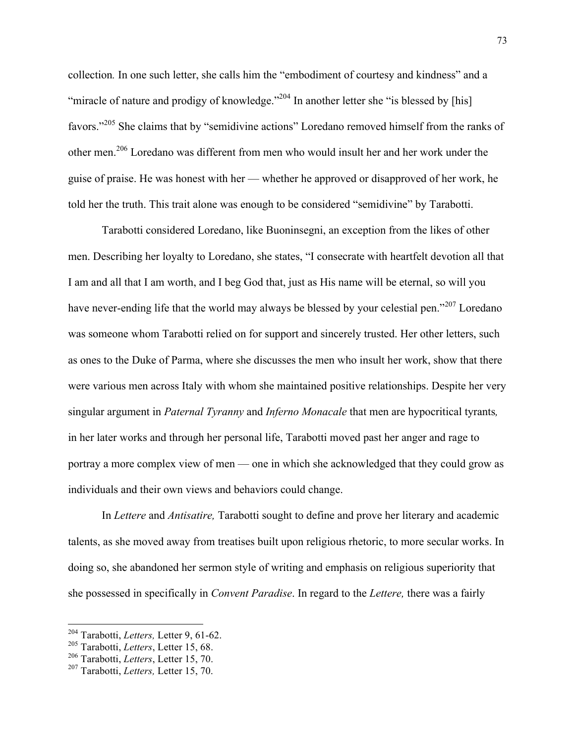collection*.* In one such letter, she calls him the "embodiment of courtesy and kindness" and a "miracle of nature and prodigy of knowledge."<sup>204</sup> In another letter she "is blessed by [his] favors."<sup>205</sup> She claims that by "semidivine actions" Loredano removed himself from the ranks of other men.<sup>206</sup> Loredano was different from men who would insult her and her work under the guise of praise. He was honest with her — whether he approved or disapproved of her work, he told her the truth. This trait alone was enough to be considered "semidivine" by Tarabotti.

Tarabotti considered Loredano, like Buoninsegni, an exception from the likes of other men. Describing her loyalty to Loredano, she states, "I consecrate with heartfelt devotion all that I am and all that I am worth, and I beg God that, just as His name will be eternal, so will you have never-ending life that the world may always be blessed by your celestial pen.<sup>"207</sup> Loredano was someone whom Tarabotti relied on for support and sincerely trusted. Her other letters, such as ones to the Duke of Parma, where she discusses the men who insult her work, show that there were various men across Italy with whom she maintained positive relationships. Despite her very singular argument in *Paternal Tyranny* and *Inferno Monacale* that men are hypocritical tyrants*,*  in her later works and through her personal life, Tarabotti moved past her anger and rage to portray a more complex view of men — one in which she acknowledged that they could grow as individuals and their own views and behaviors could change.

In *Lettere* and *Antisatire,* Tarabotti sought to define and prove her literary and academic talents, as she moved away from treatises built upon religious rhetoric, to more secular works. In doing so, she abandoned her sermon style of writing and emphasis on religious superiority that she possessed in specifically in *Convent Paradise*. In regard to the *Lettere,* there was a fairly

<sup>204</sup> Tarabotti, *Letters,* Letter 9, 61-62.

<sup>205</sup> Tarabotti, *Letters*, Letter 15, 68.

<sup>206</sup> Tarabotti, *Letters*, Letter 15, 70.

<sup>207</sup> Tarabotti, *Letters,* Letter 15, 70.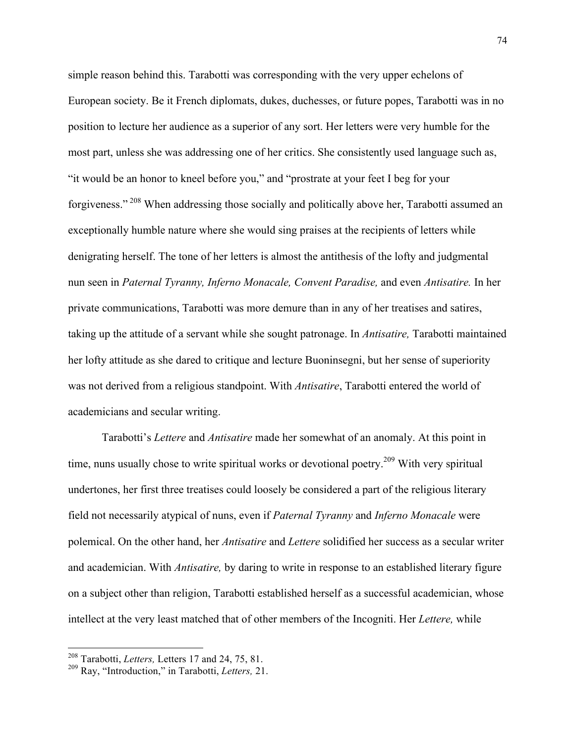simple reason behind this. Tarabotti was corresponding with the very upper echelons of European society. Be it French diplomats, dukes, duchesses, or future popes, Tarabotti was in no position to lecture her audience as a superior of any sort. Her letters were very humble for the most part, unless she was addressing one of her critics. She consistently used language such as, "it would be an honor to kneel before you," and "prostrate at your feet I beg for your forgiveness." <sup>208</sup> When addressing those socially and politically above her, Tarabotti assumed an exceptionally humble nature where she would sing praises at the recipients of letters while denigrating herself. The tone of her letters is almost the antithesis of the lofty and judgmental nun seen in *Paternal Tyranny, Inferno Monacale, Convent Paradise,* and even *Antisatire.* In her private communications, Tarabotti was more demure than in any of her treatises and satires, taking up the attitude of a servant while she sought patronage. In *Antisatire,* Tarabotti maintained her lofty attitude as she dared to critique and lecture Buoninsegni, but her sense of superiority was not derived from a religious standpoint. With *Antisatire*, Tarabotti entered the world of academicians and secular writing.

Tarabotti's *Lettere* and *Antisatire* made her somewhat of an anomaly. At this point in time, nuns usually chose to write spiritual works or devotional poetry.<sup>209</sup> With very spiritual undertones, her first three treatises could loosely be considered a part of the religious literary field not necessarily atypical of nuns, even if *Paternal Tyranny* and *Inferno Monacale* were polemical. On the other hand, her *Antisatire* and *Lettere* solidified her success as a secular writer and academician. With *Antisatire,* by daring to write in response to an established literary figure on a subject other than religion, Tarabotti established herself as a successful academician, whose intellect at the very least matched that of other members of the Incogniti. Her *Lettere,* while

<sup>208</sup> Tarabotti, *Letters,* Letters 17 and 24, 75, 81.

<sup>209</sup> Ray, "Introduction," in Tarabotti, *Letters,* 21.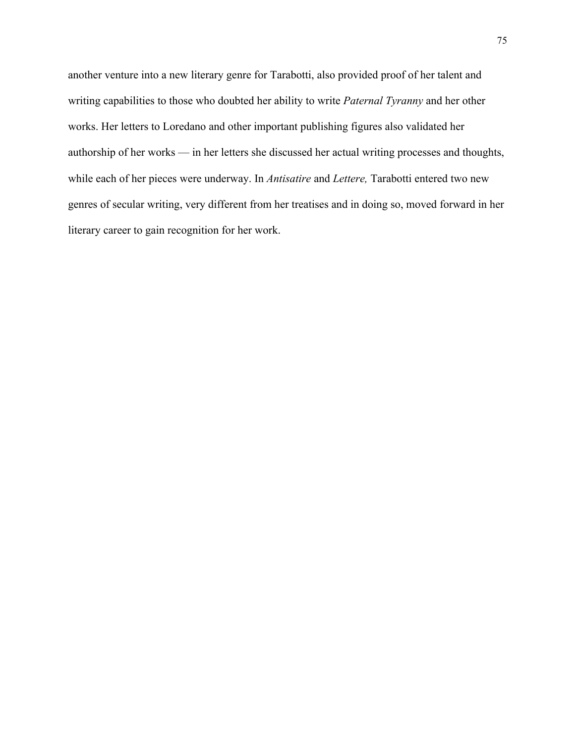another venture into a new literary genre for Tarabotti, also provided proof of her talent and writing capabilities to those who doubted her ability to write *Paternal Tyranny* and her other works. Her letters to Loredano and other important publishing figures also validated her authorship of her works — in her letters she discussed her actual writing processes and thoughts, while each of her pieces were underway. In *Antisatire* and *Lettere,* Tarabotti entered two new genres of secular writing, very different from her treatises and in doing so, moved forward in her literary career to gain recognition for her work.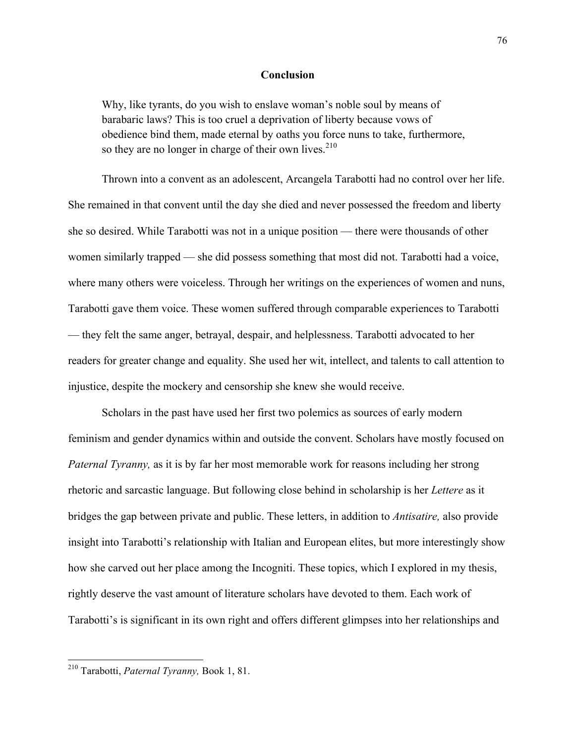## **Conclusion**

Why, like tyrants, do you wish to enslave woman's noble soul by means of barabaric laws? This is too cruel a deprivation of liberty because vows of obedience bind them, made eternal by oaths you force nuns to take, furthermore, so they are no longer in charge of their own lives.<sup>210</sup>

Thrown into a convent as an adolescent, Arcangela Tarabotti had no control over her life. She remained in that convent until the day she died and never possessed the freedom and liberty she so desired. While Tarabotti was not in a unique position — there were thousands of other women similarly trapped — she did possess something that most did not. Tarabotti had a voice, where many others were voiceless. Through her writings on the experiences of women and nuns, Tarabotti gave them voice. These women suffered through comparable experiences to Tarabotti — they felt the same anger, betrayal, despair, and helplessness. Tarabotti advocated to her readers for greater change and equality. She used her wit, intellect, and talents to call attention to injustice, despite the mockery and censorship she knew she would receive.

Scholars in the past have used her first two polemics as sources of early modern feminism and gender dynamics within and outside the convent. Scholars have mostly focused on *Paternal Tyranny,* as it is by far her most memorable work for reasons including her strong rhetoric and sarcastic language. But following close behind in scholarship is her *Lettere* as it bridges the gap between private and public. These letters, in addition to *Antisatire,* also provide insight into Tarabotti's relationship with Italian and European elites, but more interestingly show how she carved out her place among the Incogniti. These topics, which I explored in my thesis, rightly deserve the vast amount of literature scholars have devoted to them. Each work of Tarabotti's is significant in its own right and offers different glimpses into her relationships and

<sup>210</sup> Tarabotti, *Paternal Tyranny,* Book 1, 81.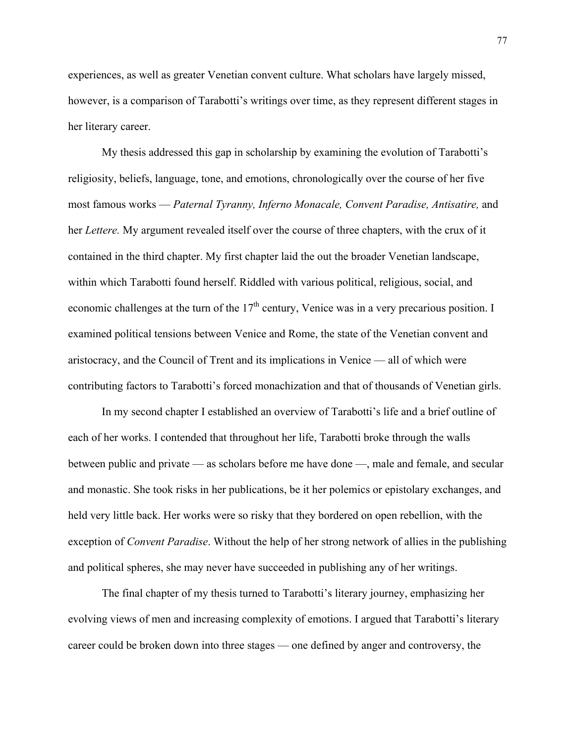experiences, as well as greater Venetian convent culture. What scholars have largely missed, however, is a comparison of Tarabotti's writings over time, as they represent different stages in her literary career.

My thesis addressed this gap in scholarship by examining the evolution of Tarabotti's religiosity, beliefs, language, tone, and emotions, chronologically over the course of her five most famous works — *Paternal Tyranny, Inferno Monacale, Convent Paradise, Antisatire,* and her *Lettere.* My argument revealed itself over the course of three chapters, with the crux of it contained in the third chapter. My first chapter laid the out the broader Venetian landscape, within which Tarabotti found herself. Riddled with various political, religious, social, and economic challenges at the turn of the  $17<sup>th</sup>$  century, Venice was in a very precarious position. I examined political tensions between Venice and Rome, the state of the Venetian convent and aristocracy, and the Council of Trent and its implications in Venice — all of which were contributing factors to Tarabotti's forced monachization and that of thousands of Venetian girls.

In my second chapter I established an overview of Tarabotti's life and a brief outline of each of her works. I contended that throughout her life, Tarabotti broke through the walls between public and private — as scholars before me have done —, male and female, and secular and monastic. She took risks in her publications, be it her polemics or epistolary exchanges, and held very little back. Her works were so risky that they bordered on open rebellion, with the exception of *Convent Paradise*. Without the help of her strong network of allies in the publishing and political spheres, she may never have succeeded in publishing any of her writings.

The final chapter of my thesis turned to Tarabotti's literary journey, emphasizing her evolving views of men and increasing complexity of emotions. I argued that Tarabotti's literary career could be broken down into three stages — one defined by anger and controversy, the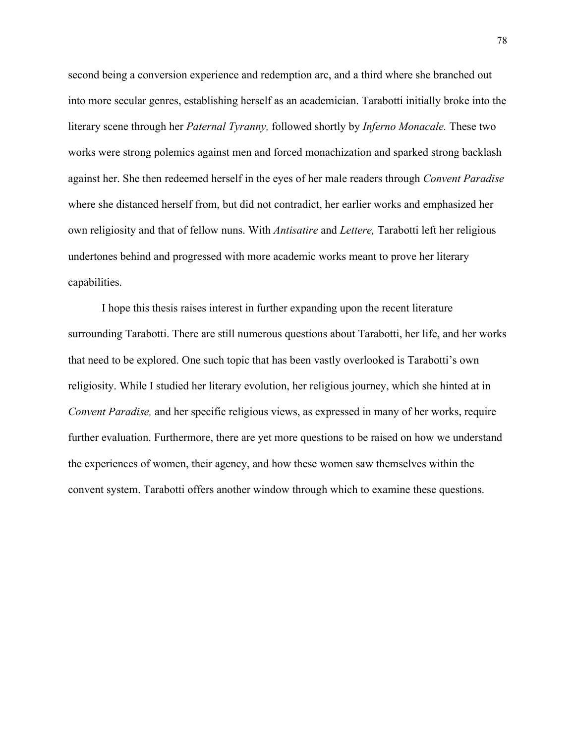second being a conversion experience and redemption arc, and a third where she branched out into more secular genres, establishing herself as an academician. Tarabotti initially broke into the literary scene through her *Paternal Tyranny,* followed shortly by *Inferno Monacale.* These two works were strong polemics against men and forced monachization and sparked strong backlash against her. She then redeemed herself in the eyes of her male readers through *Convent Paradise*  where she distanced herself from, but did not contradict, her earlier works and emphasized her own religiosity and that of fellow nuns. With *Antisatire* and *Lettere,* Tarabotti left her religious undertones behind and progressed with more academic works meant to prove her literary capabilities.

I hope this thesis raises interest in further expanding upon the recent literature surrounding Tarabotti. There are still numerous questions about Tarabotti, her life, and her works that need to be explored. One such topic that has been vastly overlooked is Tarabotti's own religiosity. While I studied her literary evolution, her religious journey, which she hinted at in *Convent Paradise,* and her specific religious views, as expressed in many of her works, require further evaluation. Furthermore, there are yet more questions to be raised on how we understand the experiences of women, their agency, and how these women saw themselves within the convent system. Tarabotti offers another window through which to examine these questions.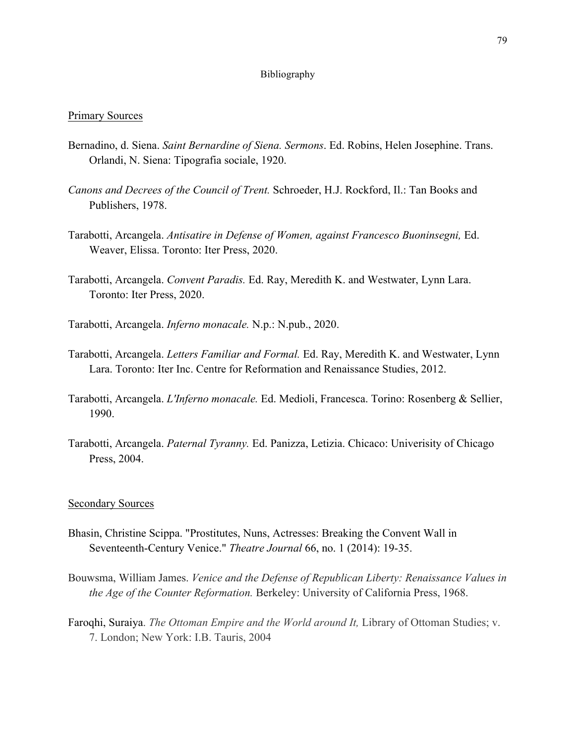## Bibliography

## Primary Sources

- Bernadino, d. Siena. *Saint Bernardine of Siena. Sermons*. Ed. Robins, Helen Josephine. Trans. Orlandi, N. Siena: Tipografia sociale, 1920.
- *Canons and Decrees of the Council of Trent.* Schroeder, H.J. Rockford, Il.: Tan Books and Publishers, 1978.
- Tarabotti, Arcangela. *Antisatire in Defense of Women, against Francesco Buoninsegni,* Ed. Weaver, Elissa. Toronto: Iter Press, 2020.
- Tarabotti, Arcangela. *Convent Paradis.* Ed. Ray, Meredith K. and Westwater, Lynn Lara. Toronto: Iter Press, 2020.
- Tarabotti, Arcangela. *Inferno monacale.* N.p.: N.pub., 2020.
- Tarabotti, Arcangela. *Letters Familiar and Formal.* Ed. Ray, Meredith K. and Westwater, Lynn Lara. Toronto: Iter Inc. Centre for Reformation and Renaissance Studies, 2012.
- Tarabotti, Arcangela. *L'Inferno monacale.* Ed. Medioli, Francesca. Torino: Rosenberg & Sellier, 1990.
- Tarabotti, Arcangela. *Paternal Tyranny.* Ed. Panizza, Letizia. Chicaco: Univerisity of Chicago Press, 2004.

## Secondary Sources

- Bhasin, Christine Scippa. "Prostitutes, Nuns, Actresses: Breaking the Convent Wall in Seventeenth-Century Venice." *Theatre Journal* 66, no. 1 (2014): 19-35.
- Bouwsma, William James. *Venice and the Defense of Republican Liberty: Renaissance Values in the Age of the Counter Reformation.* Berkeley: University of California Press, 1968.
- Faroqhi, Suraiya. *The Ottoman Empire and the World around It,* Library of Ottoman Studies; v. 7. London; New York: I.B. Tauris, 2004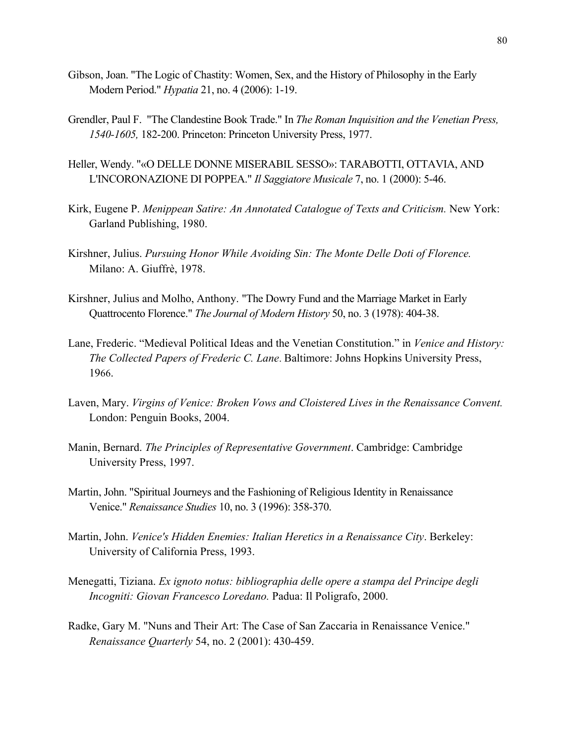- Gibson, Joan. "The Logic of Chastity: Women, Sex, and the History of Philosophy in the Early Modern Period." *Hypatia* 21, no. 4 (2006): 1-19.
- Grendler, Paul F. "The Clandestine Book Trade." In *The Roman Inquisition and the Venetian Press, 1540-1605,* 182-200. Princeton: Princeton University Press, 1977.
- Heller, Wendy. "«O DELLE DONNE MISERABIL SESSO»: TARABOTTI, OTTAVIA, AND L'INCORONAZIONE DI POPPEA." *Il Saggiatore Musicale* 7, no. 1 (2000): 5-46.
- Kirk, Eugene P. *Menippean Satire: An Annotated Catalogue of Texts and Criticism.* New York: Garland Publishing, 1980.
- Kirshner, Julius. *Pursuing Honor While Avoiding Sin: The Monte Delle Doti of Florence.*  Milano: A. Giuffrè, 1978.
- Kirshner, Julius and Molho, Anthony. "The Dowry Fund and the Marriage Market in Early Quattrocento Florence." *The Journal of Modern History* 50, no. 3 (1978): 404-38.
- Lane, Frederic. "Medieval Political Ideas and the Venetian Constitution." in *Venice and History: The Collected Papers of Frederic C. Lane*. Baltimore: Johns Hopkins University Press, 1966.
- Laven, Mary. *Virgins of Venice: Broken Vows and Cloistered Lives in the Renaissance Convent.*  London: Penguin Books, 2004.
- Manin, Bernard. *The Principles of Representative Government*. Cambridge: Cambridge University Press, 1997.
- Martin, John. "Spiritual Journeys and the Fashioning of Religious Identity in Renaissance Venice." *Renaissance Studies* 10, no. 3 (1996): 358-370.
- Martin, John. *Venice's Hidden Enemies: Italian Heretics in a Renaissance City*. Berkeley: University of California Press, 1993.
- Menegatti, Tiziana. *Ex ignoto notus: bibliographia delle opere a stampa del Principe degli Incogniti: Giovan Francesco Loredano.* Padua: Il Poligrafo, 2000.
- Radke, Gary M. "Nuns and Their Art: The Case of San Zaccaria in Renaissance Venice." *Renaissance Quarterly* 54, no. 2 (2001): 430-459.